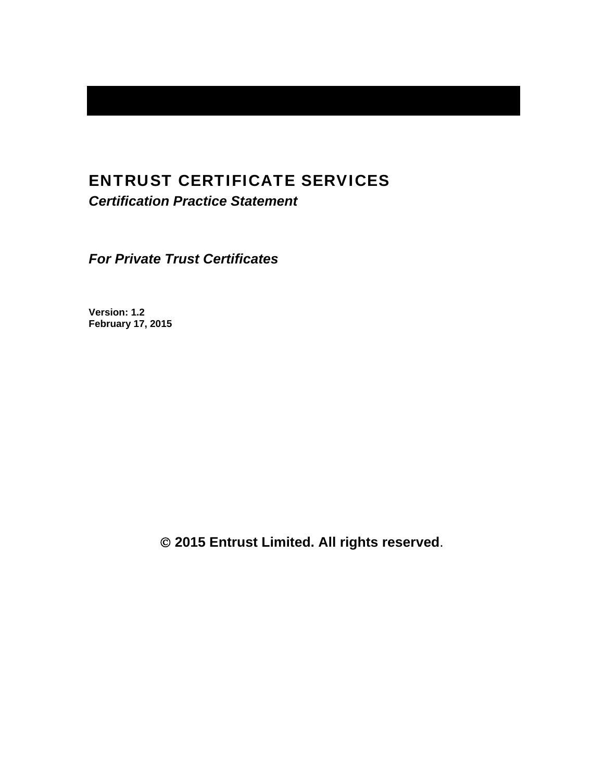# ENTRUST CERTIFICATE SERVICES

*Certification Practice Statement* 

*For Private Trust Certificates* 

**Version: 1.2 February 17, 2015** 

 **2015 Entrust Limited. All rights reserved**.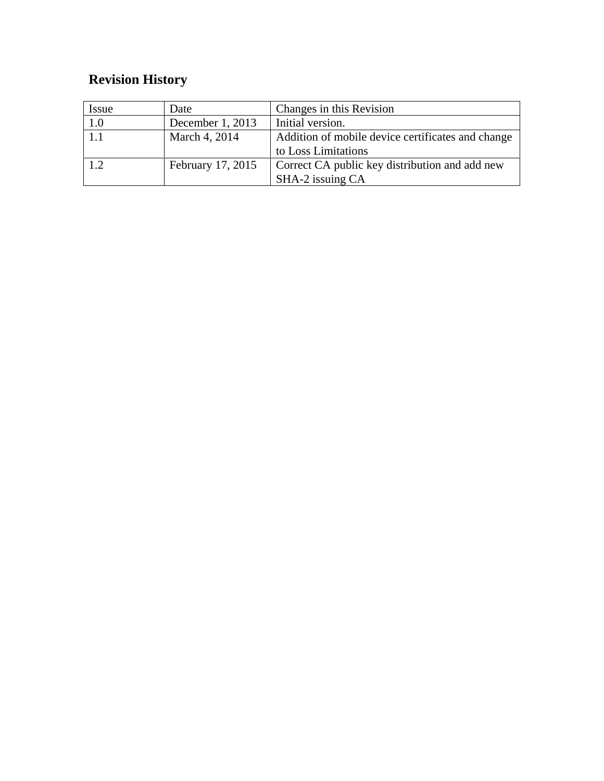# **Revision History**

| Issue | Date              | Changes in this Revision                          |
|-------|-------------------|---------------------------------------------------|
| 1.0   | December 1, 2013  | Initial version.                                  |
| 1.1   | March 4, 2014     | Addition of mobile device certificates and change |
|       |                   | to Loss Limitations                               |
| 1.2   | February 17, 2015 | Correct CA public key distribution and add new    |
|       |                   | SHA-2 issuing CA                                  |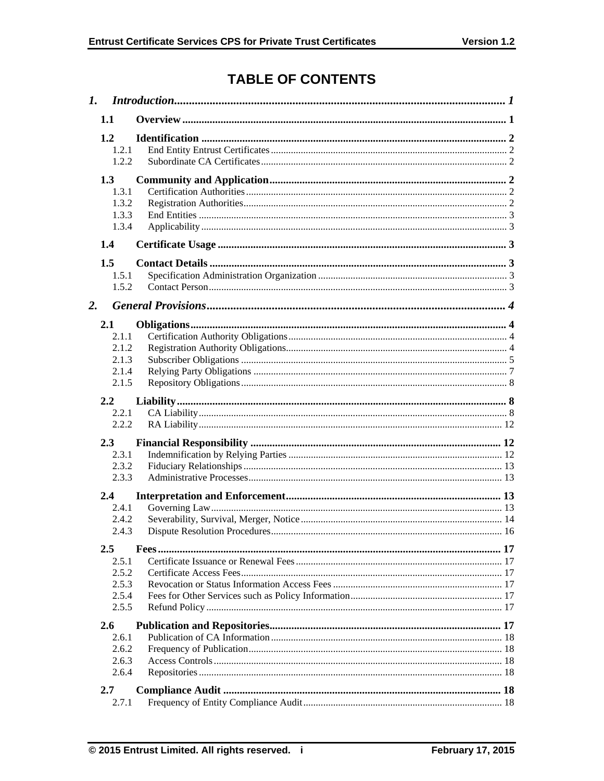# **TABLE OF CONTENTS**

| $\mathbf{I}$ . |                                           |  |
|----------------|-------------------------------------------|--|
|                | 1.1                                       |  |
|                | 1.2<br>1.2.1<br>1.2.2                     |  |
|                | 1.3<br>1.3.1<br>1.3.2<br>1.3.3<br>1.3.4   |  |
|                | 1.4                                       |  |
| 2.             | 1.5<br>1.5.1<br>1.5.2                     |  |
|                | 2.1                                       |  |
|                | 2.1.1<br>2.1.2<br>2.1.3<br>2.1.4<br>2.1.5 |  |
|                | 2.2                                       |  |
|                | 2.2.1<br>2.2.2                            |  |
|                |                                           |  |
|                | 2.3<br>2.3.1<br>2.3.2<br>2.3.3            |  |
|                | 2.4                                       |  |
|                | 2.4.1<br>2.4.2<br>2.4.3                   |  |
|                | $2.5\,$                                   |  |
|                | 2.5.1<br>2.5.2<br>2.5.3<br>2.5.4<br>2.5.5 |  |
|                | 2.6                                       |  |
|                | 2.6.1<br>2.6.2<br>2.6.3<br>2.6.4          |  |
|                | 2.7                                       |  |
|                | 2.7.1                                     |  |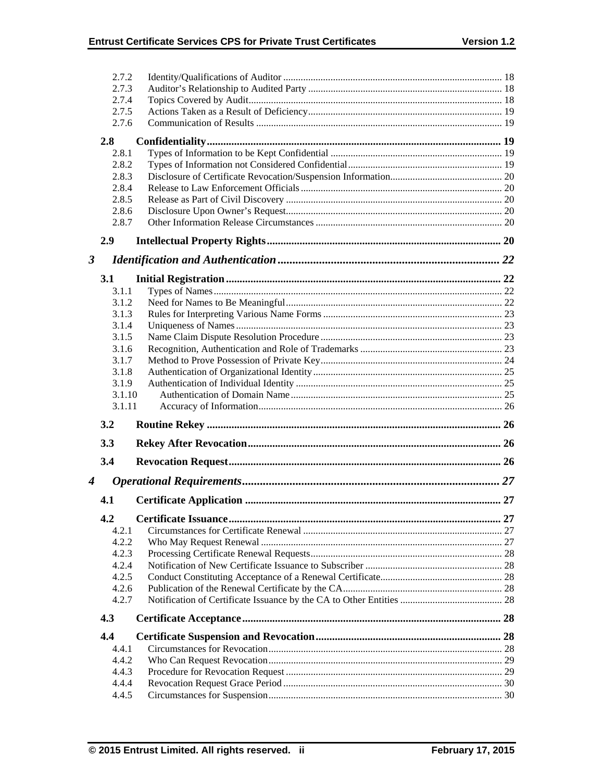|                      | 2.7.2          |  |
|----------------------|----------------|--|
|                      | 2.7.3          |  |
|                      | 2.7.4          |  |
|                      | 2.7.5          |  |
|                      | 2.7.6          |  |
|                      | 2.8            |  |
|                      | 2.8.1          |  |
|                      | 2.8.2          |  |
|                      | 2.8.3          |  |
|                      | 2.8.4          |  |
|                      | 2.8.5          |  |
|                      | 2.8.6          |  |
|                      | 2.8.7          |  |
|                      | 2.9            |  |
| $\boldsymbol{\beta}$ |                |  |
|                      | <b>3.1</b>     |  |
|                      | 3.1.1          |  |
|                      | 3.1.2          |  |
|                      | 3.1.3          |  |
|                      | 3.1.4          |  |
|                      | 3.1.5          |  |
|                      | 3.1.6          |  |
|                      | 3.1.7          |  |
|                      | 3.1.8          |  |
|                      | 3.1.9          |  |
|                      |                |  |
|                      | 3.1.10         |  |
|                      | 3.1.11         |  |
|                      | 3.2            |  |
|                      | 3.3            |  |
|                      | 3.4            |  |
| 4                    |                |  |
|                      | 4.1            |  |
|                      | 4.2            |  |
|                      | 4.2.1          |  |
|                      | 4.2.2          |  |
|                      | 4.2.3          |  |
|                      | 4.2.4          |  |
|                      | 4.2.5          |  |
|                      | 4.2.6          |  |
|                      | 4.2.7          |  |
|                      | 4.3            |  |
|                      | 4.4            |  |
|                      | 4.4.1          |  |
|                      | 4.4.2          |  |
|                      | 4.4.3          |  |
|                      | 4.4.4<br>4.4.5 |  |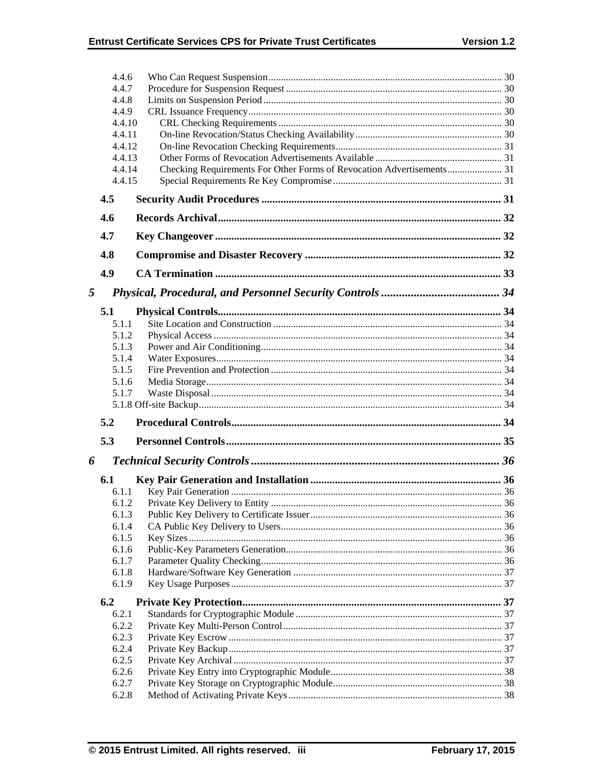|   | 4.4.6           |  |
|---|-----------------|--|
|   | 4.4.7           |  |
|   | 4.4.8           |  |
|   | 4.4.9<br>4.4.10 |  |
|   | 4.4.11          |  |
|   | 4.4.12          |  |
|   | 4.4.13          |  |
|   | 4.4.14          |  |
|   | 4.4.15          |  |
|   | 4.5             |  |
|   | 4.6             |  |
|   | 4.7             |  |
|   | 4.8             |  |
|   | 4.9             |  |
|   |                 |  |
| 5 |                 |  |
|   | 5.1             |  |
|   | 5.1.1           |  |
|   | 5.1.2           |  |
|   | 5.1.3           |  |
|   | 5.1.4           |  |
|   | 5.1.5           |  |
|   | 5.1.6           |  |
|   |                 |  |
|   | 5.1.7           |  |
|   |                 |  |
|   | 5.2             |  |
|   | 5.3             |  |
|   |                 |  |
| 6 | 6.1             |  |
|   | 6.1.1           |  |
|   | 6.1.2           |  |
|   | 6.1.3           |  |
|   | 6.1.4           |  |
|   | 6.1.5           |  |
|   | 6.1.6           |  |
|   | 6.1.7           |  |
|   | 6.1.8<br>6.1.9  |  |
|   | 6.2             |  |
|   | 6.2.1           |  |
|   | 6.2.2           |  |
|   | 6.2.3           |  |
|   | 6.2.4           |  |
|   | 6.2.5           |  |
|   | 6.2.6           |  |
|   | 6.2.7<br>6.2.8  |  |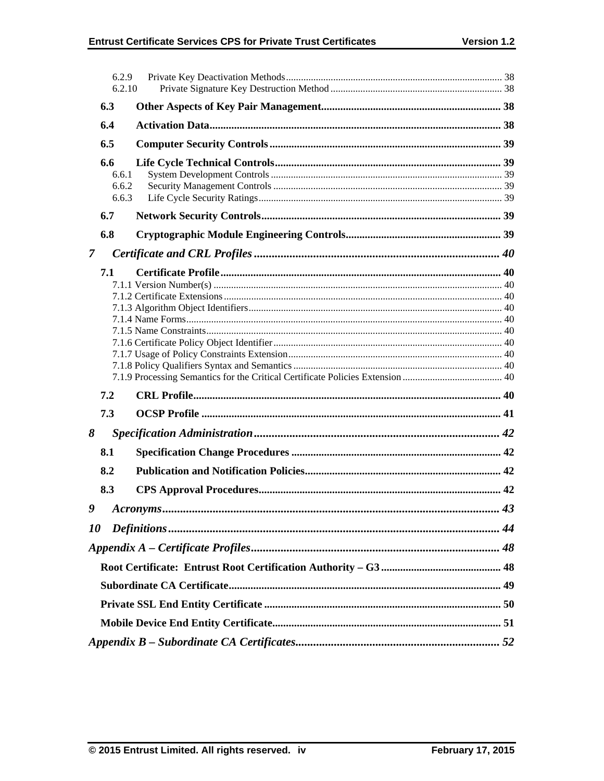|                | 6.2.9<br>6.2.10 |           |    |  |  |
|----------------|-----------------|-----------|----|--|--|
|                | 6.3             |           |    |  |  |
|                | 6.4             |           |    |  |  |
|                | 6.5             |           |    |  |  |
|                | 6.6             |           |    |  |  |
|                | 6.6.1           |           |    |  |  |
|                | 6.6.2           |           |    |  |  |
|                | 6.6.3           |           |    |  |  |
|                | 6.7             |           |    |  |  |
|                | 6.8             |           |    |  |  |
| $\overline{7}$ |                 |           |    |  |  |
|                | 7.1             |           |    |  |  |
|                |                 |           |    |  |  |
|                |                 |           |    |  |  |
|                |                 |           |    |  |  |
|                |                 |           |    |  |  |
|                |                 |           |    |  |  |
|                |                 |           |    |  |  |
|                |                 |           |    |  |  |
|                |                 |           |    |  |  |
|                | 7.2             |           |    |  |  |
|                | 7.3             |           |    |  |  |
| 8              |                 |           |    |  |  |
|                | 8.1             |           |    |  |  |
|                | 8.2             |           |    |  |  |
|                | 8.3             |           |    |  |  |
| 9              |                 | Acronyms. | 43 |  |  |
| 10             |                 |           |    |  |  |
|                |                 |           |    |  |  |
|                |                 |           |    |  |  |
|                |                 |           |    |  |  |
|                |                 |           |    |  |  |
|                |                 |           |    |  |  |
|                |                 |           |    |  |  |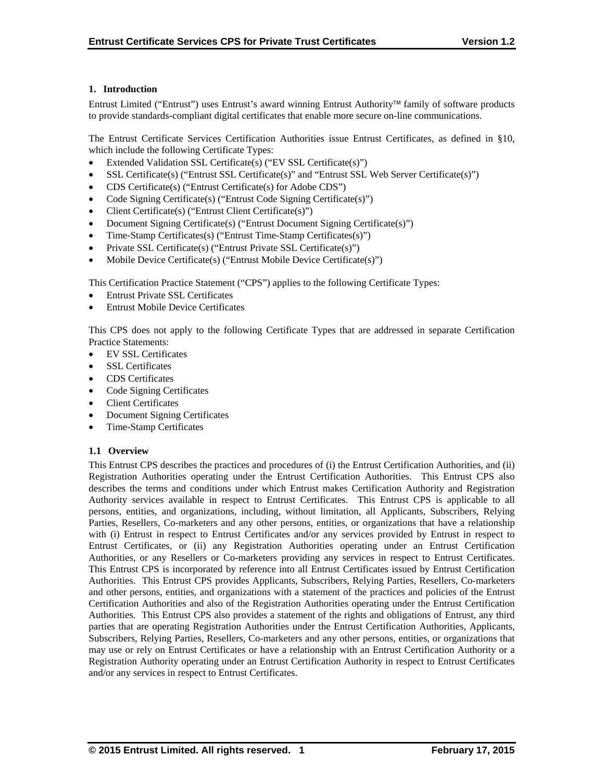## **1. Introduction**

Entrust Limited ("Entrust") uses Entrust's award winning Entrust Authority family of software products to provide standards-compliant digital certificates that enable more secure on-line communications.

The Entrust Certificate Services Certification Authorities issue Entrust Certificates, as defined in §10, which include the following Certificate Types:

- Extended Validation SSL Certificate(s) ("EV SSL Certificate(s)")
- SSL Certificate(s) ("Entrust SSL Certificate(s)" and "Entrust SSL Web Server Certificate(s)")
- CDS Certificate(s) ("Entrust Certificate(s) for Adobe CDS")
- Code Signing Certificate(s) ("Entrust Code Signing Certificate(s)")
- Client Certificate(s) ("Entrust Client Certificate(s)")
- Document Signing Certificate(s) ("Entrust Document Signing Certificate(s)")
- Time-Stamp Certificates(s) ("Entrust Time-Stamp Certificates(s)")
- Private SSL Certificate(s) ("Entrust Private SSL Certificate(s)")
- Mobile Device Certificate(s) ("Entrust Mobile Device Certificate(s)")

This Certification Practice Statement ("CPS") applies to the following Certificate Types:

- Entrust Private SSL Certificates
- Entrust Mobile Device Certificates

This CPS does not apply to the following Certificate Types that are addressed in separate Certification Practice Statements:

- EV SSL Certificates
- SSL Certificates
- CDS Certificates
- Code Signing Certificates
- Client Certificates
- Document Signing Certificates
- Time-Stamp Certificates

#### **1.1 Overview**

This Entrust CPS describes the practices and procedures of (i) the Entrust Certification Authorities, and (ii) Registration Authorities operating under the Entrust Certification Authorities. This Entrust CPS also describes the terms and conditions under which Entrust makes Certification Authority and Registration Authority services available in respect to Entrust Certificates. This Entrust CPS is applicable to all persons, entities, and organizations, including, without limitation, all Applicants, Subscribers, Relying Parties, Resellers, Co-marketers and any other persons, entities, or organizations that have a relationship with (i) Entrust in respect to Entrust Certificates and/or any services provided by Entrust in respect to Entrust Certificates, or (ii) any Registration Authorities operating under an Entrust Certification Authorities, or any Resellers or Co-marketers providing any services in respect to Entrust Certificates. This Entrust CPS is incorporated by reference into all Entrust Certificates issued by Entrust Certification Authorities. This Entrust CPS provides Applicants, Subscribers, Relying Parties, Resellers, Co-marketers and other persons, entities, and organizations with a statement of the practices and policies of the Entrust Certification Authorities and also of the Registration Authorities operating under the Entrust Certification Authorities. This Entrust CPS also provides a statement of the rights and obligations of Entrust, any third parties that are operating Registration Authorities under the Entrust Certification Authorities, Applicants, Subscribers, Relying Parties, Resellers, Co-marketers and any other persons, entities, or organizations that may use or rely on Entrust Certificates or have a relationship with an Entrust Certification Authority or a Registration Authority operating under an Entrust Certification Authority in respect to Entrust Certificates and/or any services in respect to Entrust Certificates.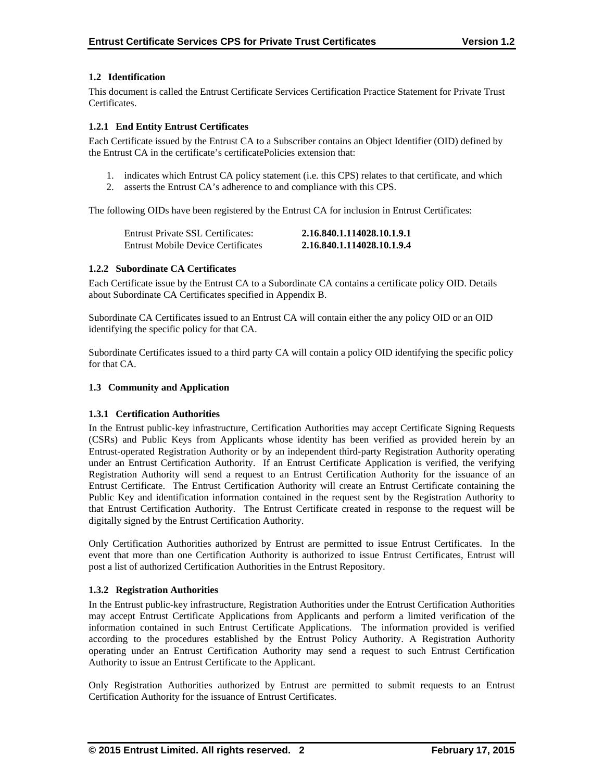## **1.2 Identification**

This document is called the Entrust Certificate Services Certification Practice Statement for Private Trust Certificates.

## **1.2.1 End Entity Entrust Certificates**

Each Certificate issued by the Entrust CA to a Subscriber contains an Object Identifier (OID) defined by the Entrust CA in the certificate's certificatePolicies extension that:

- 1. indicates which Entrust CA policy statement (i.e. this CPS) relates to that certificate, and which
- 2. asserts the Entrust CA's adherence to and compliance with this CPS.

The following OIDs have been registered by the Entrust CA for inclusion in Entrust Certificates:

| Entrust Private SSL Certificates:  | 2.16.840.1.114028.10.1.9.1 |
|------------------------------------|----------------------------|
| Entrust Mobile Device Certificates | 2.16.840.1.114028.10.1.9.4 |

## **1.2.2 Subordinate CA Certificates**

Each Certificate issue by the Entrust CA to a Subordinate CA contains a certificate policy OID. Details about Subordinate CA Certificates specified in Appendix B.

Subordinate CA Certificates issued to an Entrust CA will contain either the any policy OID or an OID identifying the specific policy for that CA.

Subordinate Certificates issued to a third party CA will contain a policy OID identifying the specific policy for that CA.

## **1.3 Community and Application**

## **1.3.1 Certification Authorities**

In the Entrust public-key infrastructure, Certification Authorities may accept Certificate Signing Requests (CSRs) and Public Keys from Applicants whose identity has been verified as provided herein by an Entrust-operated Registration Authority or by an independent third-party Registration Authority operating under an Entrust Certification Authority. If an Entrust Certificate Application is verified, the verifying Registration Authority will send a request to an Entrust Certification Authority for the issuance of an Entrust Certificate. The Entrust Certification Authority will create an Entrust Certificate containing the Public Key and identification information contained in the request sent by the Registration Authority to that Entrust Certification Authority. The Entrust Certificate created in response to the request will be digitally signed by the Entrust Certification Authority.

Only Certification Authorities authorized by Entrust are permitted to issue Entrust Certificates. In the event that more than one Certification Authority is authorized to issue Entrust Certificates, Entrust will post a list of authorized Certification Authorities in the Entrust Repository.

#### **1.3.2 Registration Authorities**

In the Entrust public-key infrastructure, Registration Authorities under the Entrust Certification Authorities may accept Entrust Certificate Applications from Applicants and perform a limited verification of the information contained in such Entrust Certificate Applications. The information provided is verified according to the procedures established by the Entrust Policy Authority. A Registration Authority operating under an Entrust Certification Authority may send a request to such Entrust Certification Authority to issue an Entrust Certificate to the Applicant.

Only Registration Authorities authorized by Entrust are permitted to submit requests to an Entrust Certification Authority for the issuance of Entrust Certificates.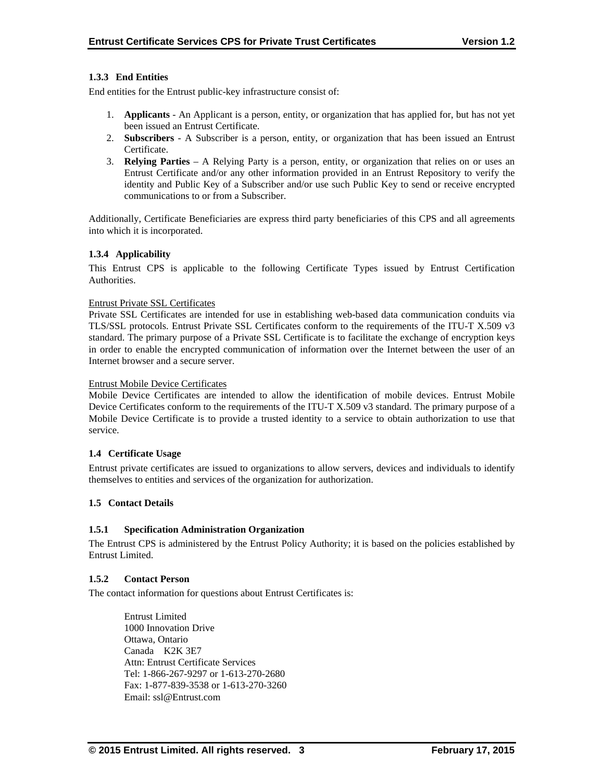## **1.3.3 End Entities**

End entities for the Entrust public-key infrastructure consist of:

- 1. **Applicants** An Applicant is a person, entity, or organization that has applied for, but has not yet been issued an Entrust Certificate.
- 2. **Subscribers**  A Subscriber is a person, entity, or organization that has been issued an Entrust Certificate.
- 3. **Relying Parties**  A Relying Party is a person, entity, or organization that relies on or uses an Entrust Certificate and/or any other information provided in an Entrust Repository to verify the identity and Public Key of a Subscriber and/or use such Public Key to send or receive encrypted communications to or from a Subscriber.

Additionally, Certificate Beneficiaries are express third party beneficiaries of this CPS and all agreements into which it is incorporated.

#### **1.3.4 Applicability**

This Entrust CPS is applicable to the following Certificate Types issued by Entrust Certification Authorities.

#### Entrust Private SSL Certificates

Private SSL Certificates are intended for use in establishing web-based data communication conduits via TLS/SSL protocols. Entrust Private SSL Certificates conform to the requirements of the ITU-T X.509 v3 standard. The primary purpose of a Private SSL Certificate is to facilitate the exchange of encryption keys in order to enable the encrypted communication of information over the Internet between the user of an Internet browser and a secure server.

#### Entrust Mobile Device Certificates

Mobile Device Certificates are intended to allow the identification of mobile devices. Entrust Mobile Device Certificates conform to the requirements of the ITU-T X.509 v3 standard. The primary purpose of a Mobile Device Certificate is to provide a trusted identity to a service to obtain authorization to use that service.

#### **1.4 Certificate Usage**

Entrust private certificates are issued to organizations to allow servers, devices and individuals to identify themselves to entities and services of the organization for authorization.

#### **1.5 Contact Details**

#### **1.5.1 Specification Administration Organization**

The Entrust CPS is administered by the Entrust Policy Authority; it is based on the policies established by Entrust Limited.

#### **1.5.2 Contact Person**

The contact information for questions about Entrust Certificates is:

 Entrust Limited 1000 Innovation Drive Ottawa, Ontario Canada K2K 3E7 Attn: Entrust Certificate Services Tel: 1-866-267-9297 or 1-613-270-2680 Fax: 1-877-839-3538 or 1-613-270-3260 Email: ssl@Entrust.com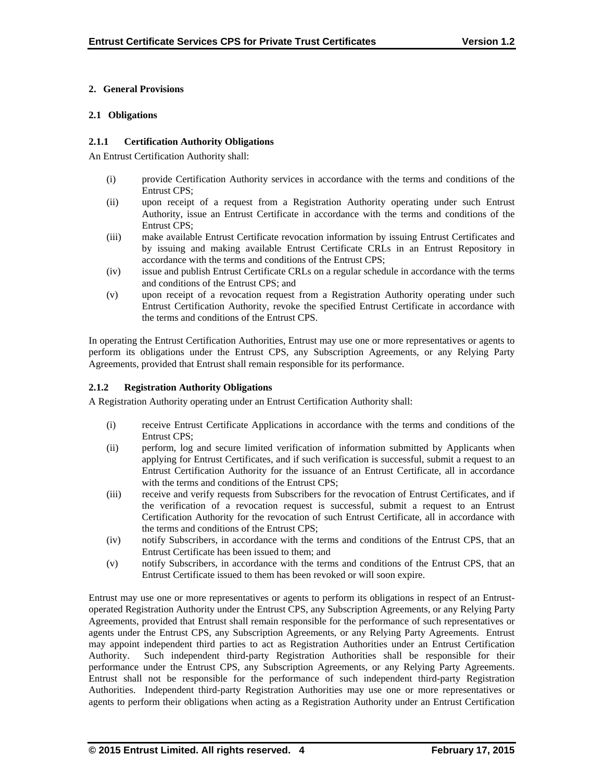## **2. General Provisions**

## **2.1 Obligations**

## **2.1.1 Certification Authority Obligations**

An Entrust Certification Authority shall:

- (i) provide Certification Authority services in accordance with the terms and conditions of the Entrust CPS;
- (ii) upon receipt of a request from a Registration Authority operating under such Entrust Authority, issue an Entrust Certificate in accordance with the terms and conditions of the Entrust CPS;
- (iii) make available Entrust Certificate revocation information by issuing Entrust Certificates and by issuing and making available Entrust Certificate CRLs in an Entrust Repository in accordance with the terms and conditions of the Entrust CPS;
- (iv) issue and publish Entrust Certificate CRLs on a regular schedule in accordance with the terms and conditions of the Entrust CPS; and
- (v) upon receipt of a revocation request from a Registration Authority operating under such Entrust Certification Authority, revoke the specified Entrust Certificate in accordance with the terms and conditions of the Entrust CPS.

In operating the Entrust Certification Authorities, Entrust may use one or more representatives or agents to perform its obligations under the Entrust CPS, any Subscription Agreements, or any Relying Party Agreements, provided that Entrust shall remain responsible for its performance.

## **2.1.2 Registration Authority Obligations**

A Registration Authority operating under an Entrust Certification Authority shall:

- (i) receive Entrust Certificate Applications in accordance with the terms and conditions of the Entrust CPS;
- (ii) perform, log and secure limited verification of information submitted by Applicants when applying for Entrust Certificates, and if such verification is successful, submit a request to an Entrust Certification Authority for the issuance of an Entrust Certificate, all in accordance with the terms and conditions of the Entrust CPS:
- (iii) receive and verify requests from Subscribers for the revocation of Entrust Certificates, and if the verification of a revocation request is successful, submit a request to an Entrust Certification Authority for the revocation of such Entrust Certificate, all in accordance with the terms and conditions of the Entrust CPS;
- (iv) notify Subscribers, in accordance with the terms and conditions of the Entrust CPS, that an Entrust Certificate has been issued to them; and
- (v) notify Subscribers, in accordance with the terms and conditions of the Entrust CPS, that an Entrust Certificate issued to them has been revoked or will soon expire.

Entrust may use one or more representatives or agents to perform its obligations in respect of an Entrustoperated Registration Authority under the Entrust CPS, any Subscription Agreements, or any Relying Party Agreements, provided that Entrust shall remain responsible for the performance of such representatives or agents under the Entrust CPS, any Subscription Agreements, or any Relying Party Agreements. Entrust may appoint independent third parties to act as Registration Authorities under an Entrust Certification Authority. Such independent third-party Registration Authorities shall be responsible for their performance under the Entrust CPS, any Subscription Agreements, or any Relying Party Agreements. Entrust shall not be responsible for the performance of such independent third-party Registration Authorities. Independent third-party Registration Authorities may use one or more representatives or agents to perform their obligations when acting as a Registration Authority under an Entrust Certification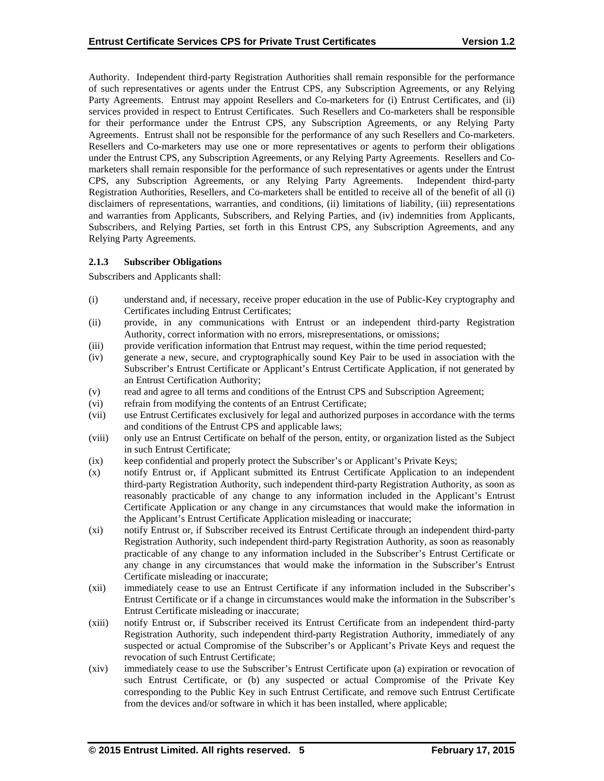Authority. Independent third-party Registration Authorities shall remain responsible for the performance of such representatives or agents under the Entrust CPS, any Subscription Agreements, or any Relying Party Agreements. Entrust may appoint Resellers and Co-marketers for (i) Entrust Certificates, and (ii) services provided in respect to Entrust Certificates. Such Resellers and Co-marketers shall be responsible for their performance under the Entrust CPS, any Subscription Agreements, or any Relying Party Agreements. Entrust shall not be responsible for the performance of any such Resellers and Co-marketers. Resellers and Co-marketers may use one or more representatives or agents to perform their obligations under the Entrust CPS, any Subscription Agreements, or any Relying Party Agreements. Resellers and Comarketers shall remain responsible for the performance of such representatives or agents under the Entrust CPS, any Subscription Agreements, or any Relying Party Agreements. Independent third-party Registration Authorities, Resellers, and Co-marketers shall be entitled to receive all of the benefit of all (i) disclaimers of representations, warranties, and conditions, (ii) limitations of liability, (iii) representations and warranties from Applicants, Subscribers, and Relying Parties, and (iv) indemnities from Applicants, Subscribers, and Relying Parties, set forth in this Entrust CPS, any Subscription Agreements, and any Relying Party Agreements.

## **2.1.3 Subscriber Obligations**

Subscribers and Applicants shall:

- (i) understand and, if necessary, receive proper education in the use of Public-Key cryptography and Certificates including Entrust Certificates;
- (ii) provide, in any communications with Entrust or an independent third-party Registration Authority, correct information with no errors, misrepresentations, or omissions;
- (iii) provide verification information that Entrust may request, within the time period requested;
- (iv) generate a new, secure, and cryptographically sound Key Pair to be used in association with the Subscriber's Entrust Certificate or Applicant's Entrust Certificate Application, if not generated by an Entrust Certification Authority;
- (v) read and agree to all terms and conditions of the Entrust CPS and Subscription Agreement;
- (vi) refrain from modifying the contents of an Entrust Certificate;
- (vii) use Entrust Certificates exclusively for legal and authorized purposes in accordance with the terms and conditions of the Entrust CPS and applicable laws;
- (viii) only use an Entrust Certificate on behalf of the person, entity, or organization listed as the Subject in such Entrust Certificate;
- (ix) keep confidential and properly protect the Subscriber's or Applicant's Private Keys;
- (x) notify Entrust or, if Applicant submitted its Entrust Certificate Application to an independent third-party Registration Authority, such independent third-party Registration Authority, as soon as reasonably practicable of any change to any information included in the Applicant's Entrust Certificate Application or any change in any circumstances that would make the information in the Applicant's Entrust Certificate Application misleading or inaccurate;
- (xi) notify Entrust or, if Subscriber received its Entrust Certificate through an independent third-party Registration Authority, such independent third-party Registration Authority, as soon as reasonably practicable of any change to any information included in the Subscriber's Entrust Certificate or any change in any circumstances that would make the information in the Subscriber's Entrust Certificate misleading or inaccurate;
- (xii) immediately cease to use an Entrust Certificate if any information included in the Subscriber's Entrust Certificate or if a change in circumstances would make the information in the Subscriber's Entrust Certificate misleading or inaccurate;
- (xiii) notify Entrust or, if Subscriber received its Entrust Certificate from an independent third-party Registration Authority, such independent third-party Registration Authority, immediately of any suspected or actual Compromise of the Subscriber's or Applicant's Private Keys and request the revocation of such Entrust Certificate;
- (xiv) immediately cease to use the Subscriber's Entrust Certificate upon (a) expiration or revocation of such Entrust Certificate, or (b) any suspected or actual Compromise of the Private Key corresponding to the Public Key in such Entrust Certificate, and remove such Entrust Certificate from the devices and/or software in which it has been installed, where applicable;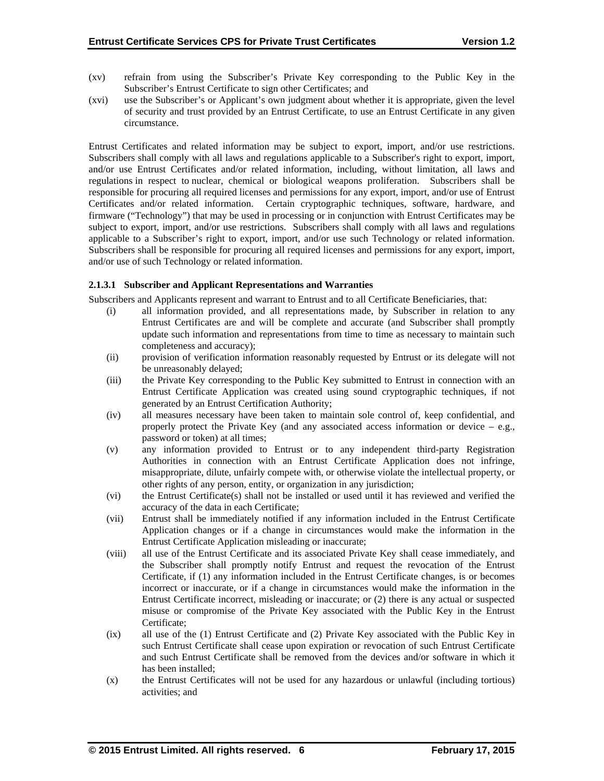- (xv) refrain from using the Subscriber's Private Key corresponding to the Public Key in the Subscriber's Entrust Certificate to sign other Certificates; and
- (xvi) use the Subscriber's or Applicant's own judgment about whether it is appropriate, given the level of security and trust provided by an Entrust Certificate, to use an Entrust Certificate in any given circumstance.

Entrust Certificates and related information may be subject to export, import, and/or use restrictions. Subscribers shall comply with all laws and regulations applicable to a Subscriber's right to export, import, and/or use Entrust Certificates and/or related information, including, without limitation, all laws and regulations in respect to nuclear, chemical or biological weapons proliferation. Subscribers shall be responsible for procuring all required licenses and permissions for any export, import, and/or use of Entrust Certificates and/or related information. Certain cryptographic techniques, software, hardware, and firmware ("Technology") that may be used in processing or in conjunction with Entrust Certificates may be subject to export, import, and/or use restrictions. Subscribers shall comply with all laws and regulations applicable to a Subscriber's right to export, import, and/or use such Technology or related information. Subscribers shall be responsible for procuring all required licenses and permissions for any export, import, and/or use of such Technology or related information.

## **2.1.3.1 Subscriber and Applicant Representations and Warranties**

Subscribers and Applicants represent and warrant to Entrust and to all Certificate Beneficiaries, that:

- (i) all information provided, and all representations made, by Subscriber in relation to any Entrust Certificates are and will be complete and accurate (and Subscriber shall promptly update such information and representations from time to time as necessary to maintain such completeness and accuracy);
- (ii) provision of verification information reasonably requested by Entrust or its delegate will not be unreasonably delayed;
- (iii) the Private Key corresponding to the Public Key submitted to Entrust in connection with an Entrust Certificate Application was created using sound cryptographic techniques, if not generated by an Entrust Certification Authority;
- (iv) all measures necessary have been taken to maintain sole control of, keep confidential, and properly protect the Private Key (and any associated access information or device  $-$  e.g., password or token) at all times;
- (v) any information provided to Entrust or to any independent third-party Registration Authorities in connection with an Entrust Certificate Application does not infringe, misappropriate, dilute, unfairly compete with, or otherwise violate the intellectual property, or other rights of any person, entity, or organization in any jurisdiction;
- (vi) the Entrust Certificate(s) shall not be installed or used until it has reviewed and verified the accuracy of the data in each Certificate;
- (vii) Entrust shall be immediately notified if any information included in the Entrust Certificate Application changes or if a change in circumstances would make the information in the Entrust Certificate Application misleading or inaccurate;
- (viii) all use of the Entrust Certificate and its associated Private Key shall cease immediately, and the Subscriber shall promptly notify Entrust and request the revocation of the Entrust Certificate, if (1) any information included in the Entrust Certificate changes, is or becomes incorrect or inaccurate, or if a change in circumstances would make the information in the Entrust Certificate incorrect, misleading or inaccurate; or (2) there is any actual or suspected misuse or compromise of the Private Key associated with the Public Key in the Entrust Certificate;
- (ix) all use of the (1) Entrust Certificate and (2) Private Key associated with the Public Key in such Entrust Certificate shall cease upon expiration or revocation of such Entrust Certificate and such Entrust Certificate shall be removed from the devices and/or software in which it has been installed;
- (x) the Entrust Certificates will not be used for any hazardous or unlawful (including tortious) activities; and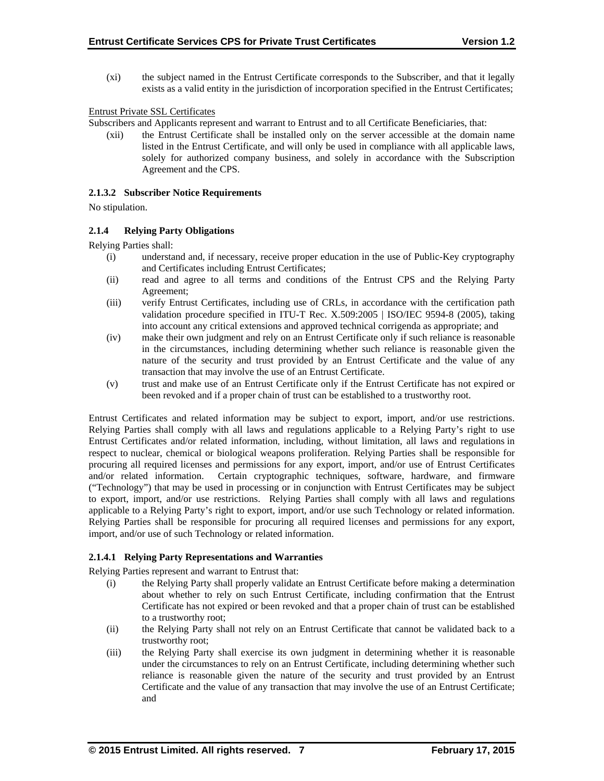(xi) the subject named in the Entrust Certificate corresponds to the Subscriber, and that it legally exists as a valid entity in the jurisdiction of incorporation specified in the Entrust Certificates;

## Entrust Private SSL Certificates

Subscribers and Applicants represent and warrant to Entrust and to all Certificate Beneficiaries, that:

(xii) the Entrust Certificate shall be installed only on the server accessible at the domain name listed in the Entrust Certificate, and will only be used in compliance with all applicable laws, solely for authorized company business, and solely in accordance with the Subscription Agreement and the CPS.

#### **2.1.3.2 Subscriber Notice Requirements**

No stipulation.

#### **2.1.4 Relying Party Obligations**

Relying Parties shall:

- (i) understand and, if necessary, receive proper education in the use of Public-Key cryptography and Certificates including Entrust Certificates;
- (ii) read and agree to all terms and conditions of the Entrust CPS and the Relying Party Agreement;
- (iii) verify Entrust Certificates, including use of CRLs, in accordance with the certification path validation procedure specified in ITU-T Rec. X.509:2005 | ISO/IEC 9594-8 (2005), taking into account any critical extensions and approved technical corrigenda as appropriate; and
- (iv) make their own judgment and rely on an Entrust Certificate only if such reliance is reasonable in the circumstances, including determining whether such reliance is reasonable given the nature of the security and trust provided by an Entrust Certificate and the value of any transaction that may involve the use of an Entrust Certificate.
- (v) trust and make use of an Entrust Certificate only if the Entrust Certificate has not expired or been revoked and if a proper chain of trust can be established to a trustworthy root.

Entrust Certificates and related information may be subject to export, import, and/or use restrictions. Relying Parties shall comply with all laws and regulations applicable to a Relying Party's right to use Entrust Certificates and/or related information, including, without limitation, all laws and regulations in respect to nuclear, chemical or biological weapons proliferation. Relying Parties shall be responsible for procuring all required licenses and permissions for any export, import, and/or use of Entrust Certificates and/or related information. Certain cryptographic techniques, software, hardware, and firmware ("Technology") that may be used in processing or in conjunction with Entrust Certificates may be subject to export, import, and/or use restrictions. Relying Parties shall comply with all laws and regulations applicable to a Relying Party's right to export, import, and/or use such Technology or related information. Relying Parties shall be responsible for procuring all required licenses and permissions for any export, import, and/or use of such Technology or related information.

#### **2.1.4.1 Relying Party Representations and Warranties**

Relying Parties represent and warrant to Entrust that:

- (i) the Relying Party shall properly validate an Entrust Certificate before making a determination about whether to rely on such Entrust Certificate, including confirmation that the Entrust Certificate has not expired or been revoked and that a proper chain of trust can be established to a trustworthy root;
- (ii) the Relying Party shall not rely on an Entrust Certificate that cannot be validated back to a trustworthy root;
- (iii) the Relying Party shall exercise its own judgment in determining whether it is reasonable under the circumstances to rely on an Entrust Certificate, including determining whether such reliance is reasonable given the nature of the security and trust provided by an Entrust Certificate and the value of any transaction that may involve the use of an Entrust Certificate; and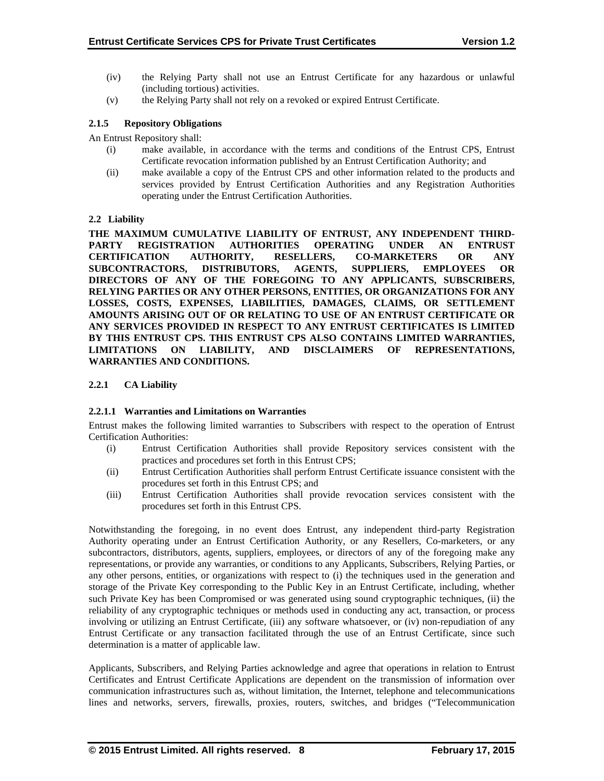- (iv) the Relying Party shall not use an Entrust Certificate for any hazardous or unlawful (including tortious) activities.
- (v) the Relying Party shall not rely on a revoked or expired Entrust Certificate.

## **2.1.5 Repository Obligations**

An Entrust Repository shall:

- (i) make available, in accordance with the terms and conditions of the Entrust CPS, Entrust Certificate revocation information published by an Entrust Certification Authority; and
- (ii) make available a copy of the Entrust CPS and other information related to the products and services provided by Entrust Certification Authorities and any Registration Authorities operating under the Entrust Certification Authorities.

## **2.2 Liability**

**THE MAXIMUM CUMULATIVE LIABILITY OF ENTRUST, ANY INDEPENDENT THIRD-PARTY REGISTRATION AUTHORITIES OPERATING UNDER AN ENTRUST CERTIFICATION AUTHORITY, RESELLERS, CO-MARKETERS OR ANY SUBCONTRACTORS, DISTRIBUTORS, AGENTS, SUPPLIERS, EMPLOYEES OR DIRECTORS OF ANY OF THE FOREGOING TO ANY APPLICANTS, SUBSCRIBERS, RELYING PARTIES OR ANY OTHER PERSONS, ENTITIES, OR ORGANIZATIONS FOR ANY LOSSES, COSTS, EXPENSES, LIABILITIES, DAMAGES, CLAIMS, OR SETTLEMENT AMOUNTS ARISING OUT OF OR RELATING TO USE OF AN ENTRUST CERTIFICATE OR ANY SERVICES PROVIDED IN RESPECT TO ANY ENTRUST CERTIFICATES IS LIMITED BY THIS ENTRUST CPS. THIS ENTRUST CPS ALSO CONTAINS LIMITED WARRANTIES, LIMITATIONS ON LIABILITY, AND DISCLAIMERS OF REPRESENTATIONS, WARRANTIES AND CONDITIONS.** 

## **2.2.1 CA Liability**

#### **2.2.1.1 Warranties and Limitations on Warranties**

Entrust makes the following limited warranties to Subscribers with respect to the operation of Entrust Certification Authorities:

- (i) Entrust Certification Authorities shall provide Repository services consistent with the practices and procedures set forth in this Entrust CPS;
- (ii) Entrust Certification Authorities shall perform Entrust Certificate issuance consistent with the procedures set forth in this Entrust CPS; and
- (iii) Entrust Certification Authorities shall provide revocation services consistent with the procedures set forth in this Entrust CPS.

Notwithstanding the foregoing, in no event does Entrust, any independent third-party Registration Authority operating under an Entrust Certification Authority, or any Resellers, Co-marketers, or any subcontractors, distributors, agents, suppliers, employees, or directors of any of the foregoing make any representations, or provide any warranties, or conditions to any Applicants, Subscribers, Relying Parties, or any other persons, entities, or organizations with respect to (i) the techniques used in the generation and storage of the Private Key corresponding to the Public Key in an Entrust Certificate, including, whether such Private Key has been Compromised or was generated using sound cryptographic techniques, (ii) the reliability of any cryptographic techniques or methods used in conducting any act, transaction, or process involving or utilizing an Entrust Certificate, (iii) any software whatsoever, or (iv) non-repudiation of any Entrust Certificate or any transaction facilitated through the use of an Entrust Certificate, since such determination is a matter of applicable law.

Applicants, Subscribers, and Relying Parties acknowledge and agree that operations in relation to Entrust Certificates and Entrust Certificate Applications are dependent on the transmission of information over communication infrastructures such as, without limitation, the Internet, telephone and telecommunications lines and networks, servers, firewalls, proxies, routers, switches, and bridges ("Telecommunication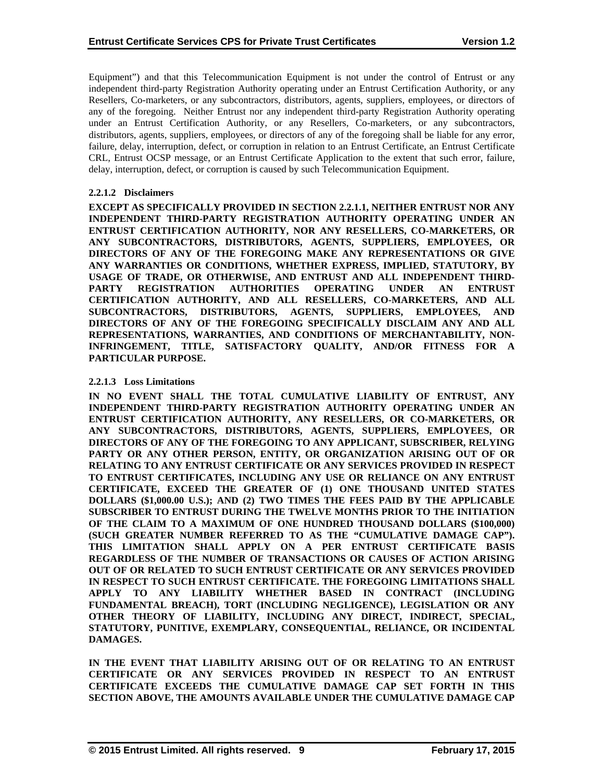Equipment") and that this Telecommunication Equipment is not under the control of Entrust or any independent third-party Registration Authority operating under an Entrust Certification Authority, or any Resellers, Co-marketers, or any subcontractors, distributors, agents, suppliers, employees, or directors of any of the foregoing. Neither Entrust nor any independent third-party Registration Authority operating under an Entrust Certification Authority, or any Resellers, Co-marketers, or any subcontractors, distributors, agents, suppliers, employees, or directors of any of the foregoing shall be liable for any error, failure, delay, interruption, defect, or corruption in relation to an Entrust Certificate, an Entrust Certificate CRL, Entrust OCSP message, or an Entrust Certificate Application to the extent that such error, failure, delay, interruption, defect, or corruption is caused by such Telecommunication Equipment.

## **2.2.1.2 Disclaimers**

**EXCEPT AS SPECIFICALLY PROVIDED IN SECTION 2.2.1.1, NEITHER ENTRUST NOR ANY INDEPENDENT THIRD-PARTY REGISTRATION AUTHORITY OPERATING UNDER AN ENTRUST CERTIFICATION AUTHORITY, NOR ANY RESELLERS, CO-MARKETERS, OR ANY SUBCONTRACTORS, DISTRIBUTORS, AGENTS, SUPPLIERS, EMPLOYEES, OR DIRECTORS OF ANY OF THE FOREGOING MAKE ANY REPRESENTATIONS OR GIVE ANY WARRANTIES OR CONDITIONS, WHETHER EXPRESS, IMPLIED, STATUTORY, BY USAGE OF TRADE, OR OTHERWISE, AND ENTRUST AND ALL INDEPENDENT THIRD-PARTY REGISTRATION AUTHORITIES OPERATING UNDER AN ENTRUST CERTIFICATION AUTHORITY, AND ALL RESELLERS, CO-MARKETERS, AND ALL SUBCONTRACTORS, DISTRIBUTORS, AGENTS, SUPPLIERS, EMPLOYEES, AND DIRECTORS OF ANY OF THE FOREGOING SPECIFICALLY DISCLAIM ANY AND ALL REPRESENTATIONS, WARRANTIES, AND CONDITIONS OF MERCHANTABILITY, NON-INFRINGEMENT, TITLE, SATISFACTORY QUALITY, AND/OR FITNESS FOR A PARTICULAR PURPOSE.** 

## **2.2.1.3 Loss Limitations**

**IN NO EVENT SHALL THE TOTAL CUMULATIVE LIABILITY OF ENTRUST, ANY INDEPENDENT THIRD-PARTY REGISTRATION AUTHORITY OPERATING UNDER AN ENTRUST CERTIFICATION AUTHORITY, ANY RESELLERS, OR CO-MARKETERS, OR ANY SUBCONTRACTORS, DISTRIBUTORS, AGENTS, SUPPLIERS, EMPLOYEES, OR DIRECTORS OF ANY OF THE FOREGOING TO ANY APPLICANT, SUBSCRIBER, RELYING PARTY OR ANY OTHER PERSON, ENTITY, OR ORGANIZATION ARISING OUT OF OR RELATING TO ANY ENTRUST CERTIFICATE OR ANY SERVICES PROVIDED IN RESPECT TO ENTRUST CERTIFICATES, INCLUDING ANY USE OR RELIANCE ON ANY ENTRUST CERTIFICATE, EXCEED THE GREATER OF (1) ONE THOUSAND UNITED STATES DOLLARS (\$1,000.00 U.S.); AND (2) TWO TIMES THE FEES PAID BY THE APPLICABLE SUBSCRIBER TO ENTRUST DURING THE TWELVE MONTHS PRIOR TO THE INITIATION OF THE CLAIM TO A MAXIMUM OF ONE HUNDRED THOUSAND DOLLARS (\$100,000) (SUCH GREATER NUMBER REFERRED TO AS THE "CUMULATIVE DAMAGE CAP"). THIS LIMITATION SHALL APPLY ON A PER ENTRUST CERTIFICATE BASIS REGARDLESS OF THE NUMBER OF TRANSACTIONS OR CAUSES OF ACTION ARISING OUT OF OR RELATED TO SUCH ENTRUST CERTIFICATE OR ANY SERVICES PROVIDED IN RESPECT TO SUCH ENTRUST CERTIFICATE. THE FOREGOING LIMITATIONS SHALL APPLY TO ANY LIABILITY WHETHER BASED IN CONTRACT (INCLUDING FUNDAMENTAL BREACH), TORT (INCLUDING NEGLIGENCE), LEGISLATION OR ANY OTHER THEORY OF LIABILITY, INCLUDING ANY DIRECT, INDIRECT, SPECIAL, STATUTORY, PUNITIVE, EXEMPLARY, CONSEQUENTIAL, RELIANCE, OR INCIDENTAL DAMAGES.** 

**IN THE EVENT THAT LIABILITY ARISING OUT OF OR RELATING TO AN ENTRUST CERTIFICATE OR ANY SERVICES PROVIDED IN RESPECT TO AN ENTRUST CERTIFICATE EXCEEDS THE CUMULATIVE DAMAGE CAP SET FORTH IN THIS SECTION ABOVE, THE AMOUNTS AVAILABLE UNDER THE CUMULATIVE DAMAGE CAP**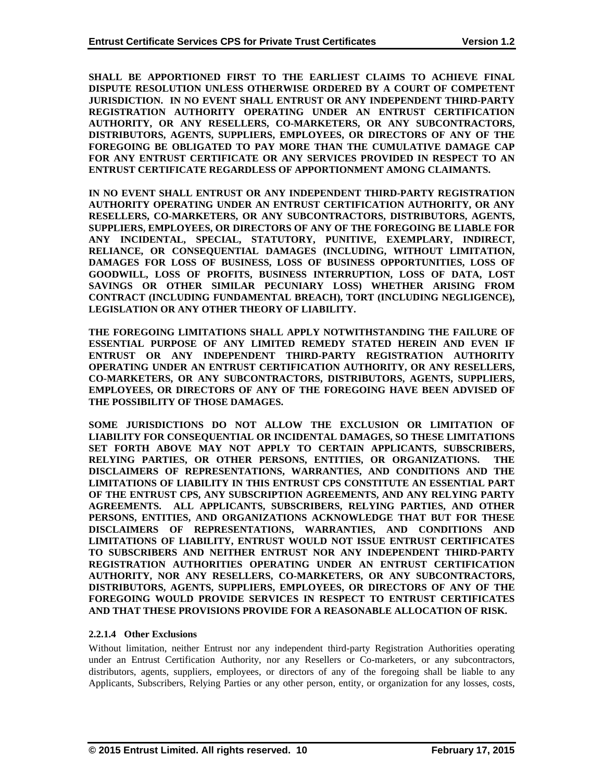**SHALL BE APPORTIONED FIRST TO THE EARLIEST CLAIMS TO ACHIEVE FINAL DISPUTE RESOLUTION UNLESS OTHERWISE ORDERED BY A COURT OF COMPETENT JURISDICTION. IN NO EVENT SHALL ENTRUST OR ANY INDEPENDENT THIRD-PARTY REGISTRATION AUTHORITY OPERATING UNDER AN ENTRUST CERTIFICATION AUTHORITY, OR ANY RESELLERS, CO-MARKETERS, OR ANY SUBCONTRACTORS, DISTRIBUTORS, AGENTS, SUPPLIERS, EMPLOYEES, OR DIRECTORS OF ANY OF THE FOREGOING BE OBLIGATED TO PAY MORE THAN THE CUMULATIVE DAMAGE CAP FOR ANY ENTRUST CERTIFICATE OR ANY SERVICES PROVIDED IN RESPECT TO AN ENTRUST CERTIFICATE REGARDLESS OF APPORTIONMENT AMONG CLAIMANTS.** 

**IN NO EVENT SHALL ENTRUST OR ANY INDEPENDENT THIRD-PARTY REGISTRATION AUTHORITY OPERATING UNDER AN ENTRUST CERTIFICATION AUTHORITY, OR ANY RESELLERS, CO-MARKETERS, OR ANY SUBCONTRACTORS, DISTRIBUTORS, AGENTS, SUPPLIERS, EMPLOYEES, OR DIRECTORS OF ANY OF THE FOREGOING BE LIABLE FOR ANY INCIDENTAL, SPECIAL, STATUTORY, PUNITIVE, EXEMPLARY, INDIRECT, RELIANCE, OR CONSEQUENTIAL DAMAGES (INCLUDING, WITHOUT LIMITATION, DAMAGES FOR LOSS OF BUSINESS, LOSS OF BUSINESS OPPORTUNITIES, LOSS OF GOODWILL, LOSS OF PROFITS, BUSINESS INTERRUPTION, LOSS OF DATA, LOST SAVINGS OR OTHER SIMILAR PECUNIARY LOSS) WHETHER ARISING FROM CONTRACT (INCLUDING FUNDAMENTAL BREACH), TORT (INCLUDING NEGLIGENCE), LEGISLATION OR ANY OTHER THEORY OF LIABILITY.** 

**THE FOREGOING LIMITATIONS SHALL APPLY NOTWITHSTANDING THE FAILURE OF ESSENTIAL PURPOSE OF ANY LIMITED REMEDY STATED HEREIN AND EVEN IF ENTRUST OR ANY INDEPENDENT THIRD-PARTY REGISTRATION AUTHORITY OPERATING UNDER AN ENTRUST CERTIFICATION AUTHORITY, OR ANY RESELLERS, CO-MARKETERS, OR ANY SUBCONTRACTORS, DISTRIBUTORS, AGENTS, SUPPLIERS, EMPLOYEES, OR DIRECTORS OF ANY OF THE FOREGOING HAVE BEEN ADVISED OF THE POSSIBILITY OF THOSE DAMAGES.** 

**SOME JURISDICTIONS DO NOT ALLOW THE EXCLUSION OR LIMITATION OF LIABILITY FOR CONSEQUENTIAL OR INCIDENTAL DAMAGES, SO THESE LIMITATIONS SET FORTH ABOVE MAY NOT APPLY TO CERTAIN APPLICANTS, SUBSCRIBERS, RELYING PARTIES, OR OTHER PERSONS, ENTITIES, OR ORGANIZATIONS. THE DISCLAIMERS OF REPRESENTATIONS, WARRANTIES, AND CONDITIONS AND THE LIMITATIONS OF LIABILITY IN THIS ENTRUST CPS CONSTITUTE AN ESSENTIAL PART OF THE ENTRUST CPS, ANY SUBSCRIPTION AGREEMENTS, AND ANY RELYING PARTY AGREEMENTS. ALL APPLICANTS, SUBSCRIBERS, RELYING PARTIES, AND OTHER PERSONS, ENTITIES, AND ORGANIZATIONS ACKNOWLEDGE THAT BUT FOR THESE DISCLAIMERS OF REPRESENTATIONS, WARRANTIES, AND CONDITIONS AND LIMITATIONS OF LIABILITY, ENTRUST WOULD NOT ISSUE ENTRUST CERTIFICATES TO SUBSCRIBERS AND NEITHER ENTRUST NOR ANY INDEPENDENT THIRD-PARTY REGISTRATION AUTHORITIES OPERATING UNDER AN ENTRUST CERTIFICATION AUTHORITY, NOR ANY RESELLERS, CO-MARKETERS, OR ANY SUBCONTRACTORS, DISTRIBUTORS, AGENTS, SUPPLIERS, EMPLOYEES, OR DIRECTORS OF ANY OF THE FOREGOING WOULD PROVIDE SERVICES IN RESPECT TO ENTRUST CERTIFICATES AND THAT THESE PROVISIONS PROVIDE FOR A REASONABLE ALLOCATION OF RISK.** 

## **2.2.1.4 Other Exclusions**

Without limitation, neither Entrust nor any independent third-party Registration Authorities operating under an Entrust Certification Authority, nor any Resellers or Co-marketers, or any subcontractors, distributors, agents, suppliers, employees, or directors of any of the foregoing shall be liable to any Applicants, Subscribers, Relying Parties or any other person, entity, or organization for any losses, costs,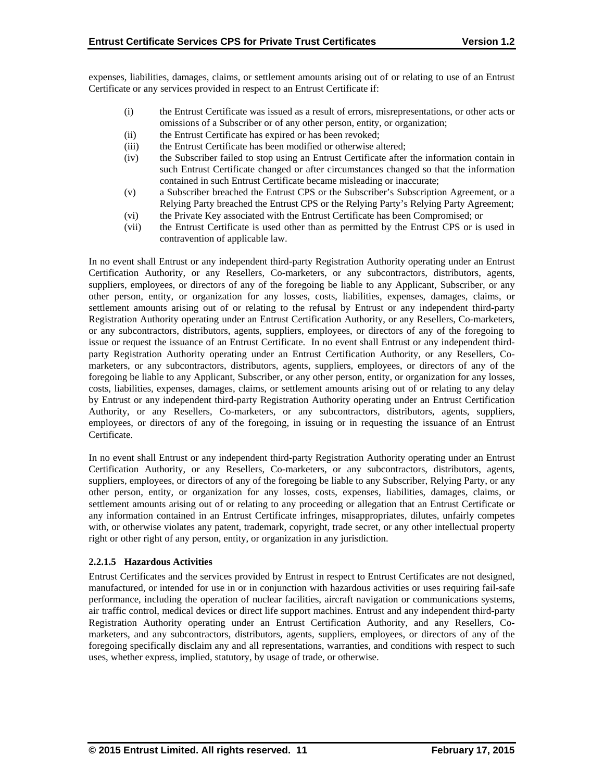expenses, liabilities, damages, claims, or settlement amounts arising out of or relating to use of an Entrust Certificate or any services provided in respect to an Entrust Certificate if:

- (i) the Entrust Certificate was issued as a result of errors, misrepresentations, or other acts or omissions of a Subscriber or of any other person, entity, or organization;
- (ii) the Entrust Certificate has expired or has been revoked;
- (iii) the Entrust Certificate has been modified or otherwise altered;
- (iv) the Subscriber failed to stop using an Entrust Certificate after the information contain in such Entrust Certificate changed or after circumstances changed so that the information contained in such Entrust Certificate became misleading or inaccurate;
- (v) a Subscriber breached the Entrust CPS or the Subscriber's Subscription Agreement, or a Relying Party breached the Entrust CPS or the Relying Party's Relying Party Agreement;
- (vi) the Private Key associated with the Entrust Certificate has been Compromised; or
- (vii) the Entrust Certificate is used other than as permitted by the Entrust CPS or is used in contravention of applicable law.

In no event shall Entrust or any independent third-party Registration Authority operating under an Entrust Certification Authority, or any Resellers, Co-marketers, or any subcontractors, distributors, agents, suppliers, employees, or directors of any of the foregoing be liable to any Applicant, Subscriber, or any other person, entity, or organization for any losses, costs, liabilities, expenses, damages, claims, or settlement amounts arising out of or relating to the refusal by Entrust or any independent third-party Registration Authority operating under an Entrust Certification Authority, or any Resellers, Co-marketers, or any subcontractors, distributors, agents, suppliers, employees, or directors of any of the foregoing to issue or request the issuance of an Entrust Certificate. In no event shall Entrust or any independent thirdparty Registration Authority operating under an Entrust Certification Authority, or any Resellers, Comarketers, or any subcontractors, distributors, agents, suppliers, employees, or directors of any of the foregoing be liable to any Applicant, Subscriber, or any other person, entity, or organization for any losses, costs, liabilities, expenses, damages, claims, or settlement amounts arising out of or relating to any delay by Entrust or any independent third-party Registration Authority operating under an Entrust Certification Authority, or any Resellers, Co-marketers, or any subcontractors, distributors, agents, suppliers, employees, or directors of any of the foregoing, in issuing or in requesting the issuance of an Entrust Certificate.

In no event shall Entrust or any independent third-party Registration Authority operating under an Entrust Certification Authority, or any Resellers, Co-marketers, or any subcontractors, distributors, agents, suppliers, employees, or directors of any of the foregoing be liable to any Subscriber, Relying Party, or any other person, entity, or organization for any losses, costs, expenses, liabilities, damages, claims, or settlement amounts arising out of or relating to any proceeding or allegation that an Entrust Certificate or any information contained in an Entrust Certificate infringes, misappropriates, dilutes, unfairly competes with, or otherwise violates any patent, trademark, copyright, trade secret, or any other intellectual property right or other right of any person, entity, or organization in any jurisdiction.

## **2.2.1.5 Hazardous Activities**

Entrust Certificates and the services provided by Entrust in respect to Entrust Certificates are not designed, manufactured, or intended for use in or in conjunction with hazardous activities or uses requiring fail-safe performance, including the operation of nuclear facilities, aircraft navigation or communications systems, air traffic control, medical devices or direct life support machines. Entrust and any independent third-party Registration Authority operating under an Entrust Certification Authority, and any Resellers, Comarketers, and any subcontractors, distributors, agents, suppliers, employees, or directors of any of the foregoing specifically disclaim any and all representations, warranties, and conditions with respect to such uses, whether express, implied, statutory, by usage of trade, or otherwise.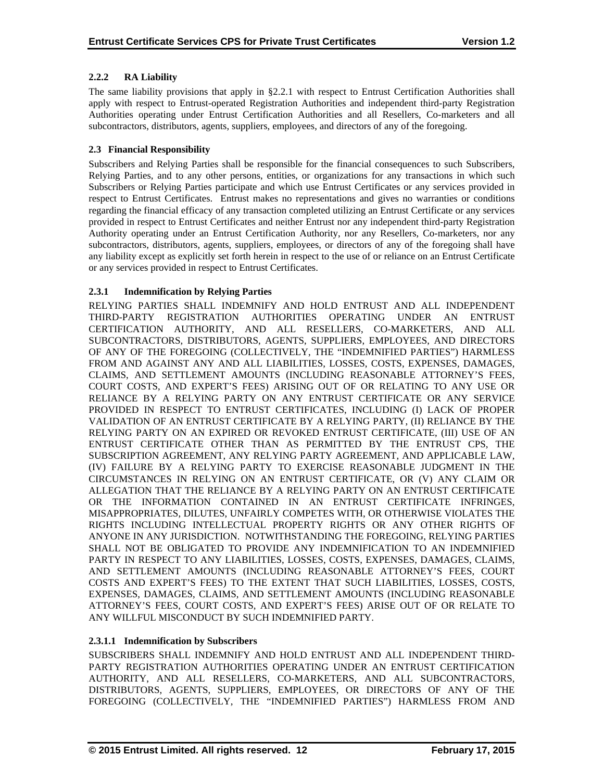## **2.2.2 RA Liability**

The same liability provisions that apply in §2.2.1 with respect to Entrust Certification Authorities shall apply with respect to Entrust-operated Registration Authorities and independent third-party Registration Authorities operating under Entrust Certification Authorities and all Resellers, Co-marketers and all subcontractors, distributors, agents, suppliers, employees, and directors of any of the foregoing.

## **2.3 Financial Responsibility**

Subscribers and Relying Parties shall be responsible for the financial consequences to such Subscribers, Relying Parties, and to any other persons, entities, or organizations for any transactions in which such Subscribers or Relying Parties participate and which use Entrust Certificates or any services provided in respect to Entrust Certificates. Entrust makes no representations and gives no warranties or conditions regarding the financial efficacy of any transaction completed utilizing an Entrust Certificate or any services provided in respect to Entrust Certificates and neither Entrust nor any independent third-party Registration Authority operating under an Entrust Certification Authority, nor any Resellers, Co-marketers, nor any subcontractors, distributors, agents, suppliers, employees, or directors of any of the foregoing shall have any liability except as explicitly set forth herein in respect to the use of or reliance on an Entrust Certificate or any services provided in respect to Entrust Certificates.

## **2.3.1 Indemnification by Relying Parties**

RELYING PARTIES SHALL INDEMNIFY AND HOLD ENTRUST AND ALL INDEPENDENT THIRD-PARTY REGISTRATION AUTHORITIES OPERATING UNDER AN ENTRUST CERTIFICATION AUTHORITY, AND ALL RESELLERS, CO-MARKETERS, AND ALL SUBCONTRACTORS, DISTRIBUTORS, AGENTS, SUPPLIERS, EMPLOYEES, AND DIRECTORS OF ANY OF THE FOREGOING (COLLECTIVELY, THE "INDEMNIFIED PARTIES") HARMLESS FROM AND AGAINST ANY AND ALL LIABILITIES, LOSSES, COSTS, EXPENSES, DAMAGES, CLAIMS, AND SETTLEMENT AMOUNTS (INCLUDING REASONABLE ATTORNEY'S FEES, COURT COSTS, AND EXPERT'S FEES) ARISING OUT OF OR RELATING TO ANY USE OR RELIANCE BY A RELYING PARTY ON ANY ENTRUST CERTIFICATE OR ANY SERVICE PROVIDED IN RESPECT TO ENTRUST CERTIFICATES, INCLUDING (I) LACK OF PROPER VALIDATION OF AN ENTRUST CERTIFICATE BY A RELYING PARTY, (II) RELIANCE BY THE RELYING PARTY ON AN EXPIRED OR REVOKED ENTRUST CERTIFICATE, (III) USE OF AN ENTRUST CERTIFICATE OTHER THAN AS PERMITTED BY THE ENTRUST CPS, THE SUBSCRIPTION AGREEMENT, ANY RELYING PARTY AGREEMENT, AND APPLICABLE LAW, (IV) FAILURE BY A RELYING PARTY TO EXERCISE REASONABLE JUDGMENT IN THE CIRCUMSTANCES IN RELYING ON AN ENTRUST CERTIFICATE, OR (V) ANY CLAIM OR ALLEGATION THAT THE RELIANCE BY A RELYING PARTY ON AN ENTRUST CERTIFICATE OR THE INFORMATION CONTAINED IN AN ENTRUST CERTIFICATE INFRINGES, MISAPPROPRIATES, DILUTES, UNFAIRLY COMPETES WITH, OR OTHERWISE VIOLATES THE RIGHTS INCLUDING INTELLECTUAL PROPERTY RIGHTS OR ANY OTHER RIGHTS OF ANYONE IN ANY JURISDICTION. NOTWITHSTANDING THE FOREGOING, RELYING PARTIES SHALL NOT BE OBLIGATED TO PROVIDE ANY INDEMNIFICATION TO AN INDEMNIFIED PARTY IN RESPECT TO ANY LIABILITIES, LOSSES, COSTS, EXPENSES, DAMAGES, CLAIMS, AND SETTLEMENT AMOUNTS (INCLUDING REASONABLE ATTORNEY'S FEES, COURT COSTS AND EXPERT'S FEES) TO THE EXTENT THAT SUCH LIABILITIES, LOSSES, COSTS, EXPENSES, DAMAGES, CLAIMS, AND SETTLEMENT AMOUNTS (INCLUDING REASONABLE ATTORNEY'S FEES, COURT COSTS, AND EXPERT'S FEES) ARISE OUT OF OR RELATE TO ANY WILLFUL MISCONDUCT BY SUCH INDEMNIFIED PARTY.

## **2.3.1.1 Indemnification by Subscribers**

SUBSCRIBERS SHALL INDEMNIFY AND HOLD ENTRUST AND ALL INDEPENDENT THIRD-PARTY REGISTRATION AUTHORITIES OPERATING UNDER AN ENTRUST CERTIFICATION AUTHORITY, AND ALL RESELLERS, CO-MARKETERS, AND ALL SUBCONTRACTORS, DISTRIBUTORS, AGENTS, SUPPLIERS, EMPLOYEES, OR DIRECTORS OF ANY OF THE FOREGOING (COLLECTIVELY, THE "INDEMNIFIED PARTIES") HARMLESS FROM AND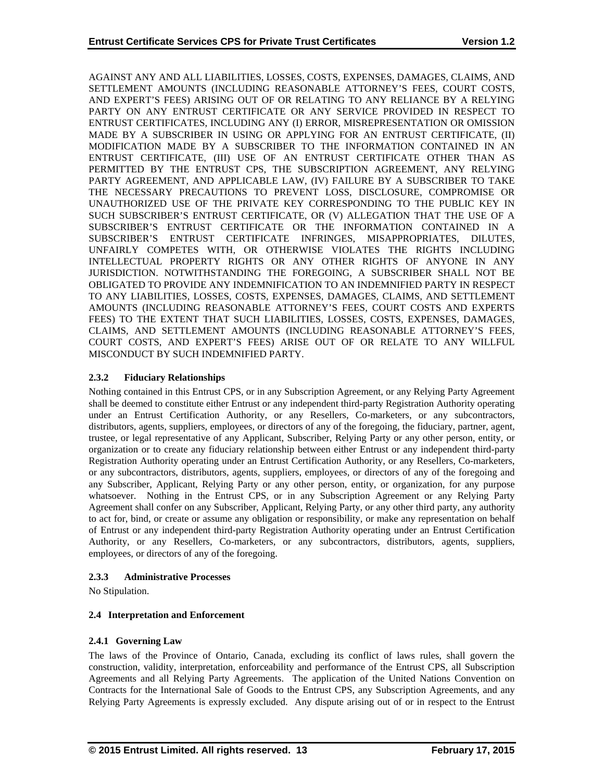AGAINST ANY AND ALL LIABILITIES, LOSSES, COSTS, EXPENSES, DAMAGES, CLAIMS, AND SETTLEMENT AMOUNTS (INCLUDING REASONABLE ATTORNEY'S FEES, COURT COSTS, AND EXPERT'S FEES) ARISING OUT OF OR RELATING TO ANY RELIANCE BY A RELYING PARTY ON ANY ENTRUST CERTIFICATE OR ANY SERVICE PROVIDED IN RESPECT TO ENTRUST CERTIFICATES, INCLUDING ANY (I) ERROR, MISREPRESENTATION OR OMISSION MADE BY A SUBSCRIBER IN USING OR APPLYING FOR AN ENTRUST CERTIFICATE, (II) MODIFICATION MADE BY A SUBSCRIBER TO THE INFORMATION CONTAINED IN AN ENTRUST CERTIFICATE, (III) USE OF AN ENTRUST CERTIFICATE OTHER THAN AS PERMITTED BY THE ENTRUST CPS, THE SUBSCRIPTION AGREEMENT, ANY RELYING PARTY AGREEMENT, AND APPLICABLE LAW, (IV) FAILURE BY A SUBSCRIBER TO TAKE THE NECESSARY PRECAUTIONS TO PREVENT LOSS, DISCLOSURE, COMPROMISE OR UNAUTHORIZED USE OF THE PRIVATE KEY CORRESPONDING TO THE PUBLIC KEY IN SUCH SUBSCRIBER'S ENTRUST CERTIFICATE, OR (V) ALLEGATION THAT THE USE OF A SUBSCRIBER'S ENTRUST CERTIFICATE OR THE INFORMATION CONTAINED IN A SUBSCRIBER'S ENTRUST CERTIFICATE INFRINGES, MISAPPROPRIATES, DILUTES, UNFAIRLY COMPETES WITH, OR OTHERWISE VIOLATES THE RIGHTS INCLUDING INTELLECTUAL PROPERTY RIGHTS OR ANY OTHER RIGHTS OF ANYONE IN ANY JURISDICTION. NOTWITHSTANDING THE FOREGOING, A SUBSCRIBER SHALL NOT BE OBLIGATED TO PROVIDE ANY INDEMNIFICATION TO AN INDEMNIFIED PARTY IN RESPECT TO ANY LIABILITIES, LOSSES, COSTS, EXPENSES, DAMAGES, CLAIMS, AND SETTLEMENT AMOUNTS (INCLUDING REASONABLE ATTORNEY'S FEES, COURT COSTS AND EXPERTS FEES) TO THE EXTENT THAT SUCH LIABILITIES, LOSSES, COSTS, EXPENSES, DAMAGES, CLAIMS, AND SETTLEMENT AMOUNTS (INCLUDING REASONABLE ATTORNEY'S FEES, COURT COSTS, AND EXPERT'S FEES) ARISE OUT OF OR RELATE TO ANY WILLFUL MISCONDUCT BY SUCH INDEMNIFIED PARTY.

## **2.3.2 Fiduciary Relationships**

Nothing contained in this Entrust CPS, or in any Subscription Agreement, or any Relying Party Agreement shall be deemed to constitute either Entrust or any independent third-party Registration Authority operating under an Entrust Certification Authority, or any Resellers, Co-marketers, or any subcontractors, distributors, agents, suppliers, employees, or directors of any of the foregoing, the fiduciary, partner, agent, trustee, or legal representative of any Applicant, Subscriber, Relying Party or any other person, entity, or organization or to create any fiduciary relationship between either Entrust or any independent third-party Registration Authority operating under an Entrust Certification Authority, or any Resellers, Co-marketers, or any subcontractors, distributors, agents, suppliers, employees, or directors of any of the foregoing and any Subscriber, Applicant, Relying Party or any other person, entity, or organization, for any purpose whatsoever. Nothing in the Entrust CPS, or in any Subscription Agreement or any Relying Party Agreement shall confer on any Subscriber, Applicant, Relying Party, or any other third party, any authority to act for, bind, or create or assume any obligation or responsibility, or make any representation on behalf of Entrust or any independent third-party Registration Authority operating under an Entrust Certification Authority, or any Resellers, Co-marketers, or any subcontractors, distributors, agents, suppliers, employees, or directors of any of the foregoing.

#### **2.3.3 Administrative Processes**

No Stipulation.

## **2.4 Interpretation and Enforcement**

## **2.4.1 Governing Law**

The laws of the Province of Ontario, Canada, excluding its conflict of laws rules, shall govern the construction, validity, interpretation, enforceability and performance of the Entrust CPS, all Subscription Agreements and all Relying Party Agreements. The application of the United Nations Convention on Contracts for the International Sale of Goods to the Entrust CPS, any Subscription Agreements, and any Relying Party Agreements is expressly excluded. Any dispute arising out of or in respect to the Entrust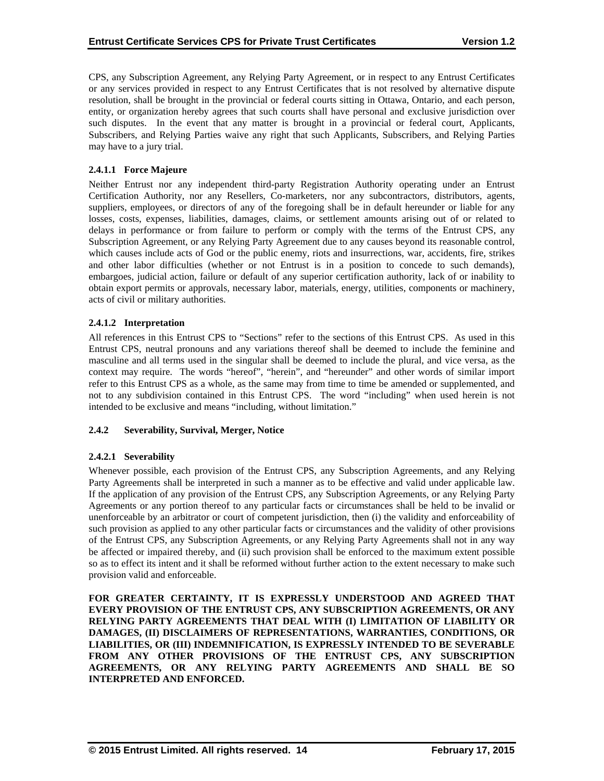CPS, any Subscription Agreement, any Relying Party Agreement, or in respect to any Entrust Certificates or any services provided in respect to any Entrust Certificates that is not resolved by alternative dispute resolution, shall be brought in the provincial or federal courts sitting in Ottawa, Ontario, and each person, entity, or organization hereby agrees that such courts shall have personal and exclusive jurisdiction over such disputes. In the event that any matter is brought in a provincial or federal court, Applicants, Subscribers, and Relying Parties waive any right that such Applicants, Subscribers, and Relying Parties may have to a jury trial.

## **2.4.1.1 Force Majeure**

Neither Entrust nor any independent third-party Registration Authority operating under an Entrust Certification Authority, nor any Resellers, Co-marketers, nor any subcontractors, distributors, agents, suppliers, employees, or directors of any of the foregoing shall be in default hereunder or liable for any losses, costs, expenses, liabilities, damages, claims, or settlement amounts arising out of or related to delays in performance or from failure to perform or comply with the terms of the Entrust CPS, any Subscription Agreement, or any Relying Party Agreement due to any causes beyond its reasonable control, which causes include acts of God or the public enemy, riots and insurrections, war, accidents, fire, strikes and other labor difficulties (whether or not Entrust is in a position to concede to such demands), embargoes, judicial action, failure or default of any superior certification authority, lack of or inability to obtain export permits or approvals, necessary labor, materials, energy, utilities, components or machinery, acts of civil or military authorities.

#### **2.4.1.2 Interpretation**

All references in this Entrust CPS to "Sections" refer to the sections of this Entrust CPS. As used in this Entrust CPS, neutral pronouns and any variations thereof shall be deemed to include the feminine and masculine and all terms used in the singular shall be deemed to include the plural, and vice versa, as the context may require. The words "hereof", "herein", and "hereunder" and other words of similar import refer to this Entrust CPS as a whole, as the same may from time to time be amended or supplemented, and not to any subdivision contained in this Entrust CPS. The word "including" when used herein is not intended to be exclusive and means "including, without limitation."

#### **2.4.2 Severability, Survival, Merger, Notice**

## **2.4.2.1 Severability**

Whenever possible, each provision of the Entrust CPS, any Subscription Agreements, and any Relying Party Agreements shall be interpreted in such a manner as to be effective and valid under applicable law. If the application of any provision of the Entrust CPS, any Subscription Agreements, or any Relying Party Agreements or any portion thereof to any particular facts or circumstances shall be held to be invalid or unenforceable by an arbitrator or court of competent jurisdiction, then (i) the validity and enforceability of such provision as applied to any other particular facts or circumstances and the validity of other provisions of the Entrust CPS, any Subscription Agreements, or any Relying Party Agreements shall not in any way be affected or impaired thereby, and (ii) such provision shall be enforced to the maximum extent possible so as to effect its intent and it shall be reformed without further action to the extent necessary to make such provision valid and enforceable.

**FOR GREATER CERTAINTY, IT IS EXPRESSLY UNDERSTOOD AND AGREED THAT EVERY PROVISION OF THE ENTRUST CPS, ANY SUBSCRIPTION AGREEMENTS, OR ANY RELYING PARTY AGREEMENTS THAT DEAL WITH (I) LIMITATION OF LIABILITY OR DAMAGES, (II) DISCLAIMERS OF REPRESENTATIONS, WARRANTIES, CONDITIONS, OR LIABILITIES, OR (III) INDEMNIFICATION, IS EXPRESSLY INTENDED TO BE SEVERABLE FROM ANY OTHER PROVISIONS OF THE ENTRUST CPS, ANY SUBSCRIPTION AGREEMENTS, OR ANY RELYING PARTY AGREEMENTS AND SHALL BE SO INTERPRETED AND ENFORCED.**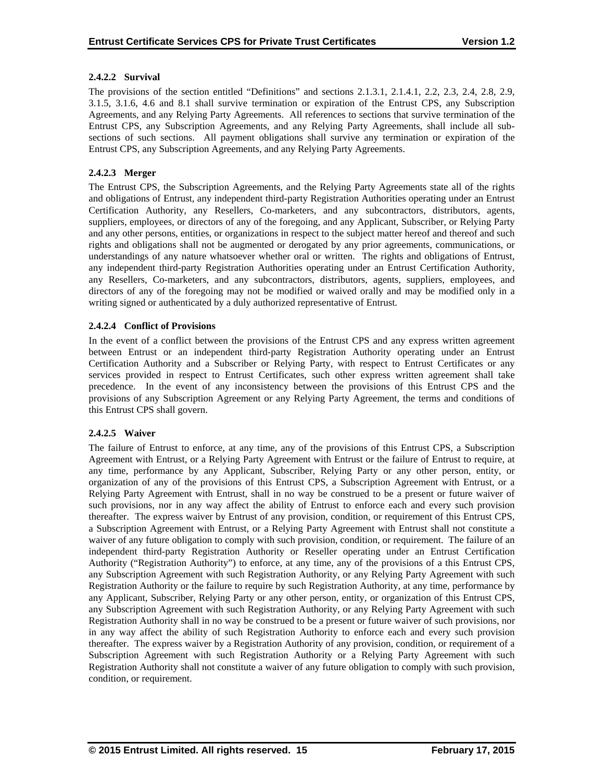## **2.4.2.2 Survival**

The provisions of the section entitled "Definitions" and sections 2.1.3.1, 2.1.4.1, 2.2, 2.3, 2.4, 2.8, 2.9, 3.1.5, 3.1.6, 4.6 and 8.1 shall survive termination or expiration of the Entrust CPS, any Subscription Agreements, and any Relying Party Agreements. All references to sections that survive termination of the Entrust CPS, any Subscription Agreements, and any Relying Party Agreements, shall include all subsections of such sections. All payment obligations shall survive any termination or expiration of the Entrust CPS, any Subscription Agreements, and any Relying Party Agreements.

## **2.4.2.3 Merger**

The Entrust CPS, the Subscription Agreements, and the Relying Party Agreements state all of the rights and obligations of Entrust, any independent third-party Registration Authorities operating under an Entrust Certification Authority, any Resellers, Co-marketers, and any subcontractors, distributors, agents, suppliers, employees, or directors of any of the foregoing, and any Applicant, Subscriber, or Relying Party and any other persons, entities, or organizations in respect to the subject matter hereof and thereof and such rights and obligations shall not be augmented or derogated by any prior agreements, communications, or understandings of any nature whatsoever whether oral or written. The rights and obligations of Entrust, any independent third-party Registration Authorities operating under an Entrust Certification Authority, any Resellers, Co-marketers, and any subcontractors, distributors, agents, suppliers, employees, and directors of any of the foregoing may not be modified or waived orally and may be modified only in a writing signed or authenticated by a duly authorized representative of Entrust.

## **2.4.2.4 Conflict of Provisions**

In the event of a conflict between the provisions of the Entrust CPS and any express written agreement between Entrust or an independent third-party Registration Authority operating under an Entrust Certification Authority and a Subscriber or Relying Party, with respect to Entrust Certificates or any services provided in respect to Entrust Certificates, such other express written agreement shall take precedence. In the event of any inconsistency between the provisions of this Entrust CPS and the provisions of any Subscription Agreement or any Relying Party Agreement, the terms and conditions of this Entrust CPS shall govern.

#### **2.4.2.5 Waiver**

The failure of Entrust to enforce, at any time, any of the provisions of this Entrust CPS, a Subscription Agreement with Entrust, or a Relying Party Agreement with Entrust or the failure of Entrust to require, at any time, performance by any Applicant, Subscriber, Relying Party or any other person, entity, or organization of any of the provisions of this Entrust CPS, a Subscription Agreement with Entrust, or a Relying Party Agreement with Entrust, shall in no way be construed to be a present or future waiver of such provisions, nor in any way affect the ability of Entrust to enforce each and every such provision thereafter. The express waiver by Entrust of any provision, condition, or requirement of this Entrust CPS, a Subscription Agreement with Entrust, or a Relying Party Agreement with Entrust shall not constitute a waiver of any future obligation to comply with such provision, condition, or requirement. The failure of an independent third-party Registration Authority or Reseller operating under an Entrust Certification Authority ("Registration Authority") to enforce, at any time, any of the provisions of a this Entrust CPS, any Subscription Agreement with such Registration Authority, or any Relying Party Agreement with such Registration Authority or the failure to require by such Registration Authority, at any time, performance by any Applicant, Subscriber, Relying Party or any other person, entity, or organization of this Entrust CPS, any Subscription Agreement with such Registration Authority, or any Relying Party Agreement with such Registration Authority shall in no way be construed to be a present or future waiver of such provisions, nor in any way affect the ability of such Registration Authority to enforce each and every such provision thereafter. The express waiver by a Registration Authority of any provision, condition, or requirement of a Subscription Agreement with such Registration Authority or a Relying Party Agreement with such Registration Authority shall not constitute a waiver of any future obligation to comply with such provision, condition, or requirement.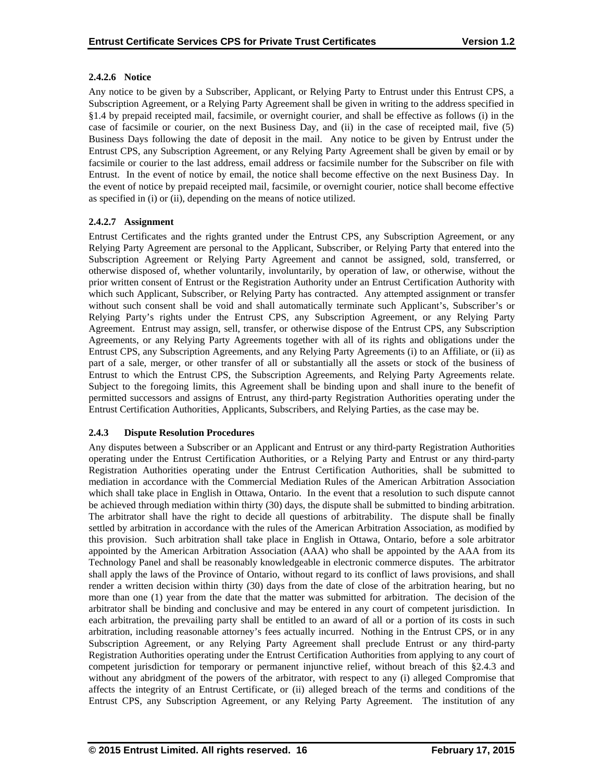## **2.4.2.6 Notice**

Any notice to be given by a Subscriber, Applicant, or Relying Party to Entrust under this Entrust CPS, a Subscription Agreement, or a Relying Party Agreement shall be given in writing to the address specified in §1.4 by prepaid receipted mail, facsimile, or overnight courier, and shall be effective as follows (i) in the case of facsimile or courier, on the next Business Day, and (ii) in the case of receipted mail, five (5) Business Days following the date of deposit in the mail. Any notice to be given by Entrust under the Entrust CPS, any Subscription Agreement, or any Relying Party Agreement shall be given by email or by facsimile or courier to the last address, email address or facsimile number for the Subscriber on file with Entrust. In the event of notice by email, the notice shall become effective on the next Business Day. In the event of notice by prepaid receipted mail, facsimile, or overnight courier, notice shall become effective as specified in (i) or (ii), depending on the means of notice utilized.

## **2.4.2.7 Assignment**

Entrust Certificates and the rights granted under the Entrust CPS, any Subscription Agreement, or any Relying Party Agreement are personal to the Applicant, Subscriber, or Relying Party that entered into the Subscription Agreement or Relying Party Agreement and cannot be assigned, sold, transferred, or otherwise disposed of, whether voluntarily, involuntarily, by operation of law, or otherwise, without the prior written consent of Entrust or the Registration Authority under an Entrust Certification Authority with which such Applicant, Subscriber, or Relying Party has contracted. Any attempted assignment or transfer without such consent shall be void and shall automatically terminate such Applicant's, Subscriber's or Relying Party's rights under the Entrust CPS, any Subscription Agreement, or any Relying Party Agreement. Entrust may assign, sell, transfer, or otherwise dispose of the Entrust CPS, any Subscription Agreements, or any Relying Party Agreements together with all of its rights and obligations under the Entrust CPS, any Subscription Agreements, and any Relying Party Agreements (i) to an Affiliate, or (ii) as part of a sale, merger, or other transfer of all or substantially all the assets or stock of the business of Entrust to which the Entrust CPS, the Subscription Agreements, and Relying Party Agreements relate. Subject to the foregoing limits, this Agreement shall be binding upon and shall inure to the benefit of permitted successors and assigns of Entrust, any third-party Registration Authorities operating under the Entrust Certification Authorities, Applicants, Subscribers, and Relying Parties, as the case may be.

## **2.4.3 Dispute Resolution Procedures**

Any disputes between a Subscriber or an Applicant and Entrust or any third-party Registration Authorities operating under the Entrust Certification Authorities, or a Relying Party and Entrust or any third-party Registration Authorities operating under the Entrust Certification Authorities, shall be submitted to mediation in accordance with the Commercial Mediation Rules of the American Arbitration Association which shall take place in English in Ottawa, Ontario. In the event that a resolution to such dispute cannot be achieved through mediation within thirty (30) days, the dispute shall be submitted to binding arbitration. The arbitrator shall have the right to decide all questions of arbitrability. The dispute shall be finally settled by arbitration in accordance with the rules of the American Arbitration Association, as modified by this provision. Such arbitration shall take place in English in Ottawa, Ontario, before a sole arbitrator appointed by the American Arbitration Association (AAA) who shall be appointed by the AAA from its Technology Panel and shall be reasonably knowledgeable in electronic commerce disputes. The arbitrator shall apply the laws of the Province of Ontario, without regard to its conflict of laws provisions, and shall render a written decision within thirty (30) days from the date of close of the arbitration hearing, but no more than one (1) year from the date that the matter was submitted for arbitration. The decision of the arbitrator shall be binding and conclusive and may be entered in any court of competent jurisdiction. In each arbitration, the prevailing party shall be entitled to an award of all or a portion of its costs in such arbitration, including reasonable attorney's fees actually incurred. Nothing in the Entrust CPS, or in any Subscription Agreement, or any Relying Party Agreement shall preclude Entrust or any third-party Registration Authorities operating under the Entrust Certification Authorities from applying to any court of competent jurisdiction for temporary or permanent injunctive relief, without breach of this §2.4.3 and without any abridgment of the powers of the arbitrator, with respect to any (i) alleged Compromise that affects the integrity of an Entrust Certificate, or (ii) alleged breach of the terms and conditions of the Entrust CPS, any Subscription Agreement, or any Relying Party Agreement. The institution of any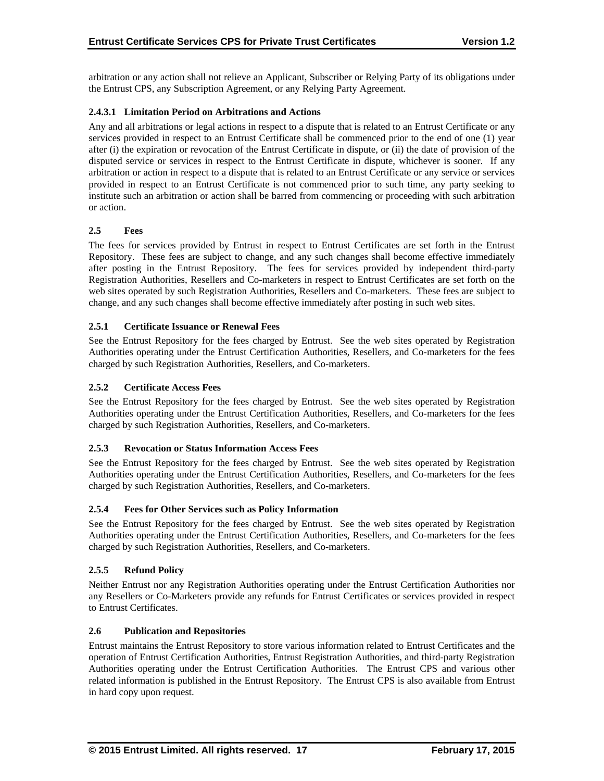arbitration or any action shall not relieve an Applicant, Subscriber or Relying Party of its obligations under the Entrust CPS, any Subscription Agreement, or any Relying Party Agreement.

## **2.4.3.1 Limitation Period on Arbitrations and Actions**

Any and all arbitrations or legal actions in respect to a dispute that is related to an Entrust Certificate or any services provided in respect to an Entrust Certificate shall be commenced prior to the end of one (1) year after (i) the expiration or revocation of the Entrust Certificate in dispute, or (ii) the date of provision of the disputed service or services in respect to the Entrust Certificate in dispute, whichever is sooner. If any arbitration or action in respect to a dispute that is related to an Entrust Certificate or any service or services provided in respect to an Entrust Certificate is not commenced prior to such time, any party seeking to institute such an arbitration or action shall be barred from commencing or proceeding with such arbitration or action.

## **2.5 Fees**

The fees for services provided by Entrust in respect to Entrust Certificates are set forth in the Entrust Repository. These fees are subject to change, and any such changes shall become effective immediately after posting in the Entrust Repository. The fees for services provided by independent third-party Registration Authorities, Resellers and Co-marketers in respect to Entrust Certificates are set forth on the web sites operated by such Registration Authorities, Resellers and Co-marketers. These fees are subject to change, and any such changes shall become effective immediately after posting in such web sites.

## **2.5.1 Certificate Issuance or Renewal Fees**

See the Entrust Repository for the fees charged by Entrust. See the web sites operated by Registration Authorities operating under the Entrust Certification Authorities, Resellers, and Co-marketers for the fees charged by such Registration Authorities, Resellers, and Co-marketers.

## **2.5.2 Certificate Access Fees**

See the Entrust Repository for the fees charged by Entrust. See the web sites operated by Registration Authorities operating under the Entrust Certification Authorities, Resellers, and Co-marketers for the fees charged by such Registration Authorities, Resellers, and Co-marketers.

#### **2.5.3 Revocation or Status Information Access Fees**

See the Entrust Repository for the fees charged by Entrust. See the web sites operated by Registration Authorities operating under the Entrust Certification Authorities, Resellers, and Co-marketers for the fees charged by such Registration Authorities, Resellers, and Co-marketers.

#### **2.5.4 Fees for Other Services such as Policy Information**

See the Entrust Repository for the fees charged by Entrust. See the web sites operated by Registration Authorities operating under the Entrust Certification Authorities, Resellers, and Co-marketers for the fees charged by such Registration Authorities, Resellers, and Co-marketers.

#### **2.5.5 Refund Policy**

Neither Entrust nor any Registration Authorities operating under the Entrust Certification Authorities nor any Resellers or Co-Marketers provide any refunds for Entrust Certificates or services provided in respect to Entrust Certificates.

#### **2.6 Publication and Repositories**

Entrust maintains the Entrust Repository to store various information related to Entrust Certificates and the operation of Entrust Certification Authorities, Entrust Registration Authorities, and third-party Registration Authorities operating under the Entrust Certification Authorities. The Entrust CPS and various other related information is published in the Entrust Repository. The Entrust CPS is also available from Entrust in hard copy upon request.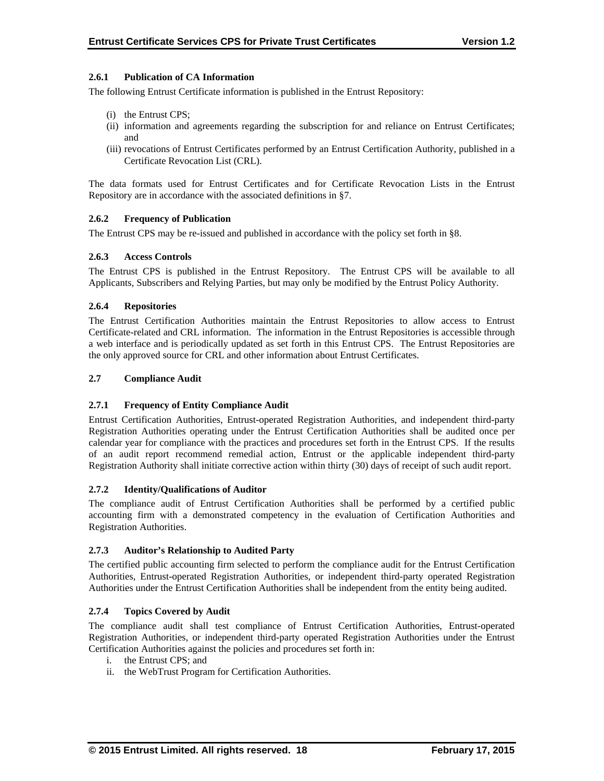## **2.6.1 Publication of CA Information**

The following Entrust Certificate information is published in the Entrust Repository:

- (i) the Entrust CPS;
- (ii) information and agreements regarding the subscription for and reliance on Entrust Certificates; and
- (iii) revocations of Entrust Certificates performed by an Entrust Certification Authority, published in a Certificate Revocation List (CRL).

The data formats used for Entrust Certificates and for Certificate Revocation Lists in the Entrust Repository are in accordance with the associated definitions in §7.

## **2.6.2 Frequency of Publication**

The Entrust CPS may be re-issued and published in accordance with the policy set forth in §8.

## **2.6.3 Access Controls**

The Entrust CPS is published in the Entrust Repository. The Entrust CPS will be available to all Applicants, Subscribers and Relying Parties, but may only be modified by the Entrust Policy Authority.

## **2.6.4 Repositories**

The Entrust Certification Authorities maintain the Entrust Repositories to allow access to Entrust Certificate-related and CRL information. The information in the Entrust Repositories is accessible through a web interface and is periodically updated as set forth in this Entrust CPS. The Entrust Repositories are the only approved source for CRL and other information about Entrust Certificates.

## **2.7 Compliance Audit**

#### **2.7.1 Frequency of Entity Compliance Audit**

Entrust Certification Authorities, Entrust-operated Registration Authorities, and independent third-party Registration Authorities operating under the Entrust Certification Authorities shall be audited once per calendar year for compliance with the practices and procedures set forth in the Entrust CPS. If the results of an audit report recommend remedial action, Entrust or the applicable independent third-party Registration Authority shall initiate corrective action within thirty (30) days of receipt of such audit report.

#### **2.7.2 Identity/Qualifications of Auditor**

The compliance audit of Entrust Certification Authorities shall be performed by a certified public accounting firm with a demonstrated competency in the evaluation of Certification Authorities and Registration Authorities.

#### **2.7.3 Auditor's Relationship to Audited Party**

The certified public accounting firm selected to perform the compliance audit for the Entrust Certification Authorities, Entrust-operated Registration Authorities, or independent third-party operated Registration Authorities under the Entrust Certification Authorities shall be independent from the entity being audited.

#### **2.7.4 Topics Covered by Audit**

The compliance audit shall test compliance of Entrust Certification Authorities, Entrust-operated Registration Authorities, or independent third-party operated Registration Authorities under the Entrust Certification Authorities against the policies and procedures set forth in:

- i. the Entrust CPS; and
- ii. the WebTrust Program for Certification Authorities.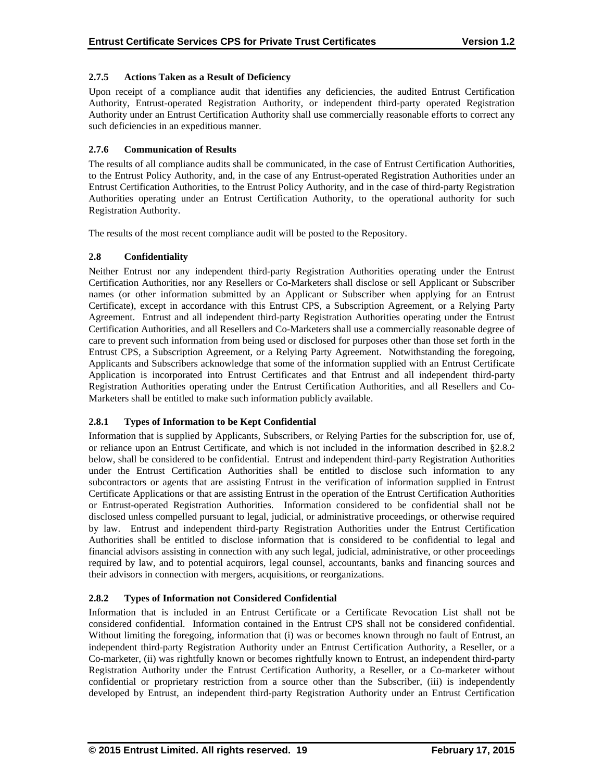## **2.7.5 Actions Taken as a Result of Deficiency**

Upon receipt of a compliance audit that identifies any deficiencies, the audited Entrust Certification Authority, Entrust-operated Registration Authority, or independent third-party operated Registration Authority under an Entrust Certification Authority shall use commercially reasonable efforts to correct any such deficiencies in an expeditious manner.

## **2.7.6 Communication of Results**

The results of all compliance audits shall be communicated, in the case of Entrust Certification Authorities, to the Entrust Policy Authority, and, in the case of any Entrust-operated Registration Authorities under an Entrust Certification Authorities, to the Entrust Policy Authority, and in the case of third-party Registration Authorities operating under an Entrust Certification Authority, to the operational authority for such Registration Authority.

The results of the most recent compliance audit will be posted to the Repository.

## **2.8 Confidentiality**

Neither Entrust nor any independent third-party Registration Authorities operating under the Entrust Certification Authorities, nor any Resellers or Co-Marketers shall disclose or sell Applicant or Subscriber names (or other information submitted by an Applicant or Subscriber when applying for an Entrust Certificate), except in accordance with this Entrust CPS, a Subscription Agreement, or a Relying Party Agreement. Entrust and all independent third-party Registration Authorities operating under the Entrust Certification Authorities, and all Resellers and Co-Marketers shall use a commercially reasonable degree of care to prevent such information from being used or disclosed for purposes other than those set forth in the Entrust CPS, a Subscription Agreement, or a Relying Party Agreement. Notwithstanding the foregoing, Applicants and Subscribers acknowledge that some of the information supplied with an Entrust Certificate Application is incorporated into Entrust Certificates and that Entrust and all independent third-party Registration Authorities operating under the Entrust Certification Authorities, and all Resellers and Co-Marketers shall be entitled to make such information publicly available.

#### **2.8.1 Types of Information to be Kept Confidential**

Information that is supplied by Applicants, Subscribers, or Relying Parties for the subscription for, use of, or reliance upon an Entrust Certificate, and which is not included in the information described in §2.8.2 below, shall be considered to be confidential. Entrust and independent third-party Registration Authorities under the Entrust Certification Authorities shall be entitled to disclose such information to any subcontractors or agents that are assisting Entrust in the verification of information supplied in Entrust Certificate Applications or that are assisting Entrust in the operation of the Entrust Certification Authorities or Entrust-operated Registration Authorities. Information considered to be confidential shall not be disclosed unless compelled pursuant to legal, judicial, or administrative proceedings, or otherwise required by law. Entrust and independent third-party Registration Authorities under the Entrust Certification Authorities shall be entitled to disclose information that is considered to be confidential to legal and financial advisors assisting in connection with any such legal, judicial, administrative, or other proceedings required by law, and to potential acquirors, legal counsel, accountants, banks and financing sources and their advisors in connection with mergers, acquisitions, or reorganizations.

#### **2.8.2 Types of Information not Considered Confidential**

Information that is included in an Entrust Certificate or a Certificate Revocation List shall not be considered confidential. Information contained in the Entrust CPS shall not be considered confidential. Without limiting the foregoing, information that (i) was or becomes known through no fault of Entrust, an independent third-party Registration Authority under an Entrust Certification Authority, a Reseller, or a Co-marketer, (ii) was rightfully known or becomes rightfully known to Entrust, an independent third-party Registration Authority under the Entrust Certification Authority, a Reseller, or a Co-marketer without confidential or proprietary restriction from a source other than the Subscriber, (iii) is independently developed by Entrust, an independent third-party Registration Authority under an Entrust Certification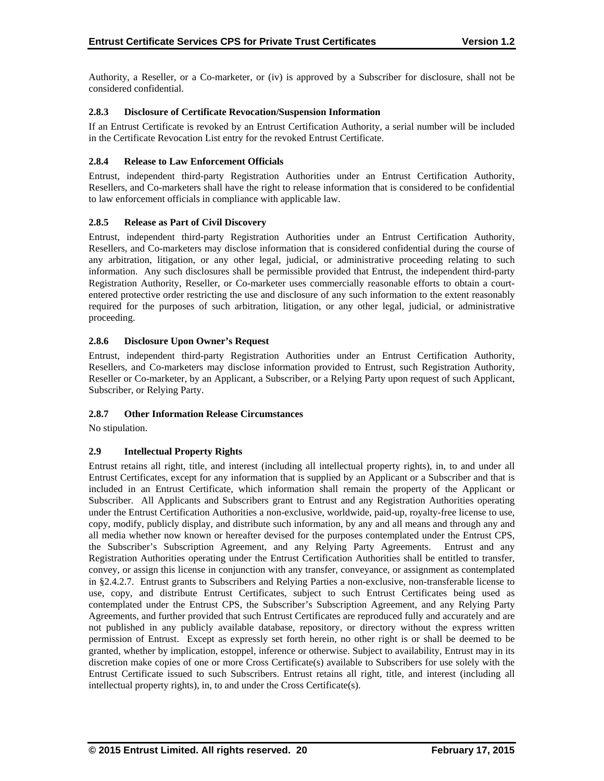Authority, a Reseller, or a Co-marketer, or (iv) is approved by a Subscriber for disclosure, shall not be considered confidential.

## **2.8.3 Disclosure of Certificate Revocation/Suspension Information**

If an Entrust Certificate is revoked by an Entrust Certification Authority, a serial number will be included in the Certificate Revocation List entry for the revoked Entrust Certificate.

## **2.8.4 Release to Law Enforcement Officials**

Entrust, independent third-party Registration Authorities under an Entrust Certification Authority, Resellers, and Co-marketers shall have the right to release information that is considered to be confidential to law enforcement officials in compliance with applicable law.

## **2.8.5 Release as Part of Civil Discovery**

Entrust, independent third-party Registration Authorities under an Entrust Certification Authority, Resellers, and Co-marketers may disclose information that is considered confidential during the course of any arbitration, litigation, or any other legal, judicial, or administrative proceeding relating to such information. Any such disclosures shall be permissible provided that Entrust, the independent third-party Registration Authority, Reseller, or Co-marketer uses commercially reasonable efforts to obtain a courtentered protective order restricting the use and disclosure of any such information to the extent reasonably required for the purposes of such arbitration, litigation, or any other legal, judicial, or administrative proceeding.

## **2.8.6 Disclosure Upon Owner's Request**

Entrust, independent third-party Registration Authorities under an Entrust Certification Authority, Resellers, and Co-marketers may disclose information provided to Entrust, such Registration Authority, Reseller or Co-marketer, by an Applicant, a Subscriber, or a Relying Party upon request of such Applicant, Subscriber, or Relying Party.

#### **2.8.7 Other Information Release Circumstances**

No stipulation.

## **2.9 Intellectual Property Rights**

Entrust retains all right, title, and interest (including all intellectual property rights), in, to and under all Entrust Certificates, except for any information that is supplied by an Applicant or a Subscriber and that is included in an Entrust Certificate, which information shall remain the property of the Applicant or Subscriber. All Applicants and Subscribers grant to Entrust and any Registration Authorities operating under the Entrust Certification Authorities a non-exclusive, worldwide, paid-up, royalty-free license to use, copy, modify, publicly display, and distribute such information, by any and all means and through any and all media whether now known or hereafter devised for the purposes contemplated under the Entrust CPS, the Subscriber's Subscription Agreement, and any Relying Party Agreements. Entrust and any Registration Authorities operating under the Entrust Certification Authorities shall be entitled to transfer, convey, or assign this license in conjunction with any transfer, conveyance, or assignment as contemplated in §2.4.2.7. Entrust grants to Subscribers and Relying Parties a non-exclusive, non-transferable license to use, copy, and distribute Entrust Certificates, subject to such Entrust Certificates being used as contemplated under the Entrust CPS, the Subscriber's Subscription Agreement, and any Relying Party Agreements, and further provided that such Entrust Certificates are reproduced fully and accurately and are not published in any publicly available database, repository, or directory without the express written permission of Entrust. Except as expressly set forth herein, no other right is or shall be deemed to be granted, whether by implication, estoppel, inference or otherwise. Subject to availability, Entrust may in its discretion make copies of one or more Cross Certificate(s) available to Subscribers for use solely with the Entrust Certificate issued to such Subscribers. Entrust retains all right, title, and interest (including all intellectual property rights), in, to and under the Cross Certificate(s).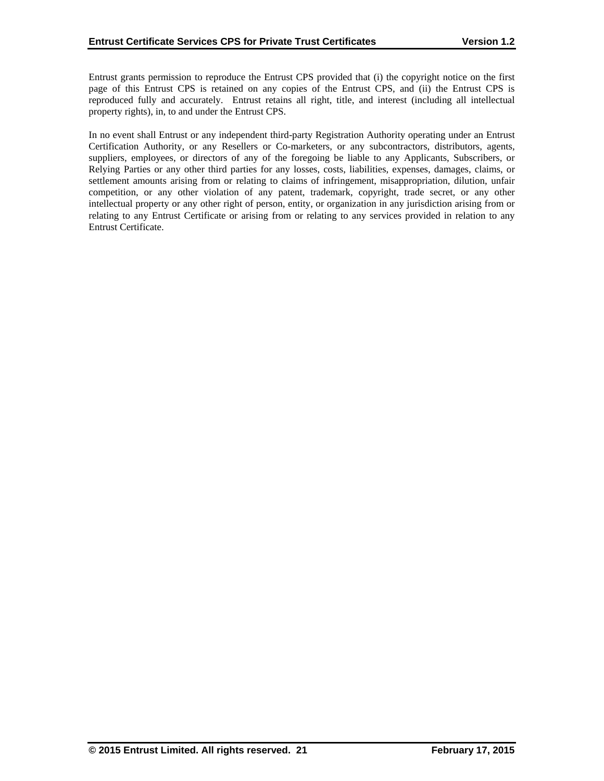Entrust grants permission to reproduce the Entrust CPS provided that (i) the copyright notice on the first page of this Entrust CPS is retained on any copies of the Entrust CPS, and (ii) the Entrust CPS is reproduced fully and accurately. Entrust retains all right, title, and interest (including all intellectual property rights), in, to and under the Entrust CPS.

In no event shall Entrust or any independent third-party Registration Authority operating under an Entrust Certification Authority, or any Resellers or Co-marketers, or any subcontractors, distributors, agents, suppliers, employees, or directors of any of the foregoing be liable to any Applicants, Subscribers, or Relying Parties or any other third parties for any losses, costs, liabilities, expenses, damages, claims, or settlement amounts arising from or relating to claims of infringement, misappropriation, dilution, unfair competition, or any other violation of any patent, trademark, copyright, trade secret, or any other intellectual property or any other right of person, entity, or organization in any jurisdiction arising from or relating to any Entrust Certificate or arising from or relating to any services provided in relation to any Entrust Certificate.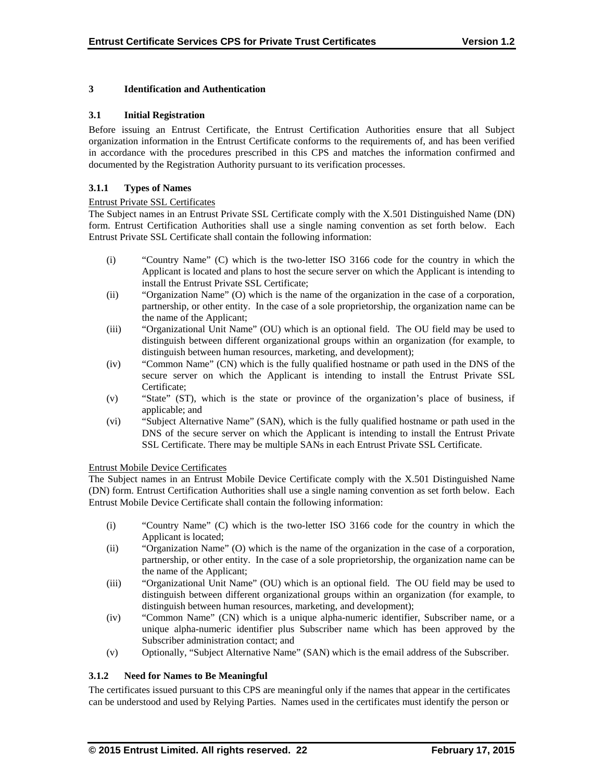## **3 Identification and Authentication**

#### **3.1 Initial Registration**

Before issuing an Entrust Certificate, the Entrust Certification Authorities ensure that all Subject organization information in the Entrust Certificate conforms to the requirements of, and has been verified in accordance with the procedures prescribed in this CPS and matches the information confirmed and documented by the Registration Authority pursuant to its verification processes.

## **3.1.1 Types of Names**

#### Entrust Private SSL Certificates

The Subject names in an Entrust Private SSL Certificate comply with the X.501 Distinguished Name (DN) form. Entrust Certification Authorities shall use a single naming convention as set forth below. Each Entrust Private SSL Certificate shall contain the following information:

- (i) "Country Name" (C) which is the two-letter ISO 3166 code for the country in which the Applicant is located and plans to host the secure server on which the Applicant is intending to install the Entrust Private SSL Certificate;
- (ii) "Organization Name" (O) which is the name of the organization in the case of a corporation, partnership, or other entity. In the case of a sole proprietorship, the organization name can be the name of the Applicant;
- (iii) "Organizational Unit Name" (OU) which is an optional field. The OU field may be used to distinguish between different organizational groups within an organization (for example, to distinguish between human resources, marketing, and development);
- (iv) "Common Name" (CN) which is the fully qualified hostname or path used in the DNS of the secure server on which the Applicant is intending to install the Entrust Private SSL Certificate;
- (v) "State" (ST), which is the state or province of the organization's place of business, if applicable; and
- (vi) "Subject Alternative Name" (SAN), which is the fully qualified hostname or path used in the DNS of the secure server on which the Applicant is intending to install the Entrust Private SSL Certificate. There may be multiple SANs in each Entrust Private SSL Certificate.

#### Entrust Mobile Device Certificates

The Subject names in an Entrust Mobile Device Certificate comply with the X.501 Distinguished Name (DN) form. Entrust Certification Authorities shall use a single naming convention as set forth below. Each Entrust Mobile Device Certificate shall contain the following information:

- (i) "Country Name" (C) which is the two-letter ISO 3166 code for the country in which the Applicant is located;
- (ii) "Organization Name" (O) which is the name of the organization in the case of a corporation, partnership, or other entity. In the case of a sole proprietorship, the organization name can be the name of the Applicant;
- (iii) "Organizational Unit Name" (OU) which is an optional field. The OU field may be used to distinguish between different organizational groups within an organization (for example, to distinguish between human resources, marketing, and development);
- (iv) "Common Name" (CN) which is a unique alpha-numeric identifier, Subscriber name, or a unique alpha-numeric identifier plus Subscriber name which has been approved by the Subscriber administration contact; and
- (v) Optionally, "Subject Alternative Name" (SAN) which is the email address of the Subscriber.

#### **3.1.2 Need for Names to Be Meaningful**

The certificates issued pursuant to this CPS are meaningful only if the names that appear in the certificates can be understood and used by Relying Parties. Names used in the certificates must identify the person or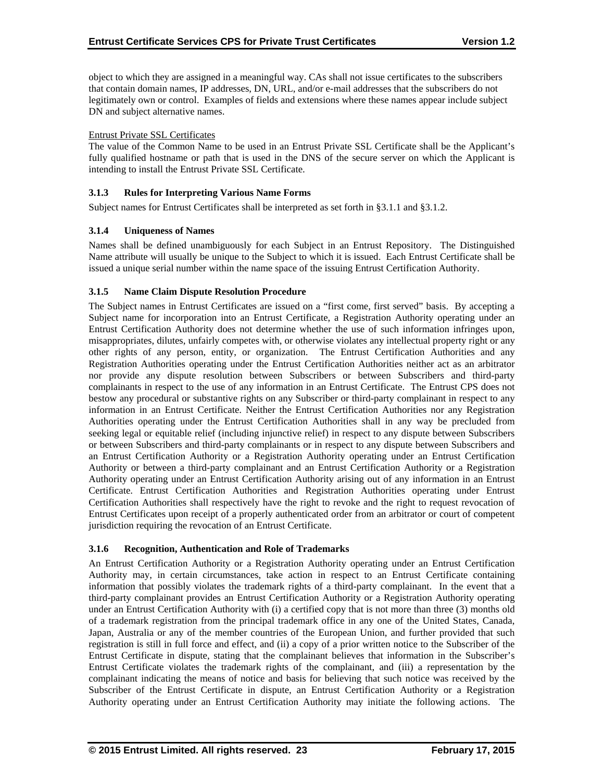object to which they are assigned in a meaningful way. CAs shall not issue certificates to the subscribers that contain domain names, IP addresses, DN, URL, and/or e-mail addresses that the subscribers do not legitimately own or control. Examples of fields and extensions where these names appear include subject DN and subject alternative names.

## Entrust Private SSL Certificates

The value of the Common Name to be used in an Entrust Private SSL Certificate shall be the Applicant's fully qualified hostname or path that is used in the DNS of the secure server on which the Applicant is intending to install the Entrust Private SSL Certificate.

## **3.1.3 Rules for Interpreting Various Name Forms**

Subject names for Entrust Certificates shall be interpreted as set forth in §3.1.1 and §3.1.2.

## **3.1.4 Uniqueness of Names**

Names shall be defined unambiguously for each Subject in an Entrust Repository. The Distinguished Name attribute will usually be unique to the Subject to which it is issued. Each Entrust Certificate shall be issued a unique serial number within the name space of the issuing Entrust Certification Authority.

## **3.1.5 Name Claim Dispute Resolution Procedure**

The Subject names in Entrust Certificates are issued on a "first come, first served" basis. By accepting a Subject name for incorporation into an Entrust Certificate, a Registration Authority operating under an Entrust Certification Authority does not determine whether the use of such information infringes upon, misappropriates, dilutes, unfairly competes with, or otherwise violates any intellectual property right or any other rights of any person, entity, or organization. The Entrust Certification Authorities and any Registration Authorities operating under the Entrust Certification Authorities neither act as an arbitrator nor provide any dispute resolution between Subscribers or between Subscribers and third-party complainants in respect to the use of any information in an Entrust Certificate. The Entrust CPS does not bestow any procedural or substantive rights on any Subscriber or third-party complainant in respect to any information in an Entrust Certificate. Neither the Entrust Certification Authorities nor any Registration Authorities operating under the Entrust Certification Authorities shall in any way be precluded from seeking legal or equitable relief (including injunctive relief) in respect to any dispute between Subscribers or between Subscribers and third-party complainants or in respect to any dispute between Subscribers and an Entrust Certification Authority or a Registration Authority operating under an Entrust Certification Authority or between a third-party complainant and an Entrust Certification Authority or a Registration Authority operating under an Entrust Certification Authority arising out of any information in an Entrust Certificate. Entrust Certification Authorities and Registration Authorities operating under Entrust Certification Authorities shall respectively have the right to revoke and the right to request revocation of Entrust Certificates upon receipt of a properly authenticated order from an arbitrator or court of competent jurisdiction requiring the revocation of an Entrust Certificate.

#### **3.1.6 Recognition, Authentication and Role of Trademarks**

An Entrust Certification Authority or a Registration Authority operating under an Entrust Certification Authority may, in certain circumstances, take action in respect to an Entrust Certificate containing information that possibly violates the trademark rights of a third-party complainant. In the event that a third-party complainant provides an Entrust Certification Authority or a Registration Authority operating under an Entrust Certification Authority with (i) a certified copy that is not more than three (3) months old of a trademark registration from the principal trademark office in any one of the United States, Canada, Japan, Australia or any of the member countries of the European Union, and further provided that such registration is still in full force and effect, and (ii) a copy of a prior written notice to the Subscriber of the Entrust Certificate in dispute, stating that the complainant believes that information in the Subscriber's Entrust Certificate violates the trademark rights of the complainant, and (iii) a representation by the complainant indicating the means of notice and basis for believing that such notice was received by the Subscriber of the Entrust Certificate in dispute, an Entrust Certification Authority or a Registration Authority operating under an Entrust Certification Authority may initiate the following actions. The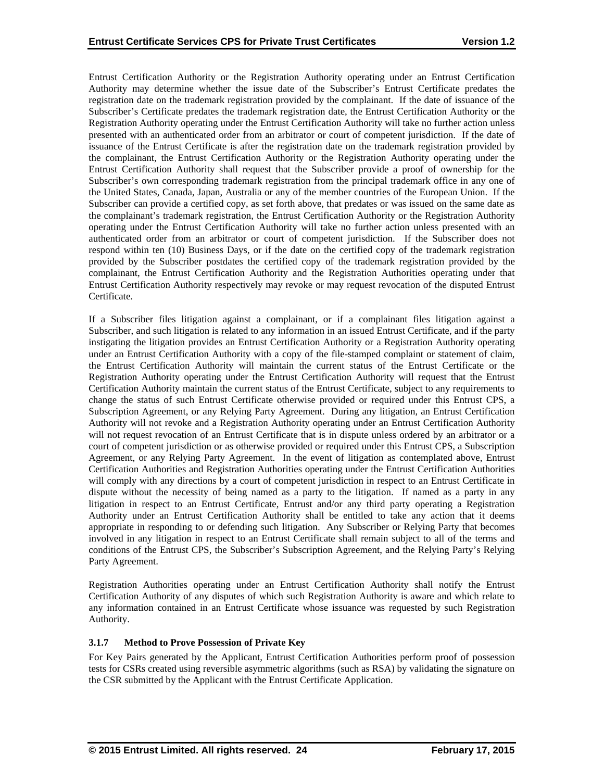Entrust Certification Authority or the Registration Authority operating under an Entrust Certification Authority may determine whether the issue date of the Subscriber's Entrust Certificate predates the registration date on the trademark registration provided by the complainant. If the date of issuance of the Subscriber's Certificate predates the trademark registration date, the Entrust Certification Authority or the Registration Authority operating under the Entrust Certification Authority will take no further action unless presented with an authenticated order from an arbitrator or court of competent jurisdiction. If the date of issuance of the Entrust Certificate is after the registration date on the trademark registration provided by the complainant, the Entrust Certification Authority or the Registration Authority operating under the Entrust Certification Authority shall request that the Subscriber provide a proof of ownership for the Subscriber's own corresponding trademark registration from the principal trademark office in any one of the United States, Canada, Japan, Australia or any of the member countries of the European Union. If the Subscriber can provide a certified copy, as set forth above, that predates or was issued on the same date as the complainant's trademark registration, the Entrust Certification Authority or the Registration Authority operating under the Entrust Certification Authority will take no further action unless presented with an authenticated order from an arbitrator or court of competent jurisdiction. If the Subscriber does not respond within ten (10) Business Days, or if the date on the certified copy of the trademark registration provided by the Subscriber postdates the certified copy of the trademark registration provided by the complainant, the Entrust Certification Authority and the Registration Authorities operating under that Entrust Certification Authority respectively may revoke or may request revocation of the disputed Entrust Certificate.

If a Subscriber files litigation against a complainant, or if a complainant files litigation against a Subscriber, and such litigation is related to any information in an issued Entrust Certificate, and if the party instigating the litigation provides an Entrust Certification Authority or a Registration Authority operating under an Entrust Certification Authority with a copy of the file-stamped complaint or statement of claim, the Entrust Certification Authority will maintain the current status of the Entrust Certificate or the Registration Authority operating under the Entrust Certification Authority will request that the Entrust Certification Authority maintain the current status of the Entrust Certificate, subject to any requirements to change the status of such Entrust Certificate otherwise provided or required under this Entrust CPS, a Subscription Agreement, or any Relying Party Agreement. During any litigation, an Entrust Certification Authority will not revoke and a Registration Authority operating under an Entrust Certification Authority will not request revocation of an Entrust Certificate that is in dispute unless ordered by an arbitrator or a court of competent jurisdiction or as otherwise provided or required under this Entrust CPS, a Subscription Agreement, or any Relying Party Agreement. In the event of litigation as contemplated above, Entrust Certification Authorities and Registration Authorities operating under the Entrust Certification Authorities will comply with any directions by a court of competent jurisdiction in respect to an Entrust Certificate in dispute without the necessity of being named as a party to the litigation. If named as a party in any litigation in respect to an Entrust Certificate, Entrust and/or any third party operating a Registration Authority under an Entrust Certification Authority shall be entitled to take any action that it deems appropriate in responding to or defending such litigation. Any Subscriber or Relying Party that becomes involved in any litigation in respect to an Entrust Certificate shall remain subject to all of the terms and conditions of the Entrust CPS, the Subscriber's Subscription Agreement, and the Relying Party's Relying Party Agreement.

Registration Authorities operating under an Entrust Certification Authority shall notify the Entrust Certification Authority of any disputes of which such Registration Authority is aware and which relate to any information contained in an Entrust Certificate whose issuance was requested by such Registration Authority.

## **3.1.7 Method to Prove Possession of Private Key**

For Key Pairs generated by the Applicant, Entrust Certification Authorities perform proof of possession tests for CSRs created using reversible asymmetric algorithms (such as RSA) by validating the signature on the CSR submitted by the Applicant with the Entrust Certificate Application.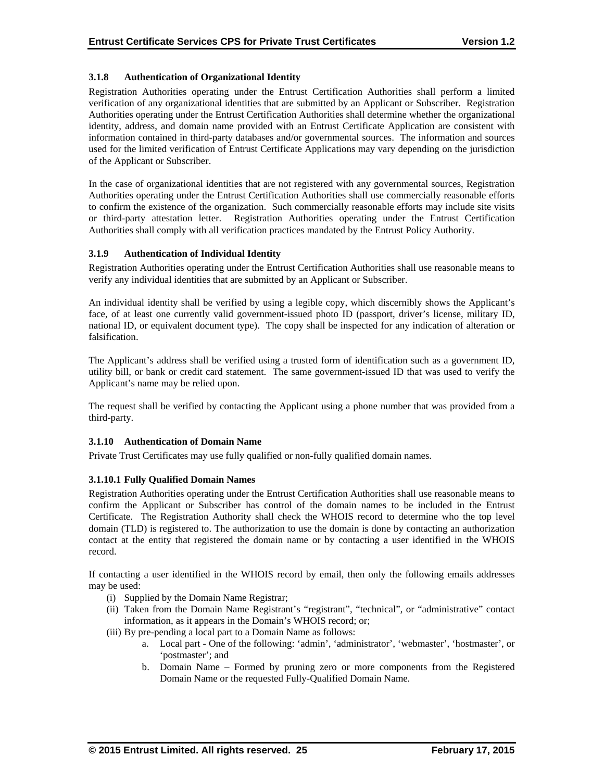## **3.1.8 Authentication of Organizational Identity**

Registration Authorities operating under the Entrust Certification Authorities shall perform a limited verification of any organizational identities that are submitted by an Applicant or Subscriber. Registration Authorities operating under the Entrust Certification Authorities shall determine whether the organizational identity, address, and domain name provided with an Entrust Certificate Application are consistent with information contained in third-party databases and/or governmental sources. The information and sources used for the limited verification of Entrust Certificate Applications may vary depending on the jurisdiction of the Applicant or Subscriber.

In the case of organizational identities that are not registered with any governmental sources, Registration Authorities operating under the Entrust Certification Authorities shall use commercially reasonable efforts to confirm the existence of the organization. Such commercially reasonable efforts may include site visits or third-party attestation letter. Registration Authorities operating under the Entrust Certification Authorities shall comply with all verification practices mandated by the Entrust Policy Authority.

## **3.1.9 Authentication of Individual Identity**

Registration Authorities operating under the Entrust Certification Authorities shall use reasonable means to verify any individual identities that are submitted by an Applicant or Subscriber.

An individual identity shall be verified by using a legible copy, which discernibly shows the Applicant's face, of at least one currently valid government-issued photo ID (passport, driver's license, military ID, national ID, or equivalent document type). The copy shall be inspected for any indication of alteration or falsification.

The Applicant's address shall be verified using a trusted form of identification such as a government ID, utility bill, or bank or credit card statement. The same government-issued ID that was used to verify the Applicant's name may be relied upon.

The request shall be verified by contacting the Applicant using a phone number that was provided from a third-party.

#### **3.1.10 Authentication of Domain Name**

Private Trust Certificates may use fully qualified or non-fully qualified domain names.

## **3.1.10.1 Fully Qualified Domain Names**

Registration Authorities operating under the Entrust Certification Authorities shall use reasonable means to confirm the Applicant or Subscriber has control of the domain names to be included in the Entrust Certificate. The Registration Authority shall check the WHOIS record to determine who the top level domain (TLD) is registered to. The authorization to use the domain is done by contacting an authorization contact at the entity that registered the domain name or by contacting a user identified in the WHOIS record.

If contacting a user identified in the WHOIS record by email, then only the following emails addresses may be used:

- (i) Supplied by the Domain Name Registrar;
- (ii) Taken from the Domain Name Registrant's "registrant", "technical", or "administrative" contact information, as it appears in the Domain's WHOIS record; or;
- (iii) By pre-pending a local part to a Domain Name as follows:
	- a. Local part One of the following: 'admin', 'administrator', 'webmaster', 'hostmaster', or 'postmaster'; and
	- b. Domain Name Formed by pruning zero or more components from the Registered Domain Name or the requested Fully-Qualified Domain Name.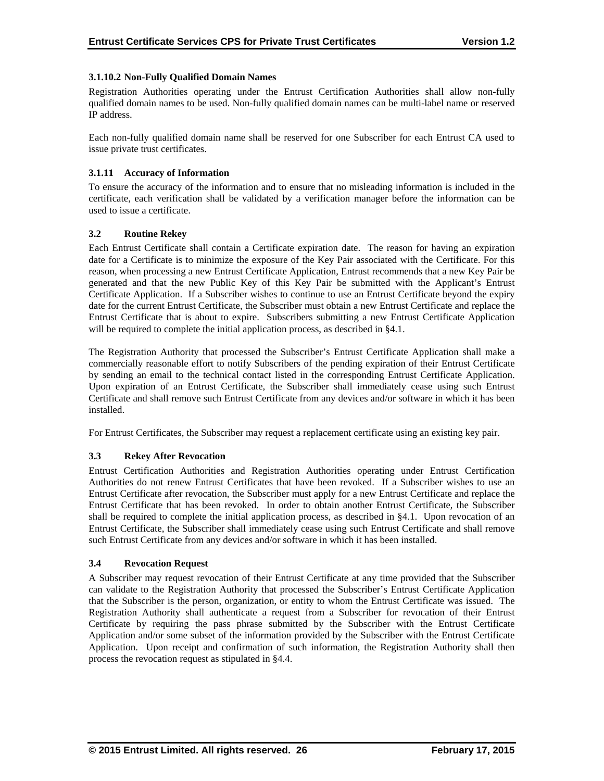## **3.1.10.2 Non-Fully Qualified Domain Names**

Registration Authorities operating under the Entrust Certification Authorities shall allow non-fully qualified domain names to be used. Non-fully qualified domain names can be multi-label name or reserved IP address.

Each non-fully qualified domain name shall be reserved for one Subscriber for each Entrust CA used to issue private trust certificates.

## **3.1.11 Accuracy of Information**

To ensure the accuracy of the information and to ensure that no misleading information is included in the certificate, each verification shall be validated by a verification manager before the information can be used to issue a certificate.

## **3.2 Routine Rekey**

Each Entrust Certificate shall contain a Certificate expiration date. The reason for having an expiration date for a Certificate is to minimize the exposure of the Key Pair associated with the Certificate. For this reason, when processing a new Entrust Certificate Application, Entrust recommends that a new Key Pair be generated and that the new Public Key of this Key Pair be submitted with the Applicant's Entrust Certificate Application. If a Subscriber wishes to continue to use an Entrust Certificate beyond the expiry date for the current Entrust Certificate, the Subscriber must obtain a new Entrust Certificate and replace the Entrust Certificate that is about to expire. Subscribers submitting a new Entrust Certificate Application will be required to complete the initial application process, as described in §4.1.

The Registration Authority that processed the Subscriber's Entrust Certificate Application shall make a commercially reasonable effort to notify Subscribers of the pending expiration of their Entrust Certificate by sending an email to the technical contact listed in the corresponding Entrust Certificate Application. Upon expiration of an Entrust Certificate, the Subscriber shall immediately cease using such Entrust Certificate and shall remove such Entrust Certificate from any devices and/or software in which it has been installed.

For Entrust Certificates, the Subscriber may request a replacement certificate using an existing key pair.

#### **3.3 Rekey After Revocation**

Entrust Certification Authorities and Registration Authorities operating under Entrust Certification Authorities do not renew Entrust Certificates that have been revoked. If a Subscriber wishes to use an Entrust Certificate after revocation, the Subscriber must apply for a new Entrust Certificate and replace the Entrust Certificate that has been revoked. In order to obtain another Entrust Certificate, the Subscriber shall be required to complete the initial application process, as described in §4.1. Upon revocation of an Entrust Certificate, the Subscriber shall immediately cease using such Entrust Certificate and shall remove such Entrust Certificate from any devices and/or software in which it has been installed.

#### **3.4 Revocation Request**

A Subscriber may request revocation of their Entrust Certificate at any time provided that the Subscriber can validate to the Registration Authority that processed the Subscriber's Entrust Certificate Application that the Subscriber is the person, organization, or entity to whom the Entrust Certificate was issued. The Registration Authority shall authenticate a request from a Subscriber for revocation of their Entrust Certificate by requiring the pass phrase submitted by the Subscriber with the Entrust Certificate Application and/or some subset of the information provided by the Subscriber with the Entrust Certificate Application. Upon receipt and confirmation of such information, the Registration Authority shall then process the revocation request as stipulated in §4.4.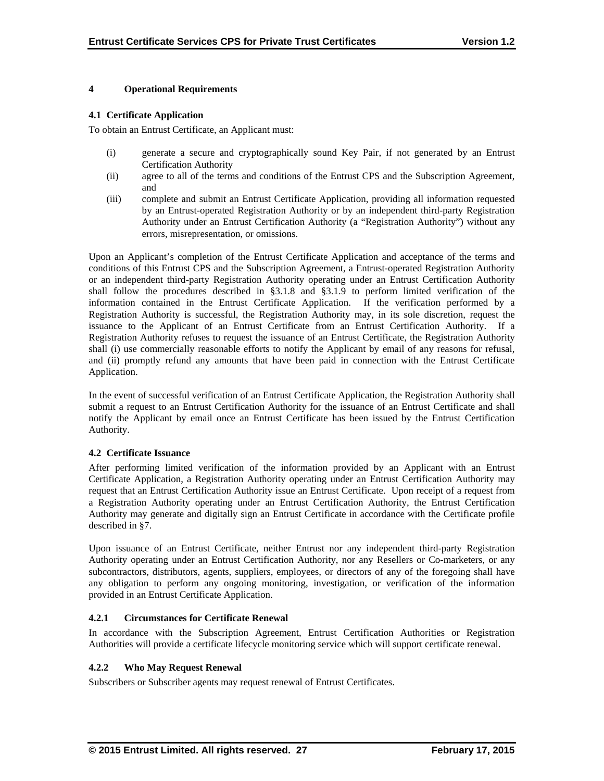## **4 Operational Requirements**

## **4.1 Certificate Application**

To obtain an Entrust Certificate, an Applicant must:

- (i) generate a secure and cryptographically sound Key Pair, if not generated by an Entrust Certification Authority
- (ii) agree to all of the terms and conditions of the Entrust CPS and the Subscription Agreement, and
- (iii) complete and submit an Entrust Certificate Application, providing all information requested by an Entrust-operated Registration Authority or by an independent third-party Registration Authority under an Entrust Certification Authority (a "Registration Authority") without any errors, misrepresentation, or omissions.

Upon an Applicant's completion of the Entrust Certificate Application and acceptance of the terms and conditions of this Entrust CPS and the Subscription Agreement, a Entrust-operated Registration Authority or an independent third-party Registration Authority operating under an Entrust Certification Authority shall follow the procedures described in §3.1.8 and §3.1.9 to perform limited verification of the information contained in the Entrust Certificate Application. If the verification performed by a Registration Authority is successful, the Registration Authority may, in its sole discretion, request the issuance to the Applicant of an Entrust Certificate from an Entrust Certification Authority. If a Registration Authority refuses to request the issuance of an Entrust Certificate, the Registration Authority shall (i) use commercially reasonable efforts to notify the Applicant by email of any reasons for refusal, and (ii) promptly refund any amounts that have been paid in connection with the Entrust Certificate Application.

In the event of successful verification of an Entrust Certificate Application, the Registration Authority shall submit a request to an Entrust Certification Authority for the issuance of an Entrust Certificate and shall notify the Applicant by email once an Entrust Certificate has been issued by the Entrust Certification Authority.

#### **4.2 Certificate Issuance**

After performing limited verification of the information provided by an Applicant with an Entrust Certificate Application, a Registration Authority operating under an Entrust Certification Authority may request that an Entrust Certification Authority issue an Entrust Certificate. Upon receipt of a request from a Registration Authority operating under an Entrust Certification Authority, the Entrust Certification Authority may generate and digitally sign an Entrust Certificate in accordance with the Certificate profile described in §7.

Upon issuance of an Entrust Certificate, neither Entrust nor any independent third-party Registration Authority operating under an Entrust Certification Authority, nor any Resellers or Co-marketers, or any subcontractors, distributors, agents, suppliers, employees, or directors of any of the foregoing shall have any obligation to perform any ongoing monitoring, investigation, or verification of the information provided in an Entrust Certificate Application.

#### **4.2.1 Circumstances for Certificate Renewal**

In accordance with the Subscription Agreement, Entrust Certification Authorities or Registration Authorities will provide a certificate lifecycle monitoring service which will support certificate renewal.

## **4.2.2 Who May Request Renewal**

Subscribers or Subscriber agents may request renewal of Entrust Certificates.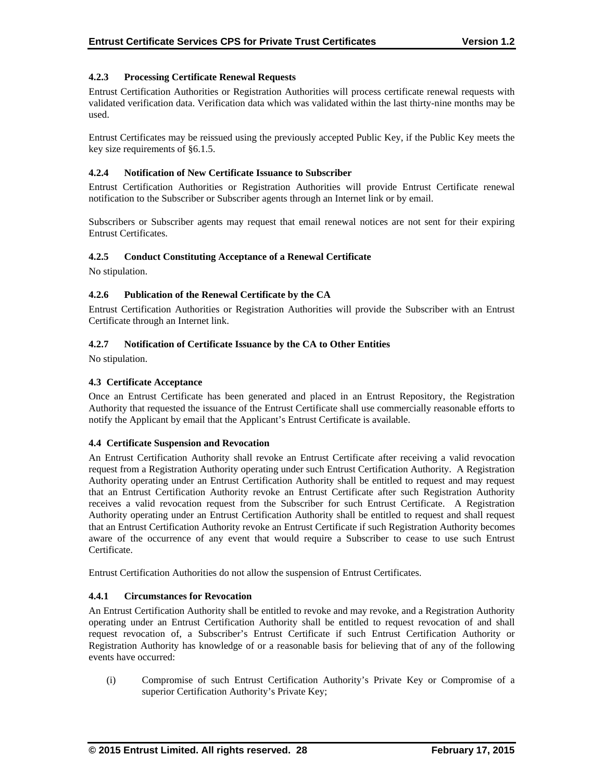## **4.2.3 Processing Certificate Renewal Requests**

Entrust Certification Authorities or Registration Authorities will process certificate renewal requests with validated verification data. Verification data which was validated within the last thirty-nine months may be used.

Entrust Certificates may be reissued using the previously accepted Public Key, if the Public Key meets the key size requirements of §6.1.5.

## **4.2.4 Notification of New Certificate Issuance to Subscriber**

Entrust Certification Authorities or Registration Authorities will provide Entrust Certificate renewal notification to the Subscriber or Subscriber agents through an Internet link or by email.

Subscribers or Subscriber agents may request that email renewal notices are not sent for their expiring Entrust Certificates.

## **4.2.5 Conduct Constituting Acceptance of a Renewal Certificate**

No stipulation.

## **4.2.6 Publication of the Renewal Certificate by the CA**

Entrust Certification Authorities or Registration Authorities will provide the Subscriber with an Entrust Certificate through an Internet link.

## **4.2.7 Notification of Certificate Issuance by the CA to Other Entities**

No stipulation.

## **4.3 Certificate Acceptance**

Once an Entrust Certificate has been generated and placed in an Entrust Repository, the Registration Authority that requested the issuance of the Entrust Certificate shall use commercially reasonable efforts to notify the Applicant by email that the Applicant's Entrust Certificate is available.

#### **4.4 Certificate Suspension and Revocation**

An Entrust Certification Authority shall revoke an Entrust Certificate after receiving a valid revocation request from a Registration Authority operating under such Entrust Certification Authority. A Registration Authority operating under an Entrust Certification Authority shall be entitled to request and may request that an Entrust Certification Authority revoke an Entrust Certificate after such Registration Authority receives a valid revocation request from the Subscriber for such Entrust Certificate. A Registration Authority operating under an Entrust Certification Authority shall be entitled to request and shall request that an Entrust Certification Authority revoke an Entrust Certificate if such Registration Authority becomes aware of the occurrence of any event that would require a Subscriber to cease to use such Entrust Certificate.

Entrust Certification Authorities do not allow the suspension of Entrust Certificates.

### **4.4.1 Circumstances for Revocation**

An Entrust Certification Authority shall be entitled to revoke and may revoke, and a Registration Authority operating under an Entrust Certification Authority shall be entitled to request revocation of and shall request revocation of, a Subscriber's Entrust Certificate if such Entrust Certification Authority or Registration Authority has knowledge of or a reasonable basis for believing that of any of the following events have occurred:

(i) Compromise of such Entrust Certification Authority's Private Key or Compromise of a superior Certification Authority's Private Key;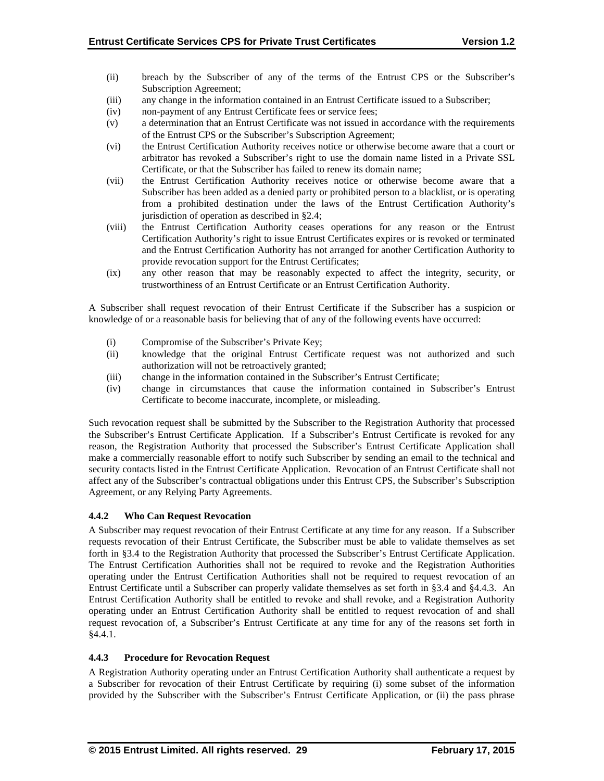- (ii) breach by the Subscriber of any of the terms of the Entrust CPS or the Subscriber's Subscription Agreement;
- (iii) any change in the information contained in an Entrust Certificate issued to a Subscriber;
- (iv) non-payment of any Entrust Certificate fees or service fees;
- (v) a determination that an Entrust Certificate was not issued in accordance with the requirements of the Entrust CPS or the Subscriber's Subscription Agreement;
- (vi) the Entrust Certification Authority receives notice or otherwise become aware that a court or arbitrator has revoked a Subscriber's right to use the domain name listed in a Private SSL Certificate, or that the Subscriber has failed to renew its domain name;
- (vii) the Entrust Certification Authority receives notice or otherwise become aware that a Subscriber has been added as a denied party or prohibited person to a blacklist, or is operating from a prohibited destination under the laws of the Entrust Certification Authority's jurisdiction of operation as described in §2.4;
- (viii) the Entrust Certification Authority ceases operations for any reason or the Entrust Certification Authority's right to issue Entrust Certificates expires or is revoked or terminated and the Entrust Certification Authority has not arranged for another Certification Authority to provide revocation support for the Entrust Certificates;
- (ix) any other reason that may be reasonably expected to affect the integrity, security, or trustworthiness of an Entrust Certificate or an Entrust Certification Authority.

A Subscriber shall request revocation of their Entrust Certificate if the Subscriber has a suspicion or knowledge of or a reasonable basis for believing that of any of the following events have occurred:

- (i) Compromise of the Subscriber's Private Key;
- (ii) knowledge that the original Entrust Certificate request was not authorized and such authorization will not be retroactively granted;
- (iii) change in the information contained in the Subscriber's Entrust Certificate;
- (iv) change in circumstances that cause the information contained in Subscriber's Entrust Certificate to become inaccurate, incomplete, or misleading.

Such revocation request shall be submitted by the Subscriber to the Registration Authority that processed the Subscriber's Entrust Certificate Application. If a Subscriber's Entrust Certificate is revoked for any reason, the Registration Authority that processed the Subscriber's Entrust Certificate Application shall make a commercially reasonable effort to notify such Subscriber by sending an email to the technical and security contacts listed in the Entrust Certificate Application. Revocation of an Entrust Certificate shall not affect any of the Subscriber's contractual obligations under this Entrust CPS, the Subscriber's Subscription Agreement, or any Relying Party Agreements.

## **4.4.2 Who Can Request Revocation**

A Subscriber may request revocation of their Entrust Certificate at any time for any reason. If a Subscriber requests revocation of their Entrust Certificate, the Subscriber must be able to validate themselves as set forth in §3.4 to the Registration Authority that processed the Subscriber's Entrust Certificate Application. The Entrust Certification Authorities shall not be required to revoke and the Registration Authorities operating under the Entrust Certification Authorities shall not be required to request revocation of an Entrust Certificate until a Subscriber can properly validate themselves as set forth in §3.4 and §4.4.3. An Entrust Certification Authority shall be entitled to revoke and shall revoke, and a Registration Authority operating under an Entrust Certification Authority shall be entitled to request revocation of and shall request revocation of, a Subscriber's Entrust Certificate at any time for any of the reasons set forth in §4.4.1.

## **4.4.3 Procedure for Revocation Request**

A Registration Authority operating under an Entrust Certification Authority shall authenticate a request by a Subscriber for revocation of their Entrust Certificate by requiring (i) some subset of the information provided by the Subscriber with the Subscriber's Entrust Certificate Application, or (ii) the pass phrase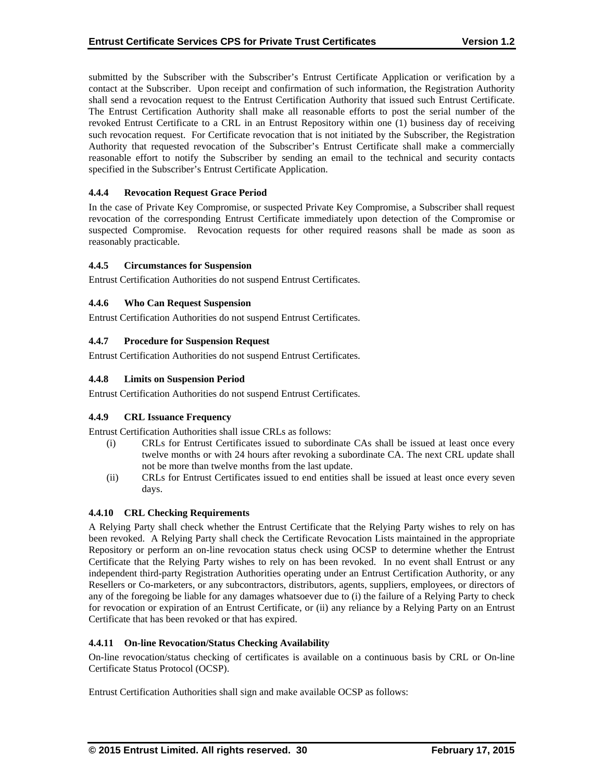submitted by the Subscriber with the Subscriber's Entrust Certificate Application or verification by a contact at the Subscriber. Upon receipt and confirmation of such information, the Registration Authority shall send a revocation request to the Entrust Certification Authority that issued such Entrust Certificate. The Entrust Certification Authority shall make all reasonable efforts to post the serial number of the revoked Entrust Certificate to a CRL in an Entrust Repository within one (1) business day of receiving such revocation request. For Certificate revocation that is not initiated by the Subscriber, the Registration Authority that requested revocation of the Subscriber's Entrust Certificate shall make a commercially reasonable effort to notify the Subscriber by sending an email to the technical and security contacts specified in the Subscriber's Entrust Certificate Application.

## **4.4.4 Revocation Request Grace Period**

In the case of Private Key Compromise, or suspected Private Key Compromise, a Subscriber shall request revocation of the corresponding Entrust Certificate immediately upon detection of the Compromise or suspected Compromise. Revocation requests for other required reasons shall be made as soon as reasonably practicable.

#### **4.4.5 Circumstances for Suspension**

Entrust Certification Authorities do not suspend Entrust Certificates.

## **4.4.6 Who Can Request Suspension**

Entrust Certification Authorities do not suspend Entrust Certificates.

## **4.4.7 Procedure for Suspension Request**

Entrust Certification Authorities do not suspend Entrust Certificates.

## **4.4.8 Limits on Suspension Period**

Entrust Certification Authorities do not suspend Entrust Certificates.

#### **4.4.9 CRL Issuance Frequency**

Entrust Certification Authorities shall issue CRLs as follows:

- (i) CRLs for Entrust Certificates issued to subordinate CAs shall be issued at least once every twelve months or with 24 hours after revoking a subordinate CA. The next CRL update shall not be more than twelve months from the last update.
- (ii) CRLs for Entrust Certificates issued to end entities shall be issued at least once every seven days.

#### **4.4.10 CRL Checking Requirements**

A Relying Party shall check whether the Entrust Certificate that the Relying Party wishes to rely on has been revoked. A Relying Party shall check the Certificate Revocation Lists maintained in the appropriate Repository or perform an on-line revocation status check using OCSP to determine whether the Entrust Certificate that the Relying Party wishes to rely on has been revoked. In no event shall Entrust or any independent third-party Registration Authorities operating under an Entrust Certification Authority, or any Resellers or Co-marketers, or any subcontractors, distributors, agents, suppliers, employees, or directors of any of the foregoing be liable for any damages whatsoever due to (i) the failure of a Relying Party to check for revocation or expiration of an Entrust Certificate, or (ii) any reliance by a Relying Party on an Entrust Certificate that has been revoked or that has expired.

#### **4.4.11 On-line Revocation/Status Checking Availability**

On-line revocation/status checking of certificates is available on a continuous basis by CRL or On-line Certificate Status Protocol (OCSP).

Entrust Certification Authorities shall sign and make available OCSP as follows: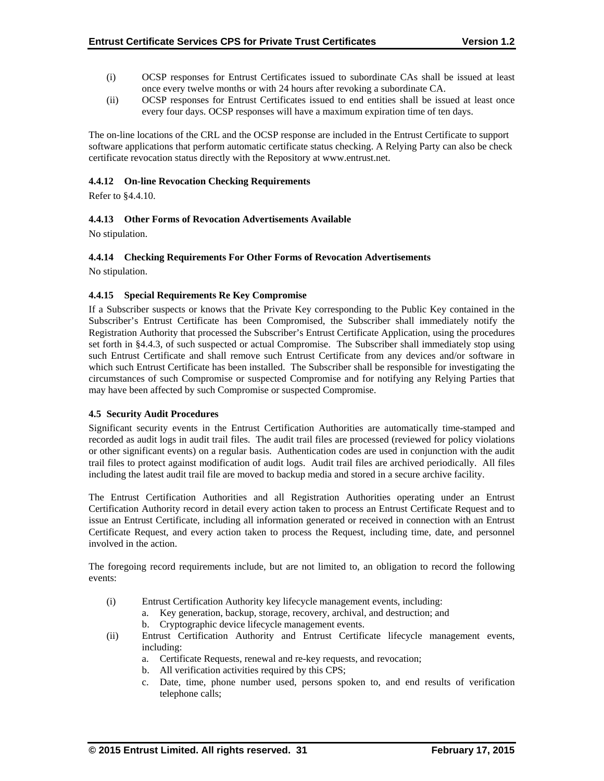- (i) OCSP responses for Entrust Certificates issued to subordinate CAs shall be issued at least once every twelve months or with 24 hours after revoking a subordinate CA.
- (ii) OCSP responses for Entrust Certificates issued to end entities shall be issued at least once every four days. OCSP responses will have a maximum expiration time of ten days.

The on-line locations of the CRL and the OCSP response are included in the Entrust Certificate to support software applications that perform automatic certificate status checking. A Relying Party can also be check certificate revocation status directly with the Repository at www.entrust.net.

## **4.4.12 On-line Revocation Checking Requirements**

Refer to §4.4.10.

## **4.4.13 Other Forms of Revocation Advertisements Available**

No stipulation.

## **4.4.14 Checking Requirements For Other Forms of Revocation Advertisements**

No stipulation.

#### **4.4.15 Special Requirements Re Key Compromise**

If a Subscriber suspects or knows that the Private Key corresponding to the Public Key contained in the Subscriber's Entrust Certificate has been Compromised, the Subscriber shall immediately notify the Registration Authority that processed the Subscriber's Entrust Certificate Application, using the procedures set forth in §4.4.3, of such suspected or actual Compromise. The Subscriber shall immediately stop using such Entrust Certificate and shall remove such Entrust Certificate from any devices and/or software in which such Entrust Certificate has been installed. The Subscriber shall be responsible for investigating the circumstances of such Compromise or suspected Compromise and for notifying any Relying Parties that may have been affected by such Compromise or suspected Compromise.

#### **4.5 Security Audit Procedures**

Significant security events in the Entrust Certification Authorities are automatically time-stamped and recorded as audit logs in audit trail files. The audit trail files are processed (reviewed for policy violations or other significant events) on a regular basis. Authentication codes are used in conjunction with the audit trail files to protect against modification of audit logs. Audit trail files are archived periodically. All files including the latest audit trail file are moved to backup media and stored in a secure archive facility.

The Entrust Certification Authorities and all Registration Authorities operating under an Entrust Certification Authority record in detail every action taken to process an Entrust Certificate Request and to issue an Entrust Certificate, including all information generated or received in connection with an Entrust Certificate Request, and every action taken to process the Request, including time, date, and personnel involved in the action.

The foregoing record requirements include, but are not limited to, an obligation to record the following events:

- (i) Entrust Certification Authority key lifecycle management events, including:
	- a. Key generation, backup, storage, recovery, archival, and destruction; and
		- b. Cryptographic device lifecycle management events.
- (ii) Entrust Certification Authority and Entrust Certificate lifecycle management events, including:
	- a. Certificate Requests, renewal and re-key requests, and revocation;
	- b. All verification activities required by this CPS;
	- c. Date, time, phone number used, persons spoken to, and end results of verification telephone calls;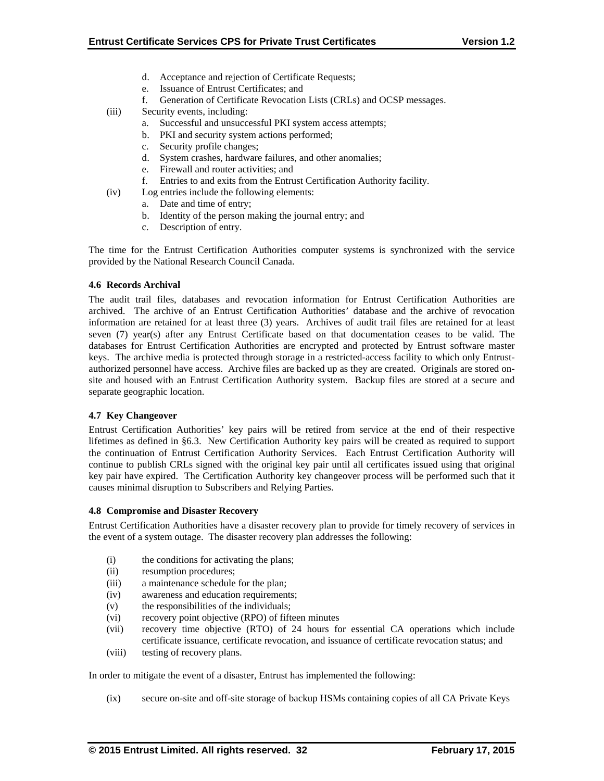- d. Acceptance and rejection of Certificate Requests;
- e. Issuance of Entrust Certificates; and
- f. Generation of Certificate Revocation Lists (CRLs) and OCSP messages.
- (iii) Security events, including:
	- a. Successful and unsuccessful PKI system access attempts;
	- b. PKI and security system actions performed;
	- c. Security profile changes;
	- d. System crashes, hardware failures, and other anomalies;
	- e. Firewall and router activities; and
	- f. Entries to and exits from the Entrust Certification Authority facility.
- (iv) Log entries include the following elements:
	- a. Date and time of entry;
		- b. Identity of the person making the journal entry; and
	- c. Description of entry.

The time for the Entrust Certification Authorities computer systems is synchronized with the service provided by the National Research Council Canada.

#### **4.6 Records Archival**

The audit trail files, databases and revocation information for Entrust Certification Authorities are archived. The archive of an Entrust Certification Authorities' database and the archive of revocation information are retained for at least three (3) years. Archives of audit trail files are retained for at least seven (7) year(s) after any Entrust Certificate based on that documentation ceases to be valid. The databases for Entrust Certification Authorities are encrypted and protected by Entrust software master keys. The archive media is protected through storage in a restricted-access facility to which only Entrustauthorized personnel have access. Archive files are backed up as they are created. Originals are stored onsite and housed with an Entrust Certification Authority system. Backup files are stored at a secure and separate geographic location.

#### **4.7 Key Changeover**

Entrust Certification Authorities' key pairs will be retired from service at the end of their respective lifetimes as defined in §6.3. New Certification Authority key pairs will be created as required to support the continuation of Entrust Certification Authority Services. Each Entrust Certification Authority will continue to publish CRLs signed with the original key pair until all certificates issued using that original key pair have expired. The Certification Authority key changeover process will be performed such that it causes minimal disruption to Subscribers and Relying Parties.

#### **4.8 Compromise and Disaster Recovery**

Entrust Certification Authorities have a disaster recovery plan to provide for timely recovery of services in the event of a system outage. The disaster recovery plan addresses the following:

- (i) the conditions for activating the plans;
- (ii) resumption procedures;
- (iii) a maintenance schedule for the plan;
- (iv) awareness and education requirements;
- (v) the responsibilities of the individuals;
- (vi) recovery point objective (RPO) of fifteen minutes
- (vii) recovery time objective (RTO) of 24 hours for essential CA operations which include certificate issuance, certificate revocation, and issuance of certificate revocation status; and
- (viii) testing of recovery plans.

In order to mitigate the event of a disaster, Entrust has implemented the following:

(ix) secure on-site and off-site storage of backup HSMs containing copies of all CA Private Keys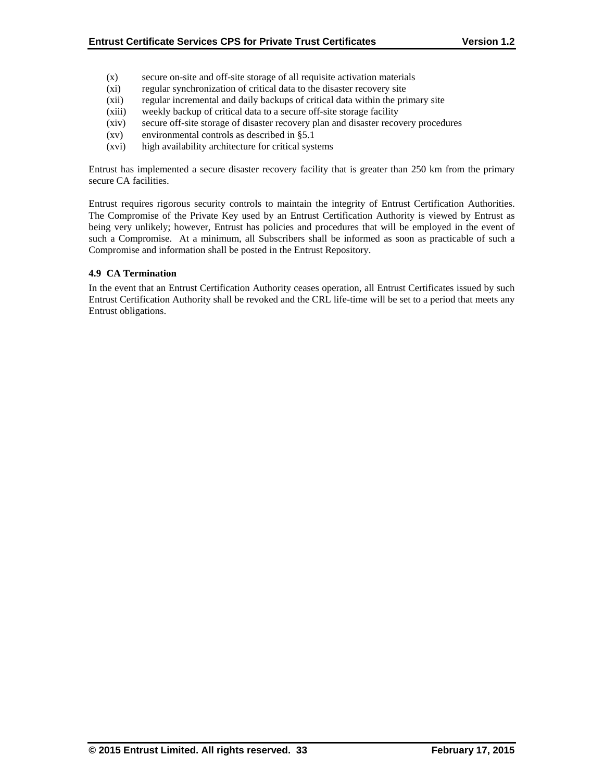- (x) secure on-site and off-site storage of all requisite activation materials
- (xi) regular synchronization of critical data to the disaster recovery site
- (xii) regular incremental and daily backups of critical data within the primary site
- (xiii) weekly backup of critical data to a secure off-site storage facility
- (xiv) secure off-site storage of disaster recovery plan and disaster recovery procedures
- (xv) environmental controls as described in §5.1
- (xvi) high availability architecture for critical systems

Entrust has implemented a secure disaster recovery facility that is greater than 250 km from the primary secure CA facilities.

Entrust requires rigorous security controls to maintain the integrity of Entrust Certification Authorities. The Compromise of the Private Key used by an Entrust Certification Authority is viewed by Entrust as being very unlikely; however, Entrust has policies and procedures that will be employed in the event of such a Compromise. At a minimum, all Subscribers shall be informed as soon as practicable of such a Compromise and information shall be posted in the Entrust Repository.

## **4.9 CA Termination**

In the event that an Entrust Certification Authority ceases operation, all Entrust Certificates issued by such Entrust Certification Authority shall be revoked and the CRL life-time will be set to a period that meets any Entrust obligations.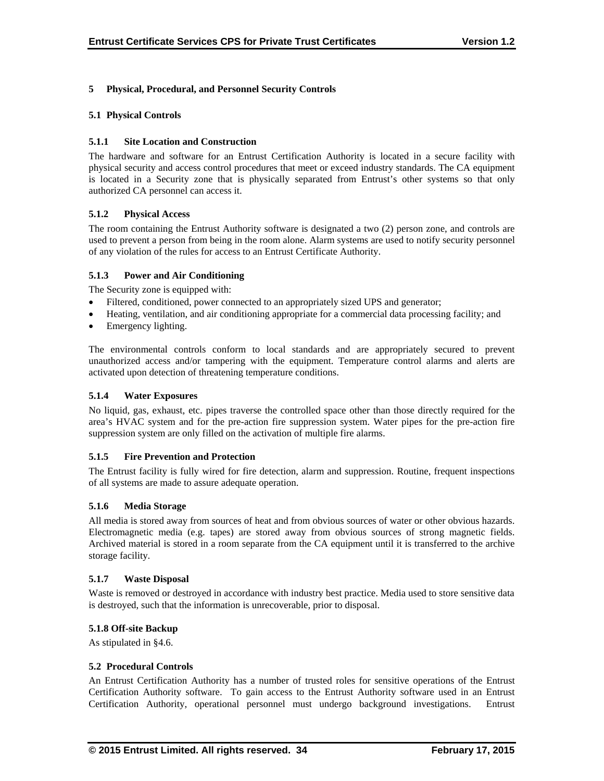## **5 Physical, Procedural, and Personnel Security Controls**

#### **5.1 Physical Controls**

## **5.1.1 Site Location and Construction**

The hardware and software for an Entrust Certification Authority is located in a secure facility with physical security and access control procedures that meet or exceed industry standards. The CA equipment is located in a Security zone that is physically separated from Entrust's other systems so that only authorized CA personnel can access it.

## **5.1.2 Physical Access**

The room containing the Entrust Authority software is designated a two (2) person zone, and controls are used to prevent a person from being in the room alone. Alarm systems are used to notify security personnel of any violation of the rules for access to an Entrust Certificate Authority.

## **5.1.3 Power and Air Conditioning**

The Security zone is equipped with:

- Filtered, conditioned, power connected to an appropriately sized UPS and generator;
- Heating, ventilation, and air conditioning appropriate for a commercial data processing facility; and
- Emergency lighting.

The environmental controls conform to local standards and are appropriately secured to prevent unauthorized access and/or tampering with the equipment. Temperature control alarms and alerts are activated upon detection of threatening temperature conditions.

## **5.1.4 Water Exposures**

No liquid, gas, exhaust, etc. pipes traverse the controlled space other than those directly required for the area's HVAC system and for the pre-action fire suppression system. Water pipes for the pre-action fire suppression system are only filled on the activation of multiple fire alarms.

#### **5.1.5 Fire Prevention and Protection**

The Entrust facility is fully wired for fire detection, alarm and suppression. Routine, frequent inspections of all systems are made to assure adequate operation.

#### **5.1.6 Media Storage**

All media is stored away from sources of heat and from obvious sources of water or other obvious hazards. Electromagnetic media (e.g. tapes) are stored away from obvious sources of strong magnetic fields. Archived material is stored in a room separate from the CA equipment until it is transferred to the archive storage facility.

#### **5.1.7 Waste Disposal**

Waste is removed or destroyed in accordance with industry best practice. Media used to store sensitive data is destroyed, such that the information is unrecoverable, prior to disposal.

#### **5.1.8 Off-site Backup**

As stipulated in §4.6.

#### **5.2 Procedural Controls**

An Entrust Certification Authority has a number of trusted roles for sensitive operations of the Entrust Certification Authority software. To gain access to the Entrust Authority software used in an Entrust Certification Authority, operational personnel must undergo background investigations. Entrust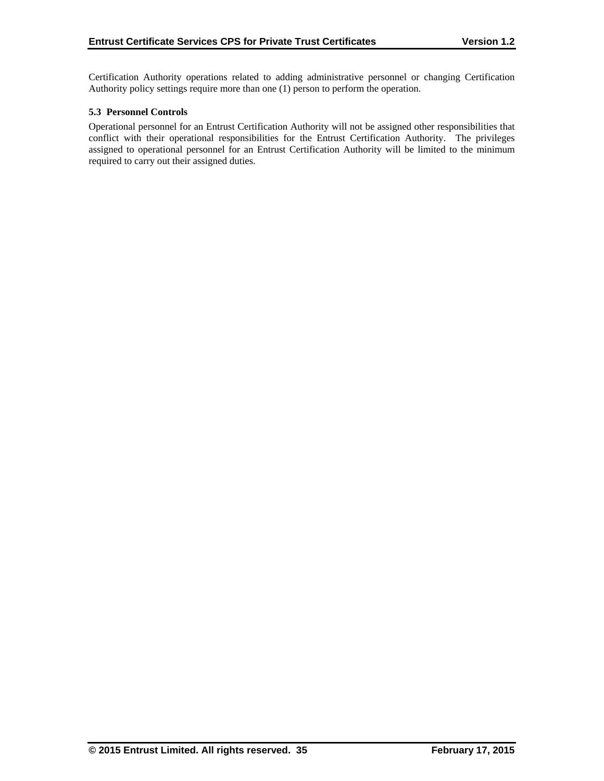Certification Authority operations related to adding administrative personnel or changing Certification Authority policy settings require more than one (1) person to perform the operation.

## **5.3 Personnel Controls**

Operational personnel for an Entrust Certification Authority will not be assigned other responsibilities that conflict with their operational responsibilities for the Entrust Certification Authority. The privileges assigned to operational personnel for an Entrust Certification Authority will be limited to the minimum required to carry out their assigned duties.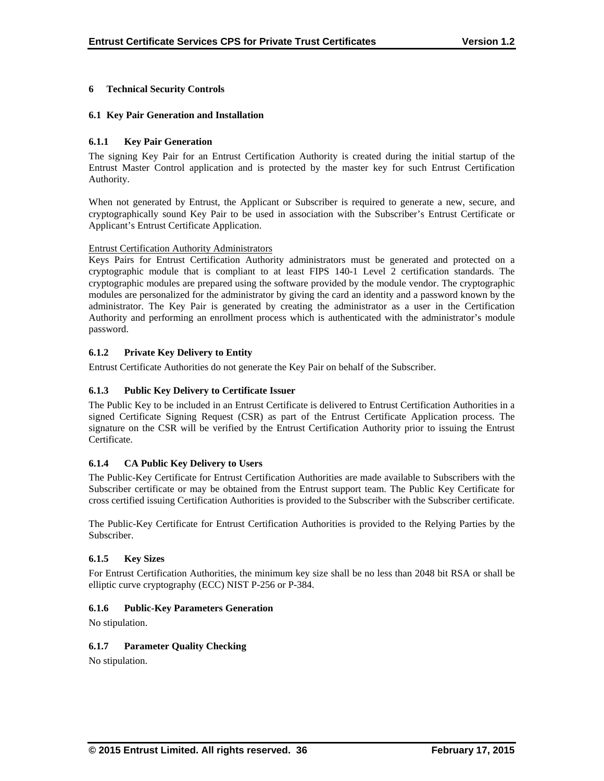## **6 Technical Security Controls**

## **6.1 Key Pair Generation and Installation**

## **6.1.1 Key Pair Generation**

The signing Key Pair for an Entrust Certification Authority is created during the initial startup of the Entrust Master Control application and is protected by the master key for such Entrust Certification Authority.

When not generated by Entrust, the Applicant or Subscriber is required to generate a new, secure, and cryptographically sound Key Pair to be used in association with the Subscriber's Entrust Certificate or Applicant's Entrust Certificate Application.

#### Entrust Certification Authority Administrators

Keys Pairs for Entrust Certification Authority administrators must be generated and protected on a cryptographic module that is compliant to at least FIPS 140-1 Level 2 certification standards. The cryptographic modules are prepared using the software provided by the module vendor. The cryptographic modules are personalized for the administrator by giving the card an identity and a password known by the administrator. The Key Pair is generated by creating the administrator as a user in the Certification Authority and performing an enrollment process which is authenticated with the administrator's module password.

## **6.1.2 Private Key Delivery to Entity**

Entrust Certificate Authorities do not generate the Key Pair on behalf of the Subscriber.

## **6.1.3 Public Key Delivery to Certificate Issuer**

The Public Key to be included in an Entrust Certificate is delivered to Entrust Certification Authorities in a signed Certificate Signing Request (CSR) as part of the Entrust Certificate Application process. The signature on the CSR will be verified by the Entrust Certification Authority prior to issuing the Entrust Certificate.

#### **6.1.4 CA Public Key Delivery to Users**

The Public-Key Certificate for Entrust Certification Authorities are made available to Subscribers with the Subscriber certificate or may be obtained from the Entrust support team. The Public Key Certificate for cross certified issuing Certification Authorities is provided to the Subscriber with the Subscriber certificate.

The Public-Key Certificate for Entrust Certification Authorities is provided to the Relying Parties by the Subscriber.

### **6.1.5 Key Sizes**

For Entrust Certification Authorities, the minimum key size shall be no less than 2048 bit RSA or shall be elliptic curve cryptography (ECC) NIST P-256 or P-384.

#### **6.1.6 Public-Key Parameters Generation**

No stipulation.

#### **6.1.7 Parameter Quality Checking**

No stipulation.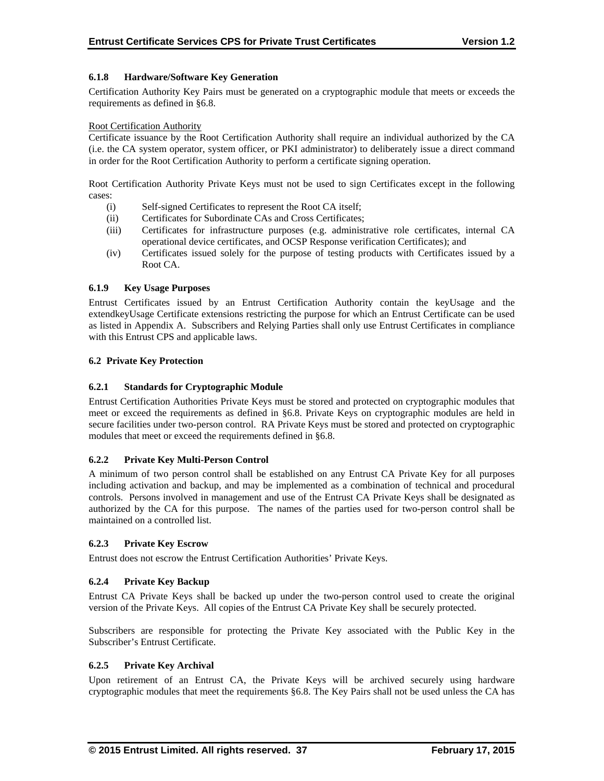## **6.1.8 Hardware/Software Key Generation**

Certification Authority Key Pairs must be generated on a cryptographic module that meets or exceeds the requirements as defined in §6.8.

#### Root Certification Authority

Certificate issuance by the Root Certification Authority shall require an individual authorized by the CA (i.e. the CA system operator, system officer, or PKI administrator) to deliberately issue a direct command in order for the Root Certification Authority to perform a certificate signing operation.

Root Certification Authority Private Keys must not be used to sign Certificates except in the following cases:

- (i) Self-signed Certificates to represent the Root CA itself;
- (ii) Certificates for Subordinate CAs and Cross Certificates;
- (iii) Certificates for infrastructure purposes (e.g. administrative role certificates, internal CA operational device certificates, and OCSP Response verification Certificates); and
- (iv) Certificates issued solely for the purpose of testing products with Certificates issued by a Root CA.

## **6.1.9 Key Usage Purposes**

Entrust Certificates issued by an Entrust Certification Authority contain the keyUsage and the extendkeyUsage Certificate extensions restricting the purpose for which an Entrust Certificate can be used as listed in Appendix A. Subscribers and Relying Parties shall only use Entrust Certificates in compliance with this Entrust CPS and applicable laws.

## **6.2 Private Key Protection**

## **6.2.1 Standards for Cryptographic Module**

Entrust Certification Authorities Private Keys must be stored and protected on cryptographic modules that meet or exceed the requirements as defined in §6.8. Private Keys on cryptographic modules are held in secure facilities under two-person control. RA Private Keys must be stored and protected on cryptographic modules that meet or exceed the requirements defined in §6.8.

#### **6.2.2 Private Key Multi-Person Control**

A minimum of two person control shall be established on any Entrust CA Private Key for all purposes including activation and backup, and may be implemented as a combination of technical and procedural controls. Persons involved in management and use of the Entrust CA Private Keys shall be designated as authorized by the CA for this purpose. The names of the parties used for two-person control shall be maintained on a controlled list.

#### **6.2.3 Private Key Escrow**

Entrust does not escrow the Entrust Certification Authorities' Private Keys.

#### **6.2.4 Private Key Backup**

Entrust CA Private Keys shall be backed up under the two-person control used to create the original version of the Private Keys. All copies of the Entrust CA Private Key shall be securely protected.

Subscribers are responsible for protecting the Private Key associated with the Public Key in the Subscriber's Entrust Certificate.

#### **6.2.5 Private Key Archival**

Upon retirement of an Entrust CA, the Private Keys will be archived securely using hardware cryptographic modules that meet the requirements §6.8. The Key Pairs shall not be used unless the CA has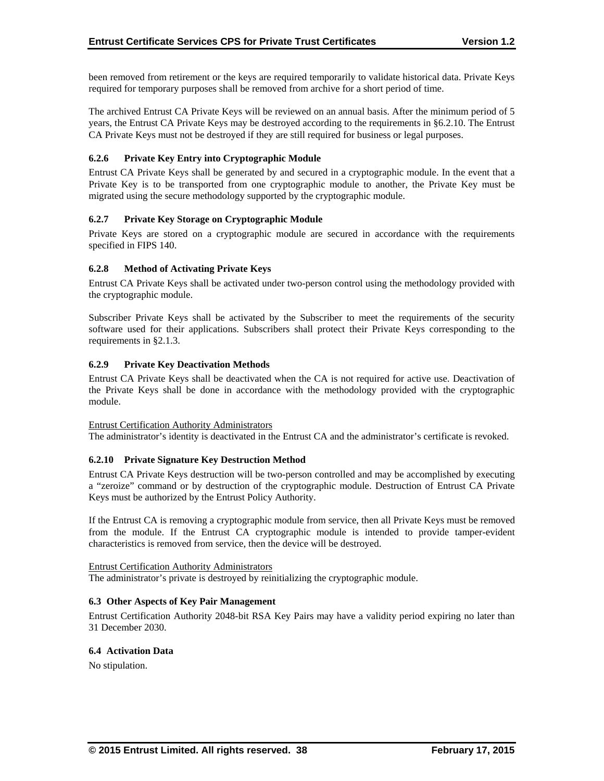been removed from retirement or the keys are required temporarily to validate historical data. Private Keys required for temporary purposes shall be removed from archive for a short period of time.

The archived Entrust CA Private Keys will be reviewed on an annual basis. After the minimum period of 5 years, the Entrust CA Private Keys may be destroyed according to the requirements in §6.2.10. The Entrust CA Private Keys must not be destroyed if they are still required for business or legal purposes.

## **6.2.6 Private Key Entry into Cryptographic Module**

Entrust CA Private Keys shall be generated by and secured in a cryptographic module. In the event that a Private Key is to be transported from one cryptographic module to another, the Private Key must be migrated using the secure methodology supported by the cryptographic module.

## **6.2.7 Private Key Storage on Cryptographic Module**

Private Keys are stored on a cryptographic module are secured in accordance with the requirements specified in FIPS 140.

## **6.2.8 Method of Activating Private Keys**

Entrust CA Private Keys shall be activated under two-person control using the methodology provided with the cryptographic module.

Subscriber Private Keys shall be activated by the Subscriber to meet the requirements of the security software used for their applications. Subscribers shall protect their Private Keys corresponding to the requirements in §2.1.3.

#### **6.2.9 Private Key Deactivation Methods**

Entrust CA Private Keys shall be deactivated when the CA is not required for active use. Deactivation of the Private Keys shall be done in accordance with the methodology provided with the cryptographic module.

#### Entrust Certification Authority Administrators

The administrator's identity is deactivated in the Entrust CA and the administrator's certificate is revoked.

#### **6.2.10 Private Signature Key Destruction Method**

Entrust CA Private Keys destruction will be two-person controlled and may be accomplished by executing a "zeroize" command or by destruction of the cryptographic module. Destruction of Entrust CA Private Keys must be authorized by the Entrust Policy Authority.

If the Entrust CA is removing a cryptographic module from service, then all Private Keys must be removed from the module. If the Entrust CA cryptographic module is intended to provide tamper-evident characteristics is removed from service, then the device will be destroyed.

#### Entrust Certification Authority Administrators

The administrator's private is destroyed by reinitializing the cryptographic module.

## **6.3 Other Aspects of Key Pair Management**

Entrust Certification Authority 2048-bit RSA Key Pairs may have a validity period expiring no later than 31 December 2030.

#### **6.4 Activation Data**

No stipulation.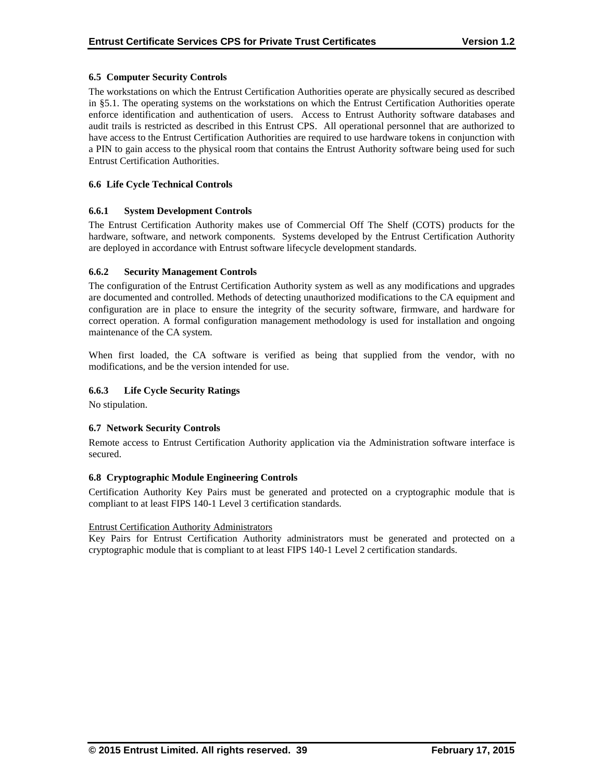## **6.5 Computer Security Controls**

The workstations on which the Entrust Certification Authorities operate are physically secured as described in §5.1. The operating systems on the workstations on which the Entrust Certification Authorities operate enforce identification and authentication of users. Access to Entrust Authority software databases and audit trails is restricted as described in this Entrust CPS. All operational personnel that are authorized to have access to the Entrust Certification Authorities are required to use hardware tokens in conjunction with a PIN to gain access to the physical room that contains the Entrust Authority software being used for such Entrust Certification Authorities.

## **6.6 Life Cycle Technical Controls**

#### **6.6.1 System Development Controls**

The Entrust Certification Authority makes use of Commercial Off The Shelf (COTS) products for the hardware, software, and network components. Systems developed by the Entrust Certification Authority are deployed in accordance with Entrust software lifecycle development standards.

## **6.6.2 Security Management Controls**

The configuration of the Entrust Certification Authority system as well as any modifications and upgrades are documented and controlled. Methods of detecting unauthorized modifications to the CA equipment and configuration are in place to ensure the integrity of the security software, firmware, and hardware for correct operation. A formal configuration management methodology is used for installation and ongoing maintenance of the CA system.

When first loaded, the CA software is verified as being that supplied from the vendor, with no modifications, and be the version intended for use.

## **6.6.3 Life Cycle Security Ratings**

No stipulation.

#### **6.7 Network Security Controls**

Remote access to Entrust Certification Authority application via the Administration software interface is secured.

#### **6.8 Cryptographic Module Engineering Controls**

Certification Authority Key Pairs must be generated and protected on a cryptographic module that is compliant to at least FIPS 140-1 Level 3 certification standards.

#### Entrust Certification Authority Administrators

Key Pairs for Entrust Certification Authority administrators must be generated and protected on a cryptographic module that is compliant to at least FIPS 140-1 Level 2 certification standards.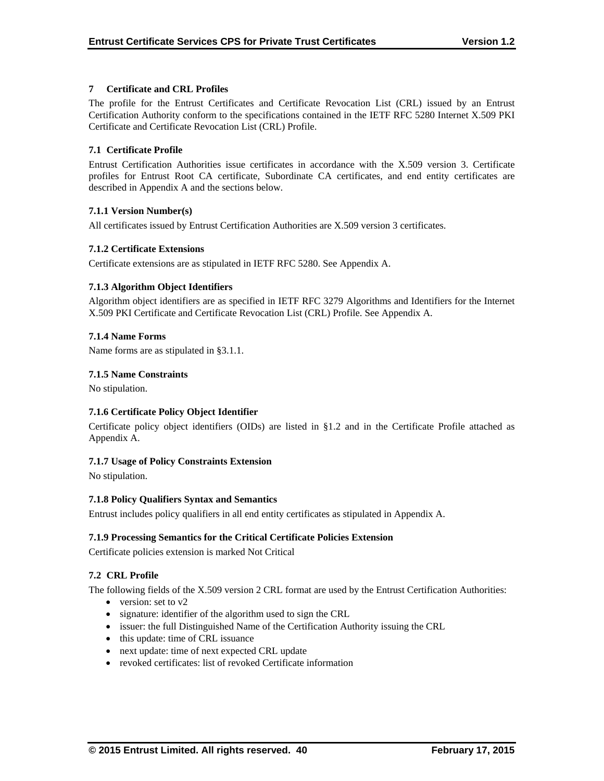## **7 Certificate and CRL Profiles**

The profile for the Entrust Certificates and Certificate Revocation List (CRL) issued by an Entrust Certification Authority conform to the specifications contained in the IETF RFC 5280 Internet X.509 PKI Certificate and Certificate Revocation List (CRL) Profile.

## **7.1 Certificate Profile**

Entrust Certification Authorities issue certificates in accordance with the X.509 version 3. Certificate profiles for Entrust Root CA certificate, Subordinate CA certificates, and end entity certificates are described in Appendix A and the sections below.

## **7.1.1 Version Number(s)**

All certificates issued by Entrust Certification Authorities are X.509 version 3 certificates.

## **7.1.2 Certificate Extensions**

Certificate extensions are as stipulated in IETF RFC 5280. See Appendix A.

## **7.1.3 Algorithm Object Identifiers**

Algorithm object identifiers are as specified in IETF RFC 3279 Algorithms and Identifiers for the Internet X.509 PKI Certificate and Certificate Revocation List (CRL) Profile. See Appendix A.

## **7.1.4 Name Forms**

Name forms are as stipulated in §3.1.1.

## **7.1.5 Name Constraints**

No stipulation.

## **7.1.6 Certificate Policy Object Identifier**

Certificate policy object identifiers (OIDs) are listed in §1.2 and in the Certificate Profile attached as Appendix A.

#### **7.1.7 Usage of Policy Constraints Extension**

No stipulation.

#### **7.1.8 Policy Qualifiers Syntax and Semantics**

Entrust includes policy qualifiers in all end entity certificates as stipulated in Appendix A.

#### **7.1.9 Processing Semantics for the Critical Certificate Policies Extension**

Certificate policies extension is marked Not Critical

#### **7.2 CRL Profile**

The following fields of the X.509 version 2 CRL format are used by the Entrust Certification Authorities:

- version: set to  $v2$
- signature: identifier of the algorithm used to sign the CRL
- issuer: the full Distinguished Name of the Certification Authority issuing the CRL
- this update: time of CRL issuance
- next update: time of next expected CRL update
- revoked certificates: list of revoked Certificate information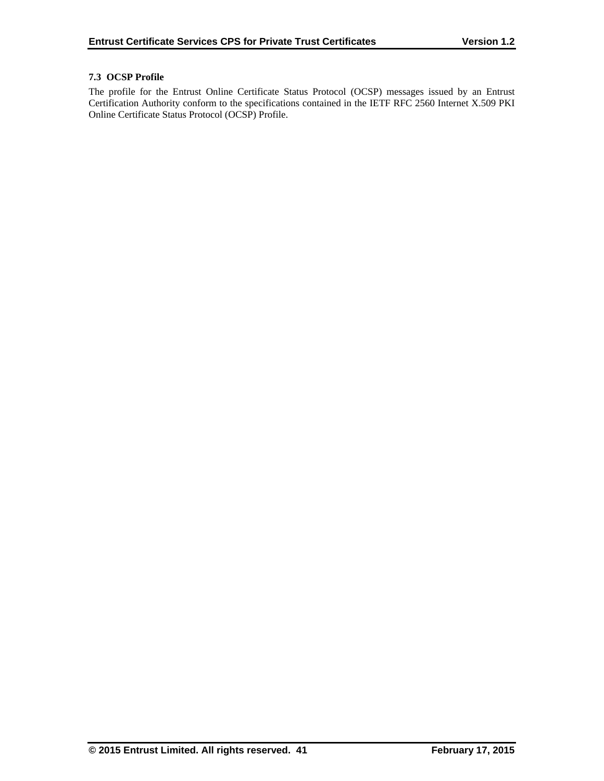## **7.3 OCSP Profile**

The profile for the Entrust Online Certificate Status Protocol (OCSP) messages issued by an Entrust Certification Authority conform to the specifications contained in the IETF RFC 2560 Internet X.509 PKI Online Certificate Status Protocol (OCSP) Profile.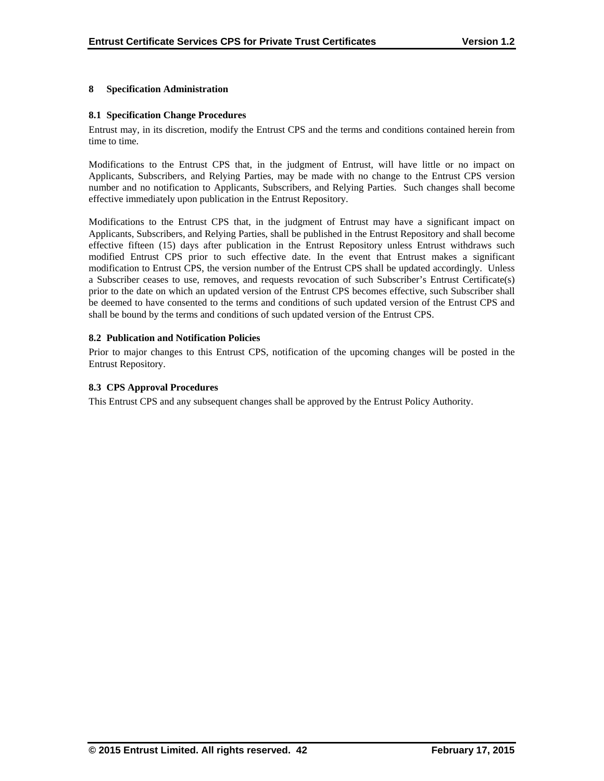## **8 Specification Administration**

## **8.1 Specification Change Procedures**

Entrust may, in its discretion, modify the Entrust CPS and the terms and conditions contained herein from time to time.

Modifications to the Entrust CPS that, in the judgment of Entrust, will have little or no impact on Applicants, Subscribers, and Relying Parties, may be made with no change to the Entrust CPS version number and no notification to Applicants, Subscribers, and Relying Parties. Such changes shall become effective immediately upon publication in the Entrust Repository.

Modifications to the Entrust CPS that, in the judgment of Entrust may have a significant impact on Applicants, Subscribers, and Relying Parties, shall be published in the Entrust Repository and shall become effective fifteen (15) days after publication in the Entrust Repository unless Entrust withdraws such modified Entrust CPS prior to such effective date. In the event that Entrust makes a significant modification to Entrust CPS, the version number of the Entrust CPS shall be updated accordingly. Unless a Subscriber ceases to use, removes, and requests revocation of such Subscriber's Entrust Certificate(s) prior to the date on which an updated version of the Entrust CPS becomes effective, such Subscriber shall be deemed to have consented to the terms and conditions of such updated version of the Entrust CPS and shall be bound by the terms and conditions of such updated version of the Entrust CPS.

## **8.2 Publication and Notification Policies**

Prior to major changes to this Entrust CPS, notification of the upcoming changes will be posted in the Entrust Repository.

## **8.3 CPS Approval Procedures**

This Entrust CPS and any subsequent changes shall be approved by the Entrust Policy Authority.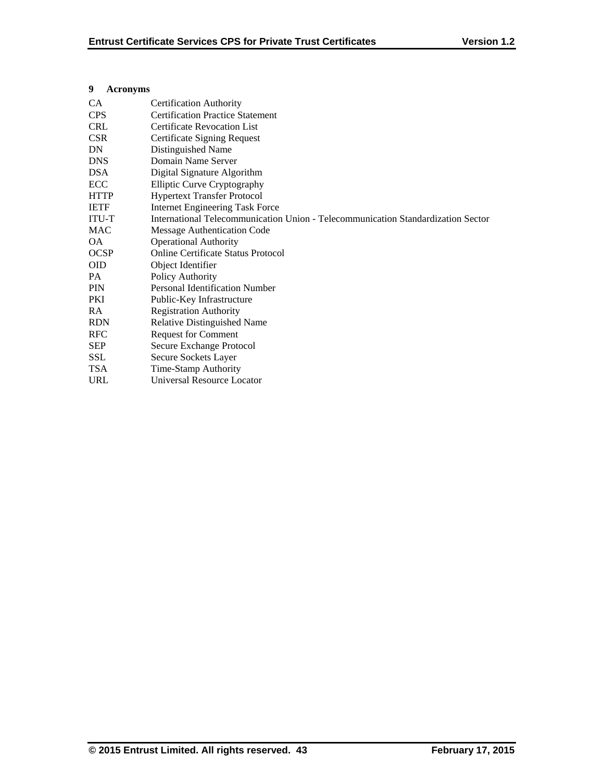## **9 Acronyms**

| CA           | <b>Certification Authority</b>                                                   |
|--------------|----------------------------------------------------------------------------------|
| <b>CPS</b>   | <b>Certification Practice Statement</b>                                          |
| <b>CRL</b>   | <b>Certificate Revocation List</b>                                               |
| <b>CSR</b>   | Certificate Signing Request                                                      |
| DN           | Distinguished Name                                                               |
| <b>DNS</b>   | Domain Name Server                                                               |
| <b>DSA</b>   | Digital Signature Algorithm                                                      |
| <b>ECC</b>   | <b>Elliptic Curve Cryptography</b>                                               |
| <b>HTTP</b>  | <b>Hypertext Transfer Protocol</b>                                               |
| <b>IETF</b>  | <b>Internet Engineering Task Force</b>                                           |
| <b>ITU-T</b> | International Telecommunication Union - Telecommunication Standardization Sector |
| MAC          | Message Authentication Code                                                      |
| OA.          | <b>Operational Authority</b>                                                     |
| <b>OCSP</b>  | Online Certificate Status Protocol                                               |
| <b>OID</b>   | Object Identifier                                                                |
| PA           | Policy Authority                                                                 |
| <b>PIN</b>   | <b>Personal Identification Number</b>                                            |
| PKI          | Public-Key Infrastructure                                                        |
| <b>RA</b>    | <b>Registration Authority</b>                                                    |
| <b>RDN</b>   | <b>Relative Distinguished Name</b>                                               |
| <b>RFC</b>   | <b>Request for Comment</b>                                                       |
| <b>SEP</b>   | Secure Exchange Protocol                                                         |
| <b>SSL</b>   | Secure Sockets Layer                                                             |
| <b>TSA</b>   | Time-Stamp Authority                                                             |
| <b>URL</b>   | Universal Resource Locator                                                       |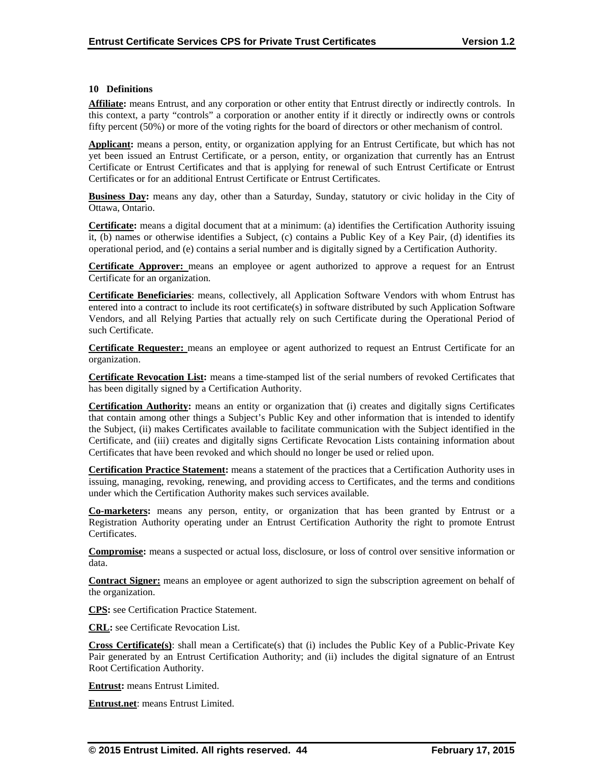#### **10 Definitions**

**Affiliate:** means Entrust, and any corporation or other entity that Entrust directly or indirectly controls. In this context, a party "controls" a corporation or another entity if it directly or indirectly owns or controls fifty percent (50%) or more of the voting rights for the board of directors or other mechanism of control.

**Applicant:** means a person, entity, or organization applying for an Entrust Certificate, but which has not yet been issued an Entrust Certificate, or a person, entity, or organization that currently has an Entrust Certificate or Entrust Certificates and that is applying for renewal of such Entrust Certificate or Entrust Certificates or for an additional Entrust Certificate or Entrust Certificates.

**Business Day:** means any day, other than a Saturday, Sunday, statutory or civic holiday in the City of Ottawa, Ontario.

**Certificate:** means a digital document that at a minimum: (a) identifies the Certification Authority issuing it, (b) names or otherwise identifies a Subject, (c) contains a Public Key of a Key Pair, (d) identifies its operational period, and (e) contains a serial number and is digitally signed by a Certification Authority.

**Certificate Approver:** means an employee or agent authorized to approve a request for an Entrust Certificate for an organization.

**Certificate Beneficiaries**: means, collectively, all Application Software Vendors with whom Entrust has entered into a contract to include its root certificate(s) in software distributed by such Application Software Vendors, and all Relying Parties that actually rely on such Certificate during the Operational Period of such Certificate.

**Certificate Requester:** means an employee or agent authorized to request an Entrust Certificate for an organization.

**Certificate Revocation List:** means a time-stamped list of the serial numbers of revoked Certificates that has been digitally signed by a Certification Authority.

**Certification Authority:** means an entity or organization that (i) creates and digitally signs Certificates that contain among other things a Subject's Public Key and other information that is intended to identify the Subject, (ii) makes Certificates available to facilitate communication with the Subject identified in the Certificate, and (iii) creates and digitally signs Certificate Revocation Lists containing information about Certificates that have been revoked and which should no longer be used or relied upon.

**Certification Practice Statement:** means a statement of the practices that a Certification Authority uses in issuing, managing, revoking, renewing, and providing access to Certificates, and the terms and conditions under which the Certification Authority makes such services available.

**Co-marketers:** means any person, entity, or organization that has been granted by Entrust or a Registration Authority operating under an Entrust Certification Authority the right to promote Entrust Certificates.

**Compromise:** means a suspected or actual loss, disclosure, or loss of control over sensitive information or data.

**Contract Signer:** means an employee or agent authorized to sign the subscription agreement on behalf of the organization.

**CPS:** see Certification Practice Statement.

**CRL:** see Certificate Revocation List.

**Cross Certificate(s)**: shall mean a Certificate(s) that (i) includes the Public Key of a Public-Private Key Pair generated by an Entrust Certification Authority; and (ii) includes the digital signature of an Entrust Root Certification Authority.

**Entrust:** means Entrust Limited.

**Entrust.net**: means Entrust Limited.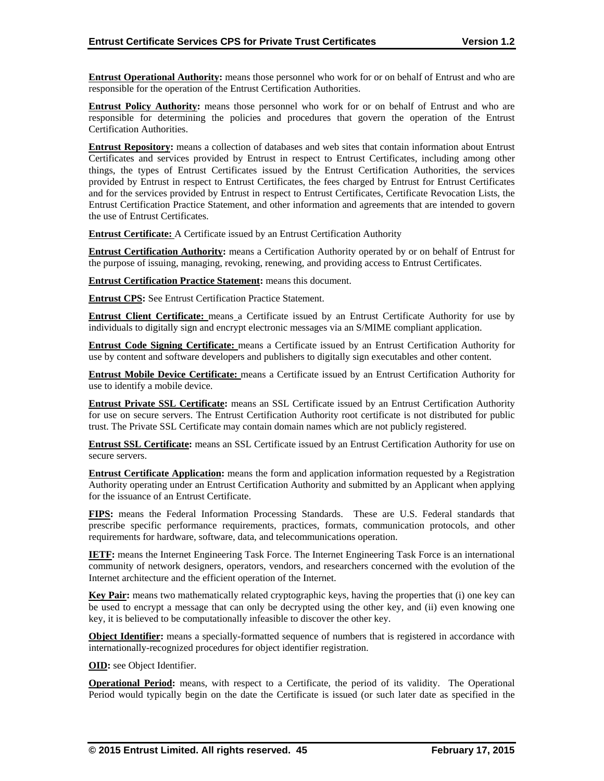**Entrust Operational Authority:** means those personnel who work for or on behalf of Entrust and who are responsible for the operation of the Entrust Certification Authorities.

**Entrust Policy Authority:** means those personnel who work for or on behalf of Entrust and who are responsible for determining the policies and procedures that govern the operation of the Entrust Certification Authorities.

**Entrust Repository:** means a collection of databases and web sites that contain information about Entrust Certificates and services provided by Entrust in respect to Entrust Certificates, including among other things, the types of Entrust Certificates issued by the Entrust Certification Authorities, the services provided by Entrust in respect to Entrust Certificates, the fees charged by Entrust for Entrust Certificates and for the services provided by Entrust in respect to Entrust Certificates, Certificate Revocation Lists, the Entrust Certification Practice Statement, and other information and agreements that are intended to govern the use of Entrust Certificates.

**Entrust Certificate:** A Certificate issued by an Entrust Certification Authority

**Entrust Certification Authority:** means a Certification Authority operated by or on behalf of Entrust for the purpose of issuing, managing, revoking, renewing, and providing access to Entrust Certificates.

**Entrust Certification Practice Statement:** means this document.

**Entrust CPS:** See Entrust Certification Practice Statement.

**Entrust Client Certificate:** means a Certificate issued by an Entrust Certificate Authority for use by individuals to digitally sign and encrypt electronic messages via an S/MIME compliant application.

**Entrust Code Signing Certificate:** means a Certificate issued by an Entrust Certification Authority for use by content and software developers and publishers to digitally sign executables and other content.

**Entrust Mobile Device Certificate:** means a Certificate issued by an Entrust Certification Authority for use to identify a mobile device.

**Entrust Private SSL Certificate:** means an SSL Certificate issued by an Entrust Certification Authority for use on secure servers. The Entrust Certification Authority root certificate is not distributed for public trust. The Private SSL Certificate may contain domain names which are not publicly registered.

**Entrust SSL Certificate:** means an SSL Certificate issued by an Entrust Certification Authority for use on secure servers.

**Entrust Certificate Application:** means the form and application information requested by a Registration Authority operating under an Entrust Certification Authority and submitted by an Applicant when applying for the issuance of an Entrust Certificate.

**FIPS:** means the Federal Information Processing Standards. These are U.S. Federal standards that prescribe specific performance requirements, practices, formats, communication protocols, and other requirements for hardware, software, data, and telecommunications operation.

**IETF:** means the Internet Engineering Task Force. The Internet Engineering Task Force is an international community of network designers, operators, vendors, and researchers concerned with the evolution of the Internet architecture and the efficient operation of the Internet.

**Key Pair:** means two mathematically related cryptographic keys, having the properties that (i) one key can be used to encrypt a message that can only be decrypted using the other key, and (ii) even knowing one key, it is believed to be computationally infeasible to discover the other key.

**Object Identifier:** means a specially-formatted sequence of numbers that is registered in accordance with internationally-recognized procedures for object identifier registration.

**OID:** see Object Identifier.

**Operational Period:** means, with respect to a Certificate, the period of its validity. The Operational Period would typically begin on the date the Certificate is issued (or such later date as specified in the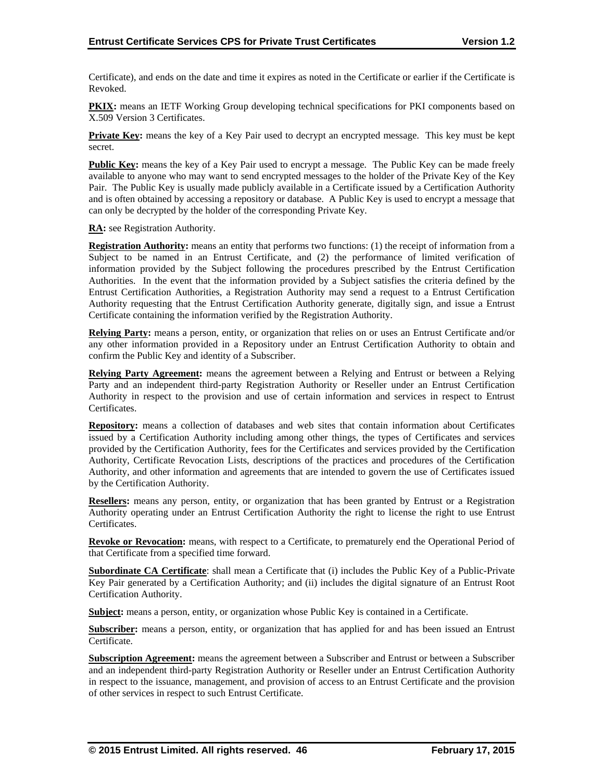Certificate), and ends on the date and time it expires as noted in the Certificate or earlier if the Certificate is Revoked.

**PKIX:** means an IETF Working Group developing technical specifications for PKI components based on X.509 Version 3 Certificates.

**Private Key:** means the key of a Key Pair used to decrypt an encrypted message. This key must be kept secret.

**Public Key:** means the key of a Key Pair used to encrypt a message. The Public Key can be made freely available to anyone who may want to send encrypted messages to the holder of the Private Key of the Key Pair. The Public Key is usually made publicly available in a Certificate issued by a Certification Authority and is often obtained by accessing a repository or database. A Public Key is used to encrypt a message that can only be decrypted by the holder of the corresponding Private Key.

**RA:** see Registration Authority.

**Registration Authority:** means an entity that performs two functions: (1) the receipt of information from a Subject to be named in an Entrust Certificate, and (2) the performance of limited verification of information provided by the Subject following the procedures prescribed by the Entrust Certification Authorities. In the event that the information provided by a Subject satisfies the criteria defined by the Entrust Certification Authorities, a Registration Authority may send a request to a Entrust Certification Authority requesting that the Entrust Certification Authority generate, digitally sign, and issue a Entrust Certificate containing the information verified by the Registration Authority.

**Relying Party:** means a person, entity, or organization that relies on or uses an Entrust Certificate and/or any other information provided in a Repository under an Entrust Certification Authority to obtain and confirm the Public Key and identity of a Subscriber.

**Relying Party Agreement:** means the agreement between a Relying and Entrust or between a Relying Party and an independent third-party Registration Authority or Reseller under an Entrust Certification Authority in respect to the provision and use of certain information and services in respect to Entrust Certificates.

**Repository:** means a collection of databases and web sites that contain information about Certificates issued by a Certification Authority including among other things, the types of Certificates and services provided by the Certification Authority, fees for the Certificates and services provided by the Certification Authority, Certificate Revocation Lists, descriptions of the practices and procedures of the Certification Authority, and other information and agreements that are intended to govern the use of Certificates issued by the Certification Authority.

**Resellers:** means any person, entity, or organization that has been granted by Entrust or a Registration Authority operating under an Entrust Certification Authority the right to license the right to use Entrust Certificates.

**Revoke or Revocation:** means, with respect to a Certificate, to prematurely end the Operational Period of that Certificate from a specified time forward.

**Subordinate CA Certificate**: shall mean a Certificate that (i) includes the Public Key of a Public-Private Key Pair generated by a Certification Authority; and (ii) includes the digital signature of an Entrust Root Certification Authority.

**Subject:** means a person, entity, or organization whose Public Key is contained in a Certificate.

**Subscriber:** means a person, entity, or organization that has applied for and has been issued an Entrust Certificate.

**Subscription Agreement:** means the agreement between a Subscriber and Entrust or between a Subscriber and an independent third-party Registration Authority or Reseller under an Entrust Certification Authority in respect to the issuance, management, and provision of access to an Entrust Certificate and the provision of other services in respect to such Entrust Certificate.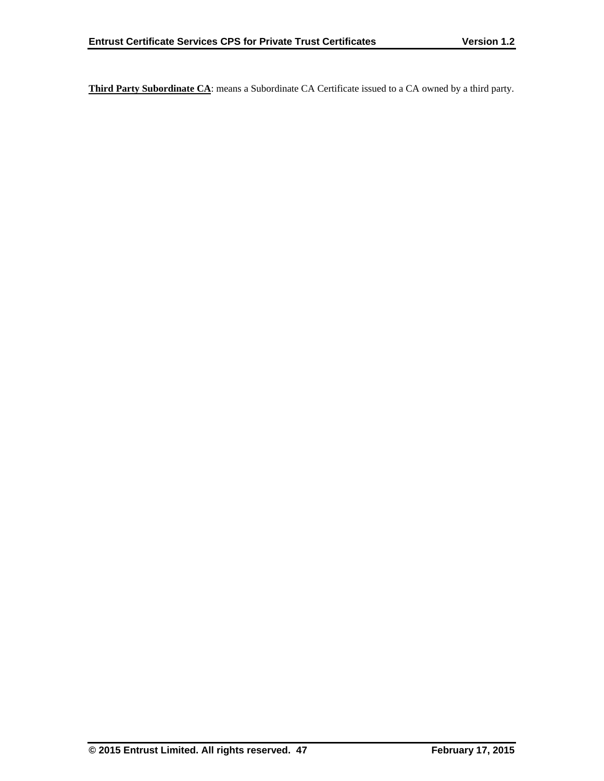**Third Party Subordinate CA**: means a Subordinate CA Certificate issued to a CA owned by a third party.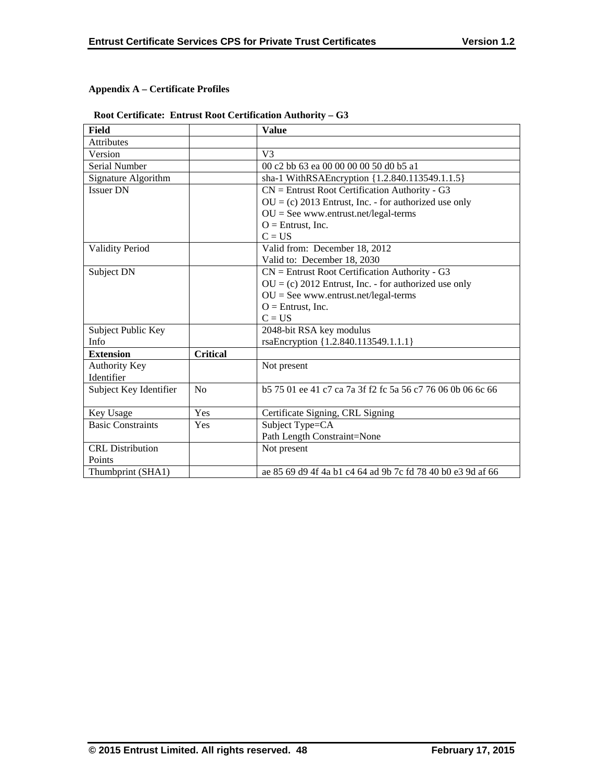## **Appendix A – Certificate Profiles**

## **Root Certificate: Entrust Root Certification Authority – G3**

| <b>Field</b>             |                 | <b>Value</b>                                                   |
|--------------------------|-----------------|----------------------------------------------------------------|
| Attributes               |                 |                                                                |
| Version                  |                 | V <sub>3</sub>                                                 |
| Serial Number            |                 | 00 c2 bb 63 ea 00 00 00 00 50 d0 b5 a1                         |
| Signature Algorithm      |                 | sha-1 WithRSAEncryption {1.2.840.113549.1.1.5}                 |
| <b>Issuer DN</b>         |                 | $CN =$ Entrust Root Certification Authority - G3               |
|                          |                 | $OU = (c) 2013$ Entrust, Inc. - for authorized use only        |
|                          |                 | $OU = See$ www.entrust.net/legal-terms                         |
|                          |                 | $O =$ Entrust, Inc.                                            |
|                          |                 | $C = US$                                                       |
| <b>Validity Period</b>   |                 | Valid from: December 18, 2012                                  |
|                          |                 | Valid to: December 18, 2030                                    |
| Subject DN               |                 | $CN =$ Entrust Root Certification Authority - G3               |
|                          |                 | $OU = (c) 2012$ Entrust, Inc. - for authorized use only        |
|                          |                 | $OU = See$ www.entrust.net/legal-terms                         |
|                          |                 | $O =$ Entrust, Inc.                                            |
|                          |                 | $C = US$                                                       |
| Subject Public Key       |                 | 2048-bit RSA key modulus                                       |
| Info                     |                 | rsaEncryption {1.2.840.113549.1.1.1}                           |
| <b>Extension</b>         | <b>Critical</b> |                                                                |
| <b>Authority Key</b>     |                 | Not present                                                    |
| Identifier               |                 |                                                                |
| Subject Key Identifier   | No              | b 57 501 ee 41 c 7 ca 7a 3f f 2 f c 5a 56 c 77 60 60 b 06 6 66 |
|                          |                 |                                                                |
| Key Usage                | Yes             | Certificate Signing, CRL Signing                               |
| <b>Basic Constraints</b> | Yes             | Subject Type=CA                                                |
|                          |                 | Path Length Constraint=None                                    |
| <b>CRL</b> Distribution  |                 | Not present                                                    |
| Points                   |                 |                                                                |
| Thumbprint (SHA1)        |                 | ae 85 69 d9 4f 4a b1 c4 64 ad 9b 7c fd 78 40 b0 e3 9d af 66    |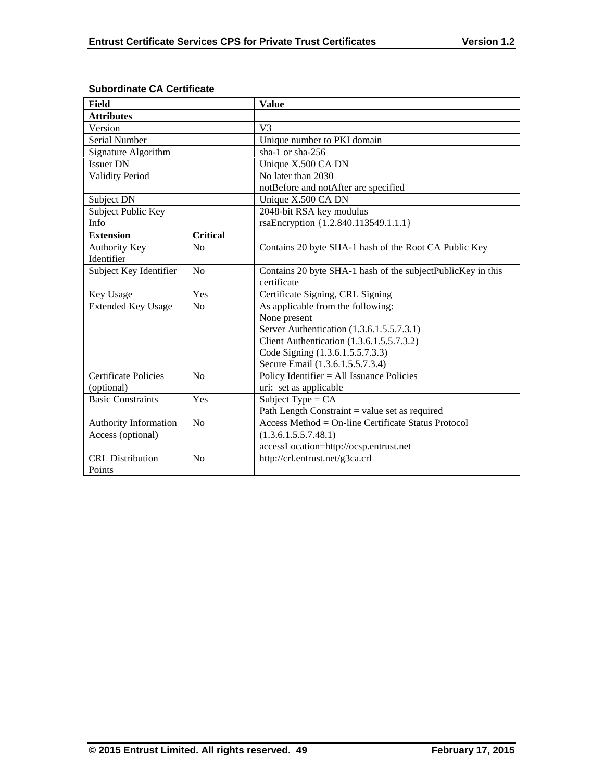| <b>Field</b>                |                 | <b>Value</b>                                                |
|-----------------------------|-----------------|-------------------------------------------------------------|
| <b>Attributes</b>           |                 |                                                             |
| Version                     |                 | V <sub>3</sub>                                              |
| <b>Serial Number</b>        |                 | Unique number to PKI domain                                 |
| Signature Algorithm         |                 | sha-1 or sha-256                                            |
| <b>Issuer DN</b>            |                 | Unique X.500 CA DN                                          |
| <b>Validity Period</b>      |                 | No later than 2030                                          |
|                             |                 | notBefore and notAfter are specified                        |
| Subject DN                  |                 | Unique X.500 CA DN                                          |
| Subject Public Key          |                 | 2048-bit RSA key modulus                                    |
| <b>Info</b>                 |                 | rsaEncryption {1.2.840.113549.1.1.1}                        |
| <b>Extension</b>            | <b>Critical</b> |                                                             |
| <b>Authority Key</b>        | No              | Contains 20 byte SHA-1 hash of the Root CA Public Key       |
| Identifier                  |                 |                                                             |
| Subject Key Identifier      | N <sub>o</sub>  | Contains 20 byte SHA-1 hash of the subjectPublicKey in this |
|                             |                 | certificate                                                 |
| Key Usage                   | Yes             | Certificate Signing, CRL Signing                            |
| <b>Extended Key Usage</b>   | N <sub>o</sub>  | As applicable from the following:                           |
|                             |                 | None present                                                |
|                             |                 | Server Authentication (1.3.6.1.5.5.7.3.1)                   |
|                             |                 | Client Authentication (1.3.6.1.5.5.7.3.2)                   |
|                             |                 | Code Signing (1.3.6.1.5.5.7.3.3)                            |
|                             |                 | Secure Email (1.3.6.1.5.5.7.3.4)                            |
| <b>Certificate Policies</b> | No              | Policy Identifier = All Issuance Policies                   |
| (optional)                  |                 | uri: set as applicable                                      |
| <b>Basic Constraints</b>    | Yes             | Subject Type = $CA$                                         |
|                             |                 | Path Length Constraint $=$ value set as required            |
| Authority Information       | No              | Access Method = On-line Certificate Status Protocol         |
| Access (optional)           |                 | (1.3.6.1.5.5.7.48.1)                                        |
|                             |                 | accessLocation=http://ocsp.entrust.net                      |
| <b>CRL</b> Distribution     | N <sub>o</sub>  | http://crl.entrust.net/g3ca.crl                             |
| Points                      |                 |                                                             |

## **Subordinate CA Certificate**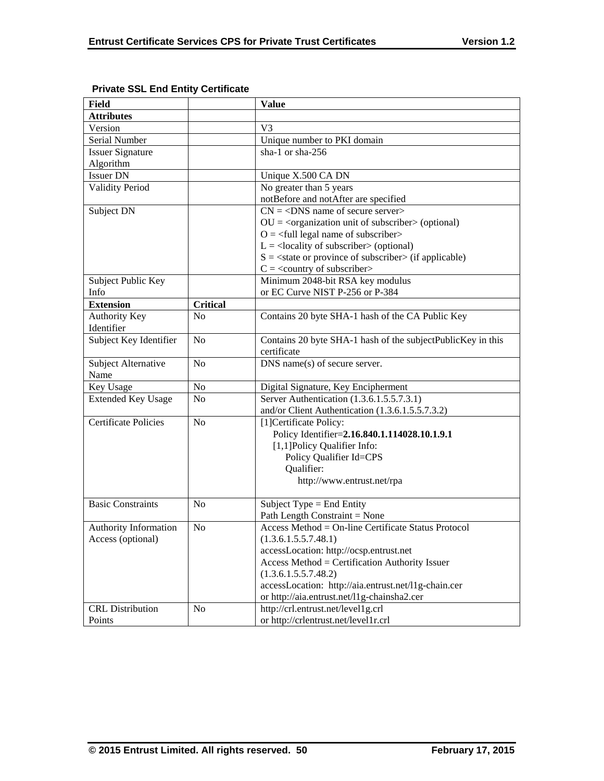| <b>Field</b>                |                 | <b>Value</b>                                                             |
|-----------------------------|-----------------|--------------------------------------------------------------------------|
| <b>Attributes</b>           |                 |                                                                          |
| Version                     |                 | V <sub>3</sub>                                                           |
| Serial Number               |                 | Unique number to PKI domain                                              |
| <b>Issuer Signature</b>     |                 | sha-1 or sha-256                                                         |
| Algorithm                   |                 |                                                                          |
| <b>Issuer DN</b>            |                 | Unique X.500 CA DN                                                       |
| <b>Validity Period</b>      |                 | No greater than 5 years                                                  |
|                             |                 | notBefore and notAfter are specified                                     |
| Subject DN                  |                 | $\overline{CN} = \langle DNS \rangle$ name of secure server              |
|                             |                 | $OU = coequization unit of subscripts (optional)$                        |
|                             |                 | $O = \left\langle \text{full legal name of subscripter} \right\rangle$   |
|                             |                 | $L =$ <locality of="" subscriber=""> (optional)</locality>               |
|                             |                 | $S = \text{state}$ or province of subscriber $\text{in}$ (if applicable) |
|                             |                 | $C = \langle$ country of subscriber>                                     |
| Subject Public Key          |                 | Minimum 2048-bit RSA key modulus                                         |
| Info                        |                 | or EC Curve NIST P-256 or P-384                                          |
| <b>Extension</b>            | <b>Critical</b> |                                                                          |
| <b>Authority Key</b>        | N <sub>0</sub>  | Contains 20 byte SHA-1 hash of the CA Public Key                         |
| Identifier                  |                 |                                                                          |
| Subject Key Identifier      | N <sub>o</sub>  | Contains 20 byte SHA-1 hash of the subjectPublicKey in this              |
|                             |                 | certificate                                                              |
| Subject Alternative         | N <sub>o</sub>  | DNS name(s) of secure server.                                            |
| Name                        |                 |                                                                          |
| Key Usage                   | No              | Digital Signature, Key Encipherment                                      |
| <b>Extended Key Usage</b>   | N <sub>o</sub>  | Server Authentication (1.3.6.1.5.5.7.3.1)                                |
|                             |                 | and/or Client Authentication (1.3.6.1.5.5.7.3.2)                         |
| <b>Certificate Policies</b> | N <sub>o</sub>  | [1] Certificate Policy:                                                  |
|                             |                 | Policy Identifier=2.16.840.1.114028.10.1.9.1                             |
|                             |                 | [1,1] Policy Qualifier Info:                                             |
|                             |                 | Policy Qualifier Id=CPS                                                  |
|                             |                 | Qualifier:                                                               |
|                             |                 | http://www.entrust.net/rpa                                               |
|                             |                 |                                                                          |
| <b>Basic Constraints</b>    | N <sub>0</sub>  | Subject Type = End Entity                                                |
|                             |                 | Path Length Constraint = None                                            |
| Authority Information       | N <sub>o</sub>  | Access Method = On-line Certificate Status Protocol                      |
| Access (optional)           |                 | (1.3.6.1.5.5.7.48.1)                                                     |
|                             |                 | accessLocation: http://ocsp.entrust.net                                  |
|                             |                 | Access Method = Certification Authority Issuer                           |
|                             |                 | (1.3.6.1.5.5.7.48.2)                                                     |
|                             |                 | accessLocation: http://aia.entrust.net/l1g-chain.cer                     |
|                             |                 | or http://aia.entrust.net/11g-chainsha2.cer                              |
| <b>CRL</b> Distribution     | N <sub>o</sub>  | http://crl.entrust.net/level1g.crl                                       |
| Points                      |                 | or http://crlentrust.net/level1r.crl                                     |

## **Private SSL End Entity Certificate**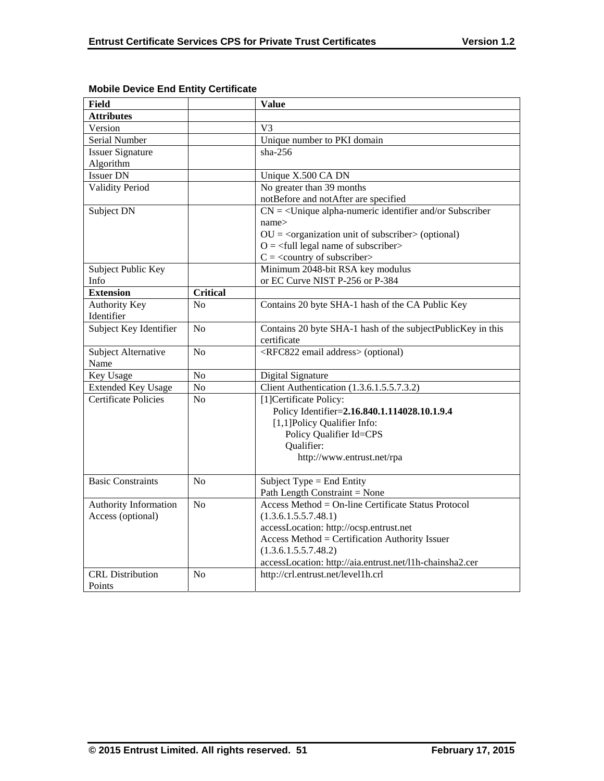| <b>Field</b>                |                 | <b>Value</b>                                                     |
|-----------------------------|-----------------|------------------------------------------------------------------|
| <b>Attributes</b>           |                 |                                                                  |
| Version                     |                 | V <sub>3</sub>                                                   |
| Serial Number               |                 | Unique number to PKI domain                                      |
| <b>Issuer Signature</b>     |                 | $sha-256$                                                        |
| Algorithm                   |                 |                                                                  |
| <b>Issuer DN</b>            |                 | Unique X.500 CA DN                                               |
| <b>Validity Period</b>      |                 | No greater than 39 months                                        |
|                             |                 | notBefore and notAfter are specified                             |
| Subject DN                  |                 | $CN = \langle$ Unique alpha-numeric identifier and/or Subscriber |
|                             |                 | name>                                                            |
|                             |                 | $OU = cor$ ganization unit of subscriber > (optional)            |
|                             |                 | $O = \frac{1}{2}$ legal name of subscriber                       |
|                             |                 | $C = \langle$ country of subscriber>                             |
| Subject Public Key          |                 | Minimum 2048-bit RSA key modulus                                 |
| Info                        |                 | or EC Curve NIST P-256 or P-384                                  |
| <b>Extension</b>            | <b>Critical</b> |                                                                  |
| Authority Key               | No              | Contains 20 byte SHA-1 hash of the CA Public Key                 |
| Identifier                  |                 |                                                                  |
| Subject Key Identifier      | No              | Contains 20 byte SHA-1 hash of the subjectPublicKey in this      |
|                             |                 | certificate                                                      |
| Subject Alternative         | N <sub>o</sub>  | <rfc822 address="" email=""> (optional)</rfc822>                 |
| Name                        |                 |                                                                  |
| <b>Key Usage</b>            | No              | Digital Signature                                                |
| <b>Extended Key Usage</b>   | No              | Client Authentication (1.3.6.1.5.5.7.3.2)                        |
| <b>Certificate Policies</b> | N <sub>o</sub>  | [1] Certificate Policy:                                          |
|                             |                 | Policy Identifier=2.16.840.1.114028.10.1.9.4                     |
|                             |                 | [1,1] Policy Qualifier Info:                                     |
|                             |                 | Policy Qualifier Id=CPS                                          |
|                             |                 | Qualifier:                                                       |
|                             |                 | http://www.entrust.net/rpa                                       |
|                             |                 |                                                                  |
| <b>Basic Constraints</b>    | N <sub>o</sub>  | Subject Type = End Entity                                        |
|                             |                 | Path Length Constraint = None                                    |
| Authority Information       | N <sub>o</sub>  | Access Method = On-line Certificate Status Protocol              |
| Access (optional)           |                 | (1.3.6.1.5.5.7.48.1)                                             |
|                             |                 | accessLocation: http://ocsp.entrust.net                          |
|                             |                 | Access Method = Certification Authority Issuer                   |
|                             |                 | (1.3.6.1.5.5.7.48.2)                                             |
|                             |                 | accessLocation: http://aia.entrust.net/l1h-chainsha2.cer         |
| <b>CRL</b> Distribution     | N <sub>0</sub>  | http://crl.entrust.net/level1h.crl                               |
| Points                      |                 |                                                                  |

## **Mobile Device End Entity Certificate**